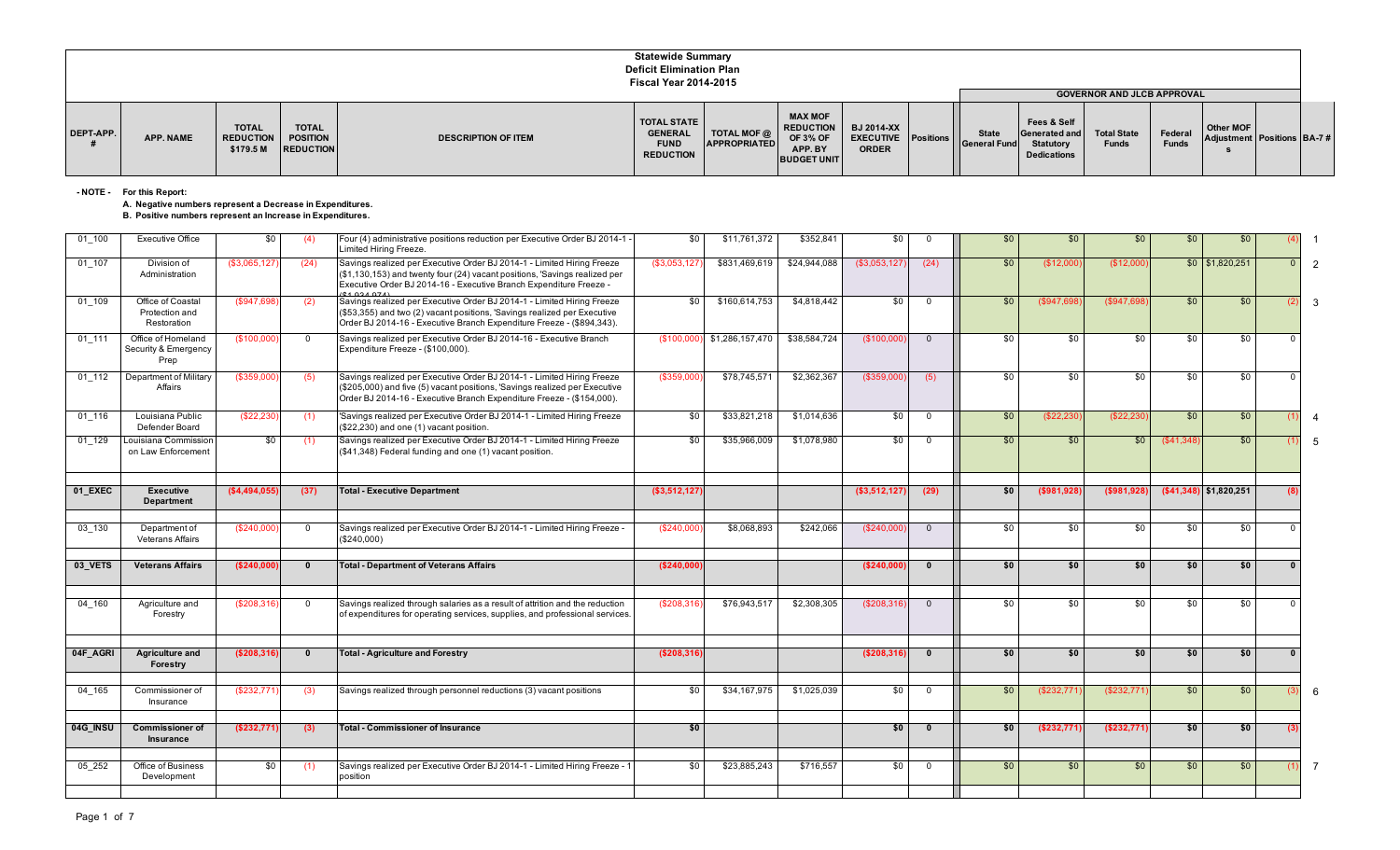|           |                  |                                               |                                                     |                            | <b>Statewide Summary</b><br><b>Deficit Elimination Plan</b><br><b>Fiscal Year 2014-2015</b> |                             |                                                                                        |                                                                 |                                     |                                                                        |                                                                         |                         |                                                |  |
|-----------|------------------|-----------------------------------------------|-----------------------------------------------------|----------------------------|---------------------------------------------------------------------------------------------|-----------------------------|----------------------------------------------------------------------------------------|-----------------------------------------------------------------|-------------------------------------|------------------------------------------------------------------------|-------------------------------------------------------------------------|-------------------------|------------------------------------------------|--|
| DEPT-APP. | <b>APP. NAME</b> | <b>TOTAL</b><br><b>REDUCTION</b><br>\$179.5 M | <b>TOTAL</b><br><b>POSITION</b><br><b>REDUCTION</b> | <b>DESCRIPTION OF ITEM</b> | <b>TOTAL STATE</b><br><b>GENERAL</b><br><b>FUND</b><br><b>REDUCTION</b>                     | TOTAL MOF @<br>APPROPRIATED | <b>MAX MOF</b><br><b>REDUCTION</b><br><b>OF 3% OF</b><br>APP. BY<br><b>BUDGET UNIT</b> | <b>BJ 2014-XX</b><br><b>EXECUTIVE</b> Positions<br><b>ORDER</b> | <b>State</b><br><b>General Fund</b> | Fees & Self<br>Generated and<br><b>Statutory</b><br><b>Dedications</b> | <b>GOVERNOR AND JLCB APPROVAL</b><br><b>Total State</b><br><b>Funds</b> | Federal<br><b>Funds</b> | <b>Other MOF</b><br>Adjustment Positions BA-7# |  |

**- NOTE - For this Report:**

## **A. Negative numbers represent a Decrease in Expenditures.**

## **B. Positive numbers represent an Increase in Expenditures.**

| $01_100$ | <b>Executive Office</b>                            | \$0           | (4)          | Four (4) administrative positions reduction per Executive Order BJ 2014-1 -<br>Limited Hiring Freeze.                                                                                                                                     | \$0          | \$11,761,372    | \$352,841    | \$0          | $\Omega$       | \$0 | \$0        | \$0           | \$0             | \$0                      |            |     |
|----------|----------------------------------------------------|---------------|--------------|-------------------------------------------------------------------------------------------------------------------------------------------------------------------------------------------------------------------------------------------|--------------|-----------------|--------------|--------------|----------------|-----|------------|---------------|-----------------|--------------------------|------------|-----|
| 01 107   | Division of<br>Administration                      | (\$3,065,127  | (24)         | Savings realized per Executive Order BJ 2014-1 - Limited Hiring Freeze<br>(\$1,130,153) and twenty four (24) vacant positions, 'Savings realized per<br>Executive Order BJ 2014-16 - Executive Branch Expenditure Freeze -<br>$A$ 0040741 | (\$3,053,12) | \$831,469,619   | \$24,944,088 | (\$3,053,127 | (24)           | \$0 | (\$12,00   | (\$12,000     |                 | $$0$ $$1,820,251$        | $\Omega$   |     |
| 01 109   | Office of Coastal<br>Protection and<br>Restoration | (\$947,698    | (2)          | Savings realized per Executive Order BJ 2014-1 - Limited Hiring Freeze<br>(\$53,355) and two (2) vacant positions, 'Savings realized per Executive<br>Order BJ 2014-16 - Executive Branch Expenditure Freeze - (\$894,343).               | \$0          | \$160,614,753   | \$4,818,442  | \$0          | $\Omega$       | \$0 | (\$947.69  | (\$947.69     | \$0             | \$0                      |            |     |
| 01 111   | Office of Homeland<br>Security & Emergency<br>Prep | (\$100,000    | $\Omega$     | Savings realized per Executive Order BJ 2014-16 - Executive Branch<br>Expenditure Freeze - (\$100,000).                                                                                                                                   | (\$100,000   | \$1,286,157,470 | \$38,584,724 | (\$100,000   | $\Omega$       | \$0 | \$0        | \$0           | \$0             | \$0                      |            |     |
| 01 112   | Department of Military<br>Affairs                  | (\$359,000    | (5)          | Savings realized per Executive Order BJ 2014-1 - Limited Hiring Freeze<br>(\$205,000) and five (5) vacant positions, 'Savings realized per Executive<br>Order BJ 2014-16 - Executive Branch Expenditure Freeze - (\$154,000).             | (\$359,000   | \$78,745,571    | \$2,362,367  | (\$359,000   | (5)            | \$0 | \$0        | \$0           | \$0             | \$0                      |            |     |
| 01 116   | Louisiana Public<br>Defender Board                 | (\$22.230)    | (1)          | Savings realized per Executive Order BJ 2014-1 - Limited Hiring Freeze<br>(\$22,230) and one (1) vacant position.                                                                                                                         | \$0          | \$33,821,218    | \$1,014,636  | \$0          | $\Omega$       | \$0 | (\$22,23   | (S22.23)      | \$0             | \$0                      |            | 4   |
| 01 129   | Louisiana Commission<br>on Law Enforcement         | \$0           | (1)          | Savings realized per Executive Order BJ 2014-1 - Limited Hiring Freeze<br>(\$41,348) Federal funding and one (1) vacant position.                                                                                                         | \$0          | \$35,966,009    | \$1,078,980  | \$0          | $\mathbf 0$    | \$0 | \$0        | \$0           | (S41, 348)      | \$0                      |            |     |
| 01 EXEC  | <b>Executive</b>                                   | (\$4,494,055] | (37)         | <b>Total - Executive Department</b>                                                                                                                                                                                                       | (\$3,512,127 |                 |              | (\$3,512,127 | (29)           | \$0 | (\$981,928 | (\$981,92     |                 | $( $41,348)$ \$1,820,251 |            |     |
|          | <b>Department</b>                                  |               |              |                                                                                                                                                                                                                                           |              |                 |              |              |                |     |            |               |                 |                          |            |     |
| 03 130   | Department of<br><b>Veterans Affairs</b>           | (\$240,000"   | $\Omega$     | Savings realized per Executive Order BJ 2014-1 - Limited Hiring Freeze -<br>(\$240,000)                                                                                                                                                   | (\$240,000   | \$8,068,893     | \$242,066    | (\$240,000   | $\Omega$       | \$0 | \$0        | \$0           | \$0             | \$0                      | $\Omega$   |     |
| 03_VETS  | <b>Veterans Affairs</b>                            | (S240,000)    | $\mathbf{0}$ | <b>Total - Department of Veterans Affairs</b>                                                                                                                                                                                             | (\$240,000   |                 |              | (\$240,000   | $\Omega$       | \$0 | \$0        | \$0           | \$0             | \$0                      | $\Omega$   |     |
| 04 160   | Agriculture and<br>Forestry                        | (\$208,316)   | $\Omega$     | Savings realized through salaries as a result of attrition and the reduction<br>of expenditures for operating services, supplies, and professional services.                                                                              | (\$208,316   | \$76,943,517    | \$2,308,305  | (\$208,316   | $\Omega$       | \$0 | \$0        | \$0           | \$0             | \$0                      |            |     |
| 04F AGRI | <b>Agriculture and</b>                             | (S208.316)    | $\Omega$     | <b>Total - Agriculture and Forestry</b>                                                                                                                                                                                                   | (\$208,316)  |                 |              | (\$208,316   | $\Omega$       | \$0 | \$0        | 50            | 50              | \$0                      |            |     |
|          | Forestry                                           |               |              |                                                                                                                                                                                                                                           |              |                 |              |              |                |     |            |               |                 |                          |            |     |
| 04 165   | Commissioner of<br>Insurance                       | (\$232,771)   | (3)          | Savings realized through personnel reductions (3) vacant positions                                                                                                                                                                        | \$0          | \$34,167,975    | \$1,025,039  | \$0          | $\overline{0}$ | \$0 | (\$232,771 | (\$232,771    | $\overline{50}$ | \$0                      |            | 6   |
| 04G INSU | <b>Commissioner of</b><br>Insurance                | (\$232,771)   | (3)          | <b>Total - Commissioner of Insurance</b>                                                                                                                                                                                                  | \$0          |                 |              | \$0          | $\mathbf{0}$   | \$0 | (\$232,771 | ( \$232, 771] | \$0             | \$0                      | (3)        |     |
| 05 252   | Office of Business<br>Development                  | \$0           | (1)          | Savings realized per Executive Order BJ 2014-1 - Limited Hiring Freeze - 1<br>position                                                                                                                                                    | \$0          | \$23,885,243    | \$716,557    | \$0          | $\overline{0}$ | \$0 | \$0        | \$0           | \$0             | \$0                      | $\left($ 1 | - 7 |
|          |                                                    |               |              |                                                                                                                                                                                                                                           |              |                 |              |              |                |     |            |               |                 |                          |            |     |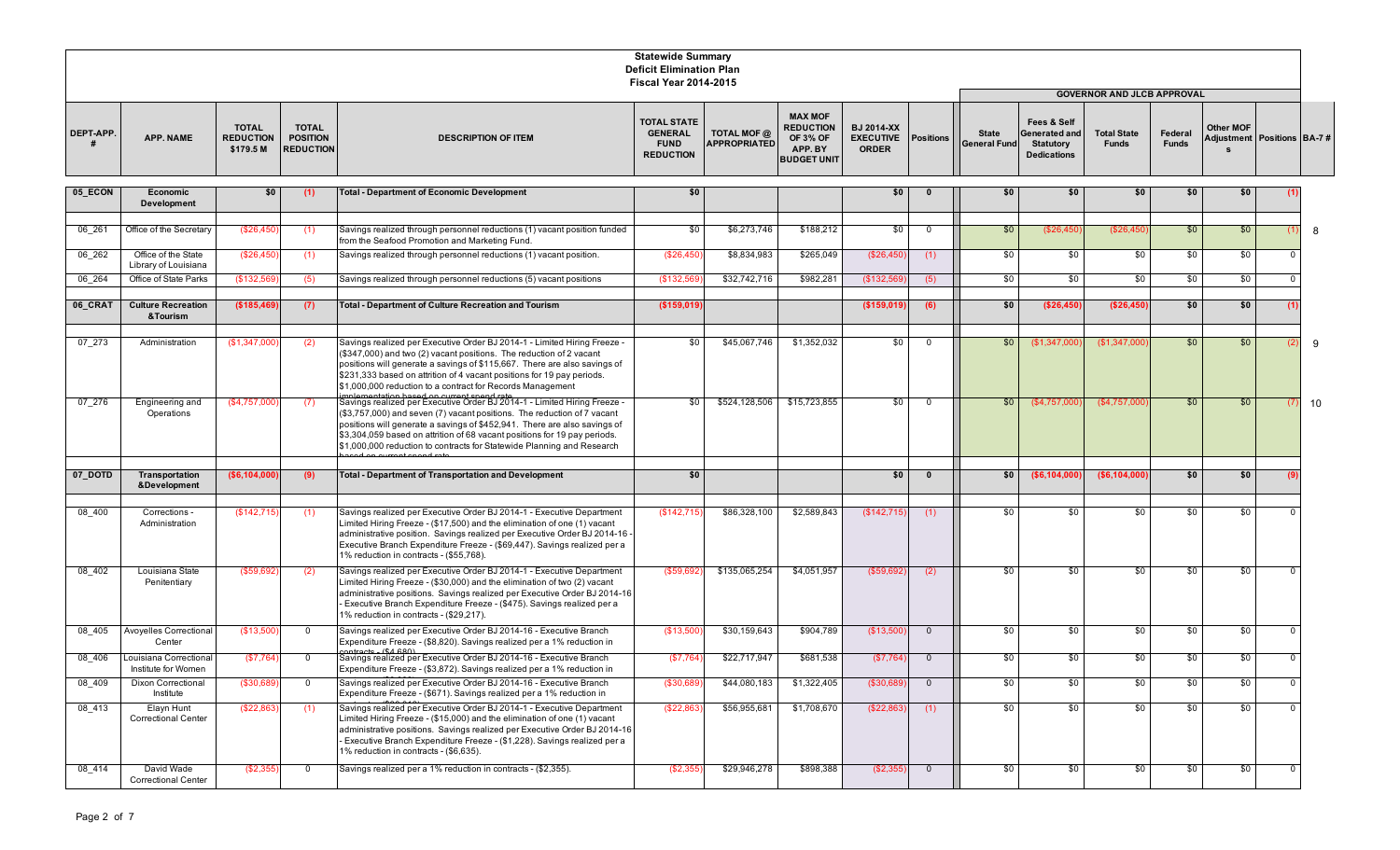|           |                                               |                                               |                                                     |                                                                                                                                                                                                                                                                                                                                                                                         | <b>Statewide Summary</b><br><b>Deficit Elimination Plan</b><br><b>Fiscal Year 2014-2015</b> |                                    |                                                                                        |                                                       |                  |                                     |                                                                               |                                    |                         |                                              |              |    |
|-----------|-----------------------------------------------|-----------------------------------------------|-----------------------------------------------------|-----------------------------------------------------------------------------------------------------------------------------------------------------------------------------------------------------------------------------------------------------------------------------------------------------------------------------------------------------------------------------------------|---------------------------------------------------------------------------------------------|------------------------------------|----------------------------------------------------------------------------------------|-------------------------------------------------------|------------------|-------------------------------------|-------------------------------------------------------------------------------|------------------------------------|-------------------------|----------------------------------------------|--------------|----|
|           |                                               |                                               |                                                     |                                                                                                                                                                                                                                                                                                                                                                                         |                                                                                             |                                    |                                                                                        |                                                       |                  |                                     |                                                                               | <b>GOVERNOR AND JLCB APPROVAL</b>  |                         |                                              |              |    |
| DEPT-APP. | <b>APP. NAME</b>                              | <b>TOTAL</b><br><b>REDUCTION</b><br>\$179.5 M | <b>TOTAL</b><br><b>POSITION</b><br><b>REDUCTION</b> | <b>DESCRIPTION OF ITEM</b>                                                                                                                                                                                                                                                                                                                                                              | <b>TOTAL STATE</b><br><b>GENERAL</b><br><b>FUND</b><br><b>REDUCTION</b>                     | TOTAL MOF @<br><b>APPROPRIATED</b> | <b>MAX MOF</b><br><b>REDUCTION</b><br><b>OF 3% OF</b><br>APP. BY<br><b>BUDGET UNIT</b> | <b>BJ 2014-XX</b><br><b>EXECUTIVE</b><br><b>ORDER</b> | <b>Positions</b> | <b>State</b><br><b>General Fund</b> | Fees & Self<br><b>Generated and</b><br><b>Statutory</b><br><b>Dedications</b> | <b>Total State</b><br><b>Funds</b> | Federal<br><b>Funds</b> | Other MOF<br>Adjustment   Positions   BA-7 # |              |    |
| 05 ECON   | Economic<br>Development                       | \$0                                           | (1)                                                 | <b>Total - Department of Economic Development</b>                                                                                                                                                                                                                                                                                                                                       | \$0                                                                                         |                                    |                                                                                        | \$0                                                   | $\mathbf{0}$     | \$0                                 | \$0                                                                           | \$0                                | \$0                     | \$0                                          |              |    |
| 06 261    | Office of the Secretary                       | (\$26,450                                     | (1)                                                 | Savings realized through personnel reductions (1) vacant position funded<br>from the Seafood Promotion and Marketing Fund.                                                                                                                                                                                                                                                              | \$0                                                                                         | \$6,273,746                        | \$188,212                                                                              | \$0                                                   | $\overline{0}$   | \$0                                 | (\$26,450                                                                     | (\$26,450                          | \$0                     | \$0                                          |              | 8  |
| 06 262    | Office of the State<br>Library of Louisiana   | (\$26,450                                     | (1)                                                 | Savings realized through personnel reductions (1) vacant position.                                                                                                                                                                                                                                                                                                                      | (\$26,450                                                                                   | \$8,834,983                        | \$265,049                                                                              | (\$26,45)                                             | (1)              | \$0                                 | \$0                                                                           | \$0                                | \$0                     | \$0                                          | 0            |    |
| 06 264    | Office of State Parks                         | (\$132,56\$                                   | (5)                                                 | Savings realized through personnel reductions (5) vacant positions                                                                                                                                                                                                                                                                                                                      | (\$132,56                                                                                   | \$32,742,716                       | \$982,281                                                                              | (\$132,56                                             | (5)              | \$0                                 | \$0                                                                           | \$0                                | \$0                     | \$0                                          |              |    |
| 06_CRAT   | <b>Culture Recreation</b><br>& Tourism        | (\$185,469)                                   | (7)                                                 | Total - Department of Culture Recreation and Tourism                                                                                                                                                                                                                                                                                                                                    | (\$159,019)                                                                                 |                                    |                                                                                        | (\$159,019                                            | (6)              | \$0                                 | (\$26,450                                                                     | (\$26,450)                         | \$0                     | \$0                                          |              |    |
| 07_273    | Administration                                | (\$1,347,000)                                 | (2)                                                 | Savings realized per Executive Order BJ 2014-1 - Limited Hiring Freeze -<br>(\$347,000) and two (2) vacant positions. The reduction of 2 vacant<br>positions will generate a savings of \$115,667. There are also savings of<br>\$231,333 based on attrition of 4 vacant positions for 19 pay periods.<br>\$1,000,000 reduction to a contract for Records Management                    | \$0                                                                                         | \$45,067,746                       | \$1,352,032                                                                            | \$0                                                   | $\mathbf 0$      | \$0                                 | (\$1,347,000                                                                  | (\$1,347,000                       | \$0                     | \$0                                          |              | 9  |
| 07 276    | Engineering and<br>Operations                 | (\$4,757,000                                  | (7)                                                 | Savings realized per Executive Order BJ 2014-1 - Limited Hiring Freeze -<br>(\$3,757,000) and seven (7) vacant positions. The reduction of 7 vacant<br>positions will generate a savings of \$452,941. There are also savings of<br>\$3,304,059 based on attrition of 68 vacant positions for 19 pay periods.<br>\$1,000,000 reduction to contracts for Statewide Planning and Research | \$0                                                                                         | \$524,128,506                      | \$15,723,855                                                                           | \$0                                                   | $\mathbf 0$      | \$0                                 | (\$4,757,000                                                                  | (\$4,757,000                       | \$0                     | \$0                                          |              | 10 |
| 07_DOTD   | <b>Transportation</b><br>&Development         | (\$6,104,000                                  | (9)                                                 | <b>Total - Department of Transportation and Development</b>                                                                                                                                                                                                                                                                                                                             | \$0                                                                                         |                                    |                                                                                        | \$0                                                   | $\bf{0}$         | \$0                                 | ( \$6,104,000                                                                 | (\$6,104,000                       | \$0                     | \$0                                          |              |    |
| 08 400    | Corrections -<br>Administration               | (\$142,715                                    | (1)                                                 | Savings realized per Executive Order BJ 2014-1 - Executive Department<br>Limited Hiring Freeze - (\$17,500) and the elimination of one (1) vacant<br>administrative position. Savings realized per Executive Order BJ 2014-16 -<br>Executive Branch Expenditure Freeze - (\$69,447). Savings realized per a<br>1% reduction in contracts - (\$55,768).                                  | (\$142,715                                                                                  | \$86,328,100                       | \$2,589,843                                                                            | (\$142,715                                            | (1)              | \$0                                 | \$0                                                                           | \$0                                | \$0                     | \$0                                          |              |    |
| 08_402    | Louisiana State<br>Penitentiary               | (\$59,692                                     | (2)                                                 | Savings realized per Executive Order BJ 2014-1 - Executive Department<br>Limited Hiring Freeze - (\$30,000) and the elimination of two (2) vacant<br>administrative positions. Savings realized per Executive Order BJ 2014-16<br>Executive Branch Expenditure Freeze - (\$475). Savings realized per a<br>1% reduction in contracts - (\$29.217).                                      | (\$59,692                                                                                   | \$135,065,254                      | \$4,051,957                                                                            | (\$59,692                                             | (2)              | \$0                                 | \$0                                                                           | \$0                                | \$0                     | \$0                                          | 0            |    |
| 08 405    | Avoyelles Correctional<br>Center              | (\$13,500                                     | $\Omega$                                            | Savings realized per Executive Order BJ 2014-16 - Executive Branch<br>Expenditure Freeze - (\$8,820). Savings realized per a 1% reduction in                                                                                                                                                                                                                                            | (\$13,500                                                                                   | \$30,159,643                       | \$904,789                                                                              | (\$13,50                                              | $\overline{0}$   | \$0                                 | \$0                                                                           | \$0                                | \$0                     | \$0                                          | 0            |    |
| 08 406    | Louisiana Correctional<br>Institute for Women | (\$7,764                                      | $\mathbf 0$                                         | Savings realized per Executive Order BJ 2014-16 - Executive Branch<br>Expenditure Freeze - (\$3,872). Savings realized per a 1% reduction in                                                                                                                                                                                                                                            | (\$7,764                                                                                    | \$22,717,947                       | \$681,538                                                                              | (\$7,764                                              | $\mathbf{0}$     | \$0                                 | \$0                                                                           | \$0                                | \$0                     | \$0                                          | 0            |    |
| 08 409    | Dixon Correctional<br>Institute               | (\$30,689)                                    | $^{\circ}$                                          | Savings realized per Executive Order BJ 2014-16 - Executive Branch<br>Expenditure Freeze - (\$671). Savings realized per a 1% reduction in                                                                                                                                                                                                                                              | (\$30,689)                                                                                  | \$44,080,183                       | \$1,322,405                                                                            | (\$30,68\$                                            | $\mathbf{0}$     | \$0                                 | \$0                                                                           | \$0                                | \$0                     | \$0                                          | $\Omega$     |    |
| 08 413    | Elayn Hunt<br><b>Correctional Center</b>      | (\$22,863                                     | (1)                                                 | Savings realized per Executive Order BJ 2014-1 - Executive Department<br>Limited Hiring Freeze - (\$15,000) and the elimination of one (1) vacant<br>administrative positions. Savings realized per Executive Order BJ 2014-16<br>Executive Branch Expenditure Freeze - (\$1,228). Savings realized per a<br>1% reduction in contracts - (\$6,635).                                     | (\$22,863                                                                                   | \$56,955,681                       | \$1,708,670                                                                            | (\$22,863                                             | (1)              | \$0                                 | \$0                                                                           | \$0                                | \$0                     | \$0                                          |              |    |
| 08 414    | David Wade<br><b>Correctional Center</b>      | (\$2,355                                      | $\overline{0}$                                      | Savings realized per a 1% reduction in contracts - (\$2,355).                                                                                                                                                                                                                                                                                                                           | (\$2,355                                                                                    | \$29,946,278                       | \$898,388                                                                              | (\$2,355                                              | $\overline{0}$   | \$0                                 | \$0                                                                           | \$0                                | \$0                     | \$0                                          | $\mathbf{0}$ |    |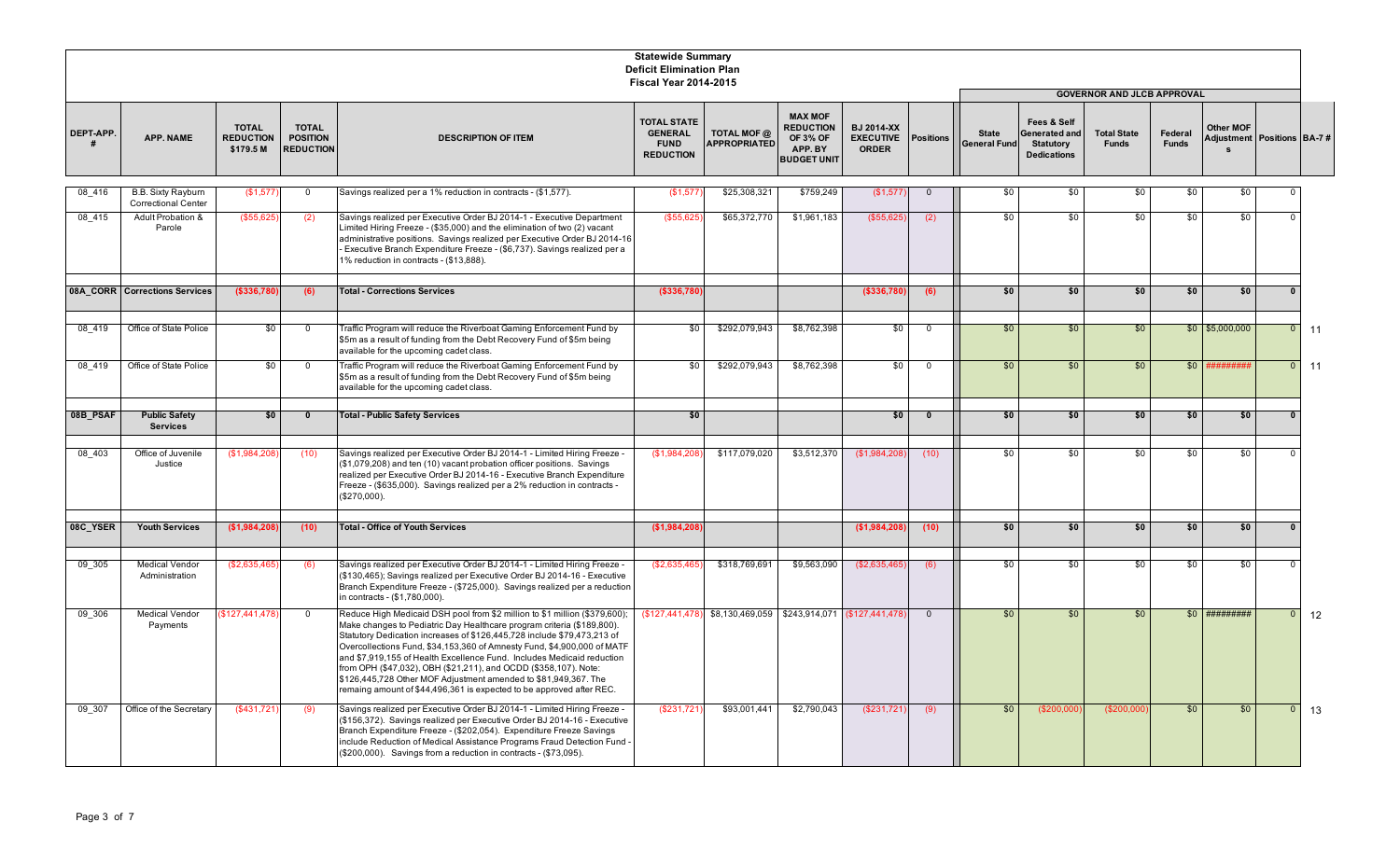|                 |                                                         |                                               |                                                     |                                                                                                                                                                                                                                                                                                                                                                                                                                                                                                                                                                                                     | <b>Statewide Summary</b><br><b>Deficit Elimination Plan</b><br><b>Fiscal Year 2014-2015</b> |                                                              |                                                                  |                                                       |                  |                                     |                                                                               |                                                                         |                         |                                          |                |    |
|-----------------|---------------------------------------------------------|-----------------------------------------------|-----------------------------------------------------|-----------------------------------------------------------------------------------------------------------------------------------------------------------------------------------------------------------------------------------------------------------------------------------------------------------------------------------------------------------------------------------------------------------------------------------------------------------------------------------------------------------------------------------------------------------------------------------------------------|---------------------------------------------------------------------------------------------|--------------------------------------------------------------|------------------------------------------------------------------|-------------------------------------------------------|------------------|-------------------------------------|-------------------------------------------------------------------------------|-------------------------------------------------------------------------|-------------------------|------------------------------------------|----------------|----|
| <b>DEPT-APP</b> | APP. NAME                                               | <b>TOTAL</b><br><b>REDUCTION</b><br>\$179.5 M | <b>TOTAL</b><br><b>POSITION</b><br><b>REDUCTION</b> | <b>DESCRIPTION OF ITEM</b>                                                                                                                                                                                                                                                                                                                                                                                                                                                                                                                                                                          | <b>TOTAL STATE</b><br><b>GENERAL</b><br><b>FUND</b><br><b>REDUCTION</b>                     | TOTAL MOF @<br><b>APPROPRIATED</b>                           | <b>MAX MOF</b><br><b>REDUCTION</b><br><b>OF 3% OF</b><br>APP. BY | <b>BJ 2014-XX</b><br><b>EXECUTIVE</b><br><b>ORDER</b> | <b>Positions</b> | <b>State</b><br><b>General Fund</b> | Fees & Self<br><b>Generated and</b><br><b>Statutory</b><br><b>Dedications</b> | <b>GOVERNOR AND JLCB APPROVAL</b><br><b>Total State</b><br><b>Funds</b> | Federal<br><b>Funds</b> | Other MOF<br>Adjustment Positions BA-7 # |                |    |
|                 |                                                         |                                               |                                                     |                                                                                                                                                                                                                                                                                                                                                                                                                                                                                                                                                                                                     |                                                                                             |                                                              | <b>BUDGET UNIT</b>                                               |                                                       |                  |                                     |                                                                               |                                                                         |                         |                                          |                |    |
| 08 416          | <b>B.B. Sixty Rayburn</b><br><b>Correctional Center</b> | (\$1,577                                      | $\overline{0}$                                      | Savings realized per a 1% reduction in contracts - (\$1,577).                                                                                                                                                                                                                                                                                                                                                                                                                                                                                                                                       | (\$1,577                                                                                    | \$25,308,321                                                 | \$759,249                                                        | (\$1,577)                                             | $\overline{0}$   | \$0                                 | \$0                                                                           | \$0                                                                     | \$0                     | \$0                                      |                |    |
| 08 415          | Adult Probation &<br>Parole                             | (\$55,625                                     | (2)                                                 | Savings realized per Executive Order BJ 2014-1 - Executive Department<br>Limited Hiring Freeze - (\$35,000) and the elimination of two (2) vacant<br>administrative positions. Savings realized per Executive Order BJ 2014-16<br>Executive Branch Expenditure Freeze - (\$6,737). Savings realized per a<br>1% reduction in contracts - (\$13,888).                                                                                                                                                                                                                                                | (\$55,625                                                                                   | \$65,372,770                                                 | \$1,961,183                                                      | (\$55,625                                             | (2)              | \$0                                 | \$0                                                                           | \$0                                                                     | \$0                     | \$0                                      | $\Omega$       |    |
|                 | 08A CORR Corrections Services                           | (\$336,780                                    | (6)                                                 | <b>Total - Corrections Services</b>                                                                                                                                                                                                                                                                                                                                                                                                                                                                                                                                                                 | (\$336,780)                                                                                 |                                                              |                                                                  | ( \$336, 780]                                         | (6)              | \$0                                 | \$0                                                                           | \$0                                                                     | \$0                     | \$0                                      | $\mathbf{0}$   |    |
| 08 419          | Office of State Police                                  | \$0                                           | $\overline{0}$                                      | Traffic Program will reduce the Riverboat Gaming Enforcement Fund by<br>\$5m as a result of funding from the Debt Recovery Fund of \$5m being<br>available for the upcoming cadet class.                                                                                                                                                                                                                                                                                                                                                                                                            | \$0                                                                                         | \$292,079,943                                                | \$8,762,398                                                      | $\frac{6}{3}$                                         | $\mathbf 0$      | \$0                                 | \$0                                                                           | \$0                                                                     |                         | $$0$ $$5,000,000$                        | $\mathbf{0}$   | 11 |
| 08 419          | Office of State Police                                  | \$0                                           | $\Omega$                                            | Traffic Program will reduce the Riverboat Gaming Enforcement Fund by<br>\$5m as a result of funding from the Debt Recovery Fund of \$5m being<br>available for the upcoming cadet class.                                                                                                                                                                                                                                                                                                                                                                                                            | \$0                                                                                         | \$292,079,943                                                | \$8,762,398                                                      | \$0                                                   | $\mathbf 0$      | \$0                                 | \$0                                                                           | \$0                                                                     | \$0                     |                                          | $\overline{0}$ | 11 |
| 08B_PSAF        | <b>Public Safety</b><br><b>Services</b>                 | \$0                                           | $\mathbf{0}$                                        | <b>Total - Public Safety Services</b>                                                                                                                                                                                                                                                                                                                                                                                                                                                                                                                                                               | \$0                                                                                         |                                                              |                                                                  | \$0                                                   | $\mathbf 0$      | \$0                                 | \$0                                                                           | \$0                                                                     | \$0                     | \$0                                      | $\bf{0}$       |    |
| 08 403          | Office of Juvenile<br>Justice                           | (\$1,984,208                                  | (10)                                                | Savings realized per Executive Order BJ 2014-1 - Limited Hiring Freeze -<br>(\$1,079,208) and ten (10) vacant probation officer positions. Savings<br>realized per Executive Order BJ 2014-16 - Executive Branch Expenditure<br>Freeze - (\$635,000). Savings realized per a 2% reduction in contracts -<br>(\$270,000).                                                                                                                                                                                                                                                                            | (\$1,984,208                                                                                | \$117,079,020                                                | \$3,512,370                                                      | (\$1,984,208                                          | (10)             | \$0                                 | \$0                                                                           | \$0                                                                     | \$0                     | \$0                                      | $\Omega$       |    |
| 08C_YSER        | <b>Youth Services</b>                                   | (\$1,984,208                                  | (10)                                                | <b>Total - Office of Youth Services</b>                                                                                                                                                                                                                                                                                                                                                                                                                                                                                                                                                             | (\$1,984,208)                                                                               |                                                              |                                                                  | (\$1,984,208)                                         | (10)             | \$0                                 | \$0                                                                           | \$0                                                                     | \$0                     | \$0                                      | $\bf{0}$       |    |
|                 |                                                         |                                               |                                                     |                                                                                                                                                                                                                                                                                                                                                                                                                                                                                                                                                                                                     |                                                                                             |                                                              |                                                                  |                                                       |                  |                                     |                                                                               |                                                                         |                         |                                          |                |    |
| 09 305          | <b>Medical Vendor</b><br>Administration                 | (\$2,635,465)                                 | (6)                                                 | Savings realized per Executive Order BJ 2014-1 - Limited Hiring Freeze -<br>(\$130,465); Savings realized per Executive Order BJ 2014-16 - Executive<br>Branch Expenditure Freeze - (\$725,000). Savings realized per a reduction<br>in contracts - (\$1,780,000).                                                                                                                                                                                                                                                                                                                                  | (\$2,635,465)                                                                               | \$318,769,691                                                | \$9,563,090                                                      | (\$2,635,465)                                         | (6)              | \$0                                 | \$0                                                                           | \$0                                                                     | \$0                     | \$0                                      | $\Omega$       |    |
| 09 306          | <b>Medical Vendor</b><br>Payments                       | \$127,441,478                                 | $\overline{0}$                                      | Reduce High Medicaid DSH pool from \$2 million to \$1 million (\$379,600);<br>Make changes to Pediatric Day Healthcare program criteria (\$189,800).<br>Statutory Dedication increases of \$126,445,728 include \$79,473,213 of<br>Overcollections Fund, \$34,153,360 of Amnesty Fund, \$4,900,000 of MATF<br>and \$7,919,155 of Health Excellence Fund. Includes Medicaid reduction<br>from OPH (\$47,032), OBH (\$21,211), and OCDD (\$358,107). Note:<br>\$126,445,728 Other MOF Adjustment amended to \$81,949,367. The<br>remaing amount of \$44,496,361 is expected to be approved after REC. |                                                                                             | (\$127,441,478) \$8,130,469,059 \$243,914,071 (\$127,441,478 |                                                                  |                                                       | $\overline{0}$   | \$0                                 | \$0                                                                           | \$0                                                                     |                         | $$0$ ##########                          | $\overline{0}$ | 12 |
| 09 307          | Office of the Secretary                                 | (\$431,721                                    | (9)                                                 | Savings realized per Executive Order BJ 2014-1 - Limited Hiring Freeze -<br>(\$156,372). Savings realized per Executive Order BJ 2014-16 - Executive<br>Branch Expenditure Freeze - (\$202,054). Expenditure Freeze Savings<br>include Reduction of Medical Assistance Programs Fraud Detection Fund -<br>(\$200,000). Savings from a reduction in contracts - (\$73,095).                                                                                                                                                                                                                          | (\$231,721                                                                                  | \$93,001,441                                                 | \$2,790,043                                                      | (\$231,721                                            | (9)              | \$0                                 | (\$200,00"                                                                    | (\$200,000                                                              | \$0                     | \$0                                      | $\overline{0}$ | 13 |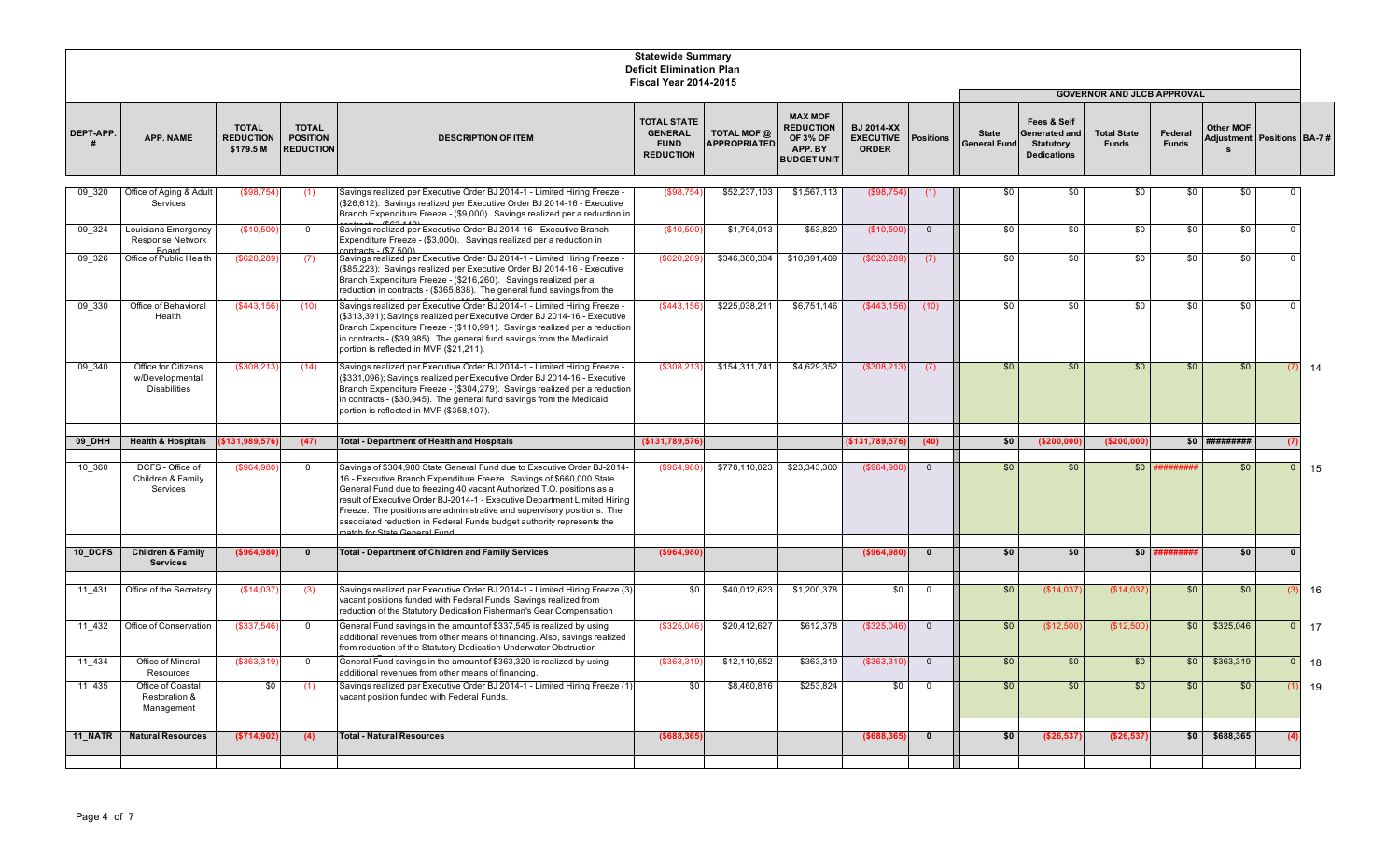|           |                                                               |                                               |                                                     |                                                                                                                                                                                                                                                                                                                                                                                                                                                           | <b>Statewide Summary</b><br><b>Deficit Elimination Plan</b><br><b>Fiscal Year 2014-2015</b> |                                    |                                                                                        |                                                       |                  |                                     |                                                                        |                                                                         |                         |                |                                    |    |
|-----------|---------------------------------------------------------------|-----------------------------------------------|-----------------------------------------------------|-----------------------------------------------------------------------------------------------------------------------------------------------------------------------------------------------------------------------------------------------------------------------------------------------------------------------------------------------------------------------------------------------------------------------------------------------------------|---------------------------------------------------------------------------------------------|------------------------------------|----------------------------------------------------------------------------------------|-------------------------------------------------------|------------------|-------------------------------------|------------------------------------------------------------------------|-------------------------------------------------------------------------|-------------------------|----------------|------------------------------------|----|
| DEPT-APP. | APP. NAME                                                     | <b>TOTAL</b><br><b>REDUCTION</b><br>\$179.5 M | <b>TOTAL</b><br><b>POSITION</b><br><b>REDUCTION</b> | <b>DESCRIPTION OF ITEM</b>                                                                                                                                                                                                                                                                                                                                                                                                                                | <b>TOTAL STATE</b><br><b>GENERAL</b><br><b>FUND</b><br><b>REDUCTION</b>                     | TOTAL MOF @<br><b>APPROPRIATED</b> | <b>MAX MOF</b><br><b>REDUCTION</b><br><b>OF 3% OF</b><br>APP. BY<br><b>BUDGET UNIT</b> | <b>BJ 2014-XX</b><br><b>EXECUTIVE</b><br><b>ORDER</b> | <b>Positions</b> | <b>State</b><br><b>General Fund</b> | Fees & Self<br>Generated and<br><b>Statutory</b><br><b>Dedications</b> | <b>GOVERNOR AND JLCB APPROVAL</b><br><b>Total State</b><br><b>Funds</b> | Federal<br><b>Funds</b> | Other MOF      | <b>Adjustment Positions BA-7 #</b> |    |
| 09 320    | Office of Aging & Adult<br>Services                           | (\$98,754)                                    | (1)                                                 | Savings realized per Executive Order BJ 2014-1 - Limited Hiring Freeze -<br>(\$26,612). Savings realized per Executive Order BJ 2014-16 - Executive<br>Branch Expenditure Freeze - (\$9,000). Savings realized per a reduction ir                                                                                                                                                                                                                         | (\$98,754)                                                                                  | \$52,237,103                       | \$1,567,113                                                                            | (\$98,754                                             | (1)              | \$0                                 | \$0                                                                    | \$0                                                                     | \$0                     | \$0            | $\Omega$                           |    |
| 09 324    | Louisiana Emergency<br><b>Response Network</b>                | (\$10,500                                     | $\Omega$                                            | Savings realized per Executive Order BJ 2014-16 - Executive Branch<br>Expenditure Freeze - (\$3,000). Savings realized per a reduction in                                                                                                                                                                                                                                                                                                                 | (\$10,500                                                                                   | \$1,794,013                        | \$53,820                                                                               | (\$10,500                                             | $\overline{0}$   | \$0                                 | \$0                                                                    | \$0                                                                     | \$0                     | \$0            | $\Omega$                           |    |
| 09 326    | <b>Board</b><br>Office of Public Health                       | (\$620, 289)                                  | (7)                                                 | $matrixer($ \$7.500)<br>Savings realized per Executive Order BJ 2014-1 - Limited Hiring Freeze -<br>(\$85,223); Savings realized per Executive Order BJ 2014-16 - Executive<br>Branch Expenditure Freeze - (\$216,260). Savings realized per a<br>reduction in contracts - (\$365,838). The general fund savings from the                                                                                                                                 | (\$620,289                                                                                  | \$346,380,304                      | \$10,391,409                                                                           | (\$620,289                                            | (7)              | \$0                                 | \$0                                                                    | \$0                                                                     | \$0                     | \$0            | $\Omega$                           |    |
| 09 330    | Office of Behavioral<br>Health                                | (\$443,156                                    | (10)                                                | Savings realized per Executive Order BJ 2014-1 - Limited Hiring Freeze -<br>(\$313,391); Savings realized per Executive Order BJ 2014-16 - Executive<br>Branch Expenditure Freeze - (\$110,991). Savings realized per a reduction<br>n contracts - (\$39,985). The general fund savings from the Medicaid<br>portion is reflected in MVP (\$21,211).                                                                                                      | (\$443,156                                                                                  | \$225,038,211                      | \$6,751,146                                                                            | (\$443,156                                            | (10)             | \$0                                 | \$0                                                                    | \$0                                                                     | \$0                     | \$0            | $\Omega$                           |    |
| 09 340    | Office for Citizens<br>w/Developmental<br><b>Disabilities</b> | (\$308,213                                    | (14)                                                | Savings realized per Executive Order BJ 2014-1 - Limited Hiring Freeze -<br>(\$331,096); Savings realized per Executive Order BJ 2014-16 - Executive<br>Branch Expenditure Freeze - (\$304,279). Savings realized per a reduction<br>n contracts - (\$30,945). The general fund savings from the Medicaid<br>portion is reflected in MVP (\$358,107).                                                                                                     | (\$308,213)                                                                                 | \$154,311,741                      | \$4,629,352                                                                            | (\$308,213                                            | (7)              | \$0                                 | \$0                                                                    | \$0                                                                     | \$0                     | \$0            | (7)                                | 14 |
| 09_DHH    | <b>Health &amp; Hospitals</b>                                 | \$131,989,576                                 | (47)                                                | <b>Total - Department of Health and Hospitals</b>                                                                                                                                                                                                                                                                                                                                                                                                         | (\$131,789,576                                                                              |                                    |                                                                                        | (\$131,789,576                                        | (40)             | \$0                                 | (\$200,000                                                             | ( \$200, 000                                                            |                         | $$0$ ######### | (7)                                |    |
| 10 360    | DCFS - Office of<br>Children & Family<br>Services             | (\$964,980)                                   | $\Omega$                                            | Savings of \$304,980 State General Fund due to Executive Order BJ-2014-<br>16 - Executive Branch Expenditure Freeze. Savings of \$660,000 State<br>General Fund due to freezing 40 vacant Authorized T.O. positions as a<br>result of Executive Order BJ-2014-1 - Executive Department Limited Hiring<br>Freeze. The positions are administrative and supervisory positions. The<br>associated reduction in Federal Funds budget authority represents the | (\$964,980)                                                                                 | \$778.110.023                      | \$23.343.300                                                                           | (\$964.980                                            | $\overline{0}$   | \$0                                 | \$0                                                                    | \$0                                                                     | #######                 | \$0            | $\overline{0}$                     | 15 |
| 10 DCFS   | <b>Children &amp; Family</b><br><b>Services</b>               | (\$964,980)                                   | $\mathbf{0}$                                        | <b>Total - Department of Children and Family Services</b>                                                                                                                                                                                                                                                                                                                                                                                                 | (\$964,980                                                                                  |                                    |                                                                                        | (\$964,980                                            | $\mathbf{0}$     | \$0                                 | \$0                                                                    | \$0                                                                     | *#######                | \$0            | $\mathbf{0}$                       |    |
| 11 431    | Office of the Secretary                                       | \$14,037                                      | (3)                                                 | Savings realized per Executive Order BJ 2014-1 - Limited Hiring Freeze (3)<br>acant positions funded with Federal Funds. Savings realized from<br>reduction of the Statutory Dedication Fisherman's Gear Compensation                                                                                                                                                                                                                                     | \$0                                                                                         | \$40,012,623                       | \$1,200,378                                                                            | \$0                                                   | $\overline{0}$   | \$0                                 | (\$14,03]                                                              | (S14,03)                                                                | \$0                     | \$0            | 13                                 | 16 |
| 11 432    | Office of Conservation                                        | (\$337,546)                                   | $\Omega$                                            | General Fund savings in the amount of \$337,545 is realized by using<br>additional revenues from other means of financing. Also, savings realized<br>from reduction of the Statutory Dedication Underwater Obstruction                                                                                                                                                                                                                                    | (\$325,046                                                                                  | \$20,412,627                       | \$612,378                                                                              | (\$325,046                                            | $\overline{0}$   | \$0                                 | (\$12,50                                                               | (\$12,50                                                                | \$0                     | \$325,046      | $\mathbf{0}$                       | 17 |
| 11 434    | Office of Mineral<br>Resources                                | (\$363,319)                                   | $\overline{0}$                                      | General Fund savings in the amount of \$363,320 is realized by using<br>additional revenues from other means of financing.                                                                                                                                                                                                                                                                                                                                | (\$363,319                                                                                  | \$12,110,652                       | \$363,319                                                                              | (\$363,319)                                           | $\mathbf 0$      | \$0                                 | \$0                                                                    | \$0                                                                     | \$0                     | \$363,319      | $\mathbf{0}$                       | 18 |
| 11 435    | Office of Coastal<br>Restoration &<br>Management              | \$0                                           | (1)                                                 | Savings realized per Executive Order BJ 2014-1 - Limited Hiring Freeze (1<br>vacant position funded with Federal Funds.                                                                                                                                                                                                                                                                                                                                   | \$0                                                                                         | \$8,460,816                        | \$253,824                                                                              | \$0                                                   | $\mathbf 0$      | \$0                                 | \$0                                                                    | \$0                                                                     | \$0                     | \$0            | (1)                                | 19 |
| 11 NATR   | <b>Natural Resources</b>                                      | (\$714,902)                                   | (4)                                                 | <b>Total - Natural Resources</b>                                                                                                                                                                                                                                                                                                                                                                                                                          | (\$688,365                                                                                  |                                    |                                                                                        | (\$688,365                                            | $\mathbf{0}$     | \$0                                 | (\$26,537                                                              | (\$26,537                                                               | \$0                     | \$688,365      | (4)                                |    |
|           |                                                               |                                               |                                                     |                                                                                                                                                                                                                                                                                                                                                                                                                                                           |                                                                                             |                                    |                                                                                        |                                                       |                  |                                     |                                                                        |                                                                         |                         |                |                                    |    |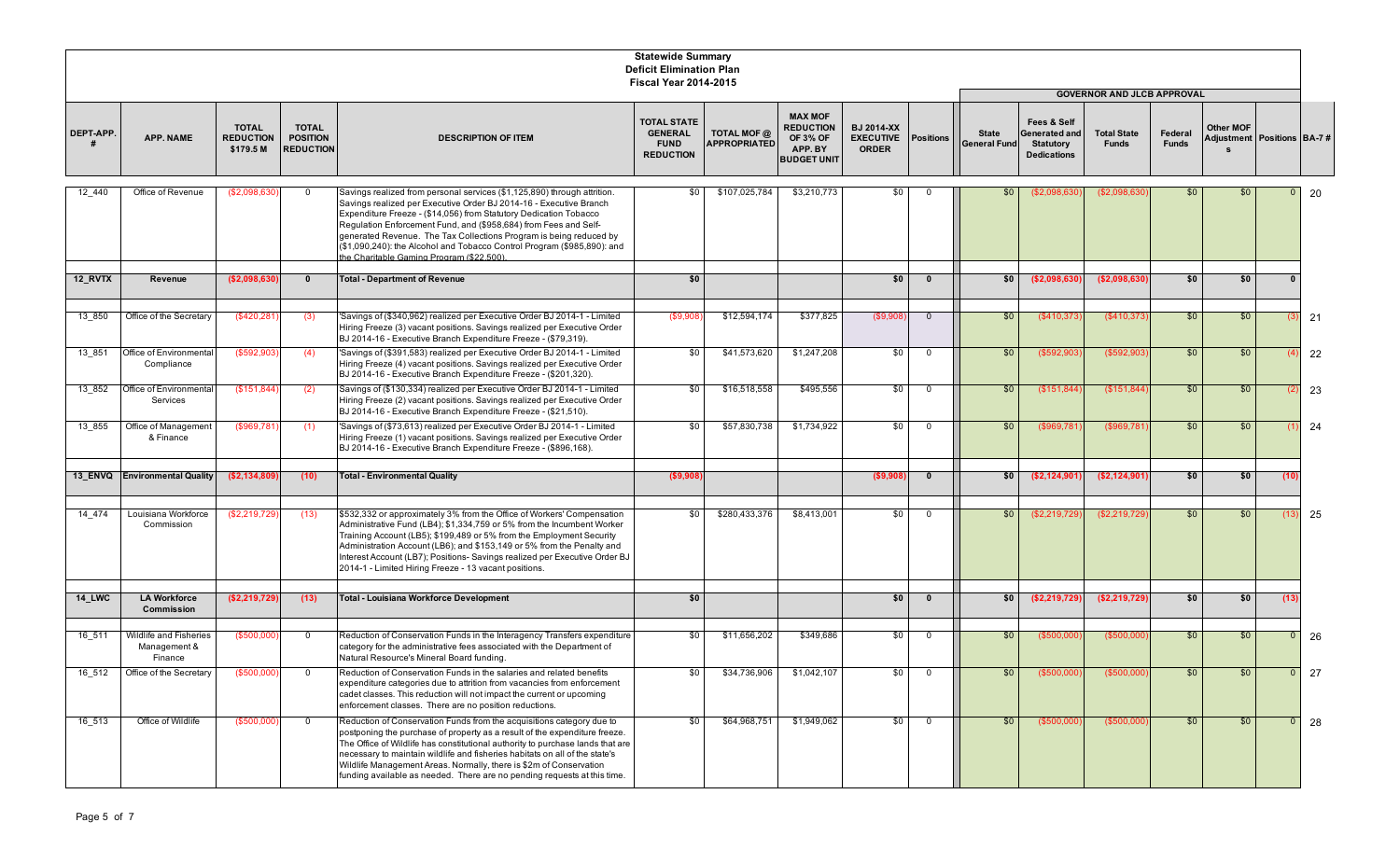|               |                                                   |                                               |                                                     |                                                                                                                                                                                                                                                                                                                                                                                                                                                                                      | <b>Statewide Summary</b><br><b>Deficit Elimination Plan</b><br><b>Fiscal Year 2014-2015</b> |                                    |                                                                                        |                                                       |                  |                                     |                                                                        |                                    |                         |                                              |                |             |
|---------------|---------------------------------------------------|-----------------------------------------------|-----------------------------------------------------|--------------------------------------------------------------------------------------------------------------------------------------------------------------------------------------------------------------------------------------------------------------------------------------------------------------------------------------------------------------------------------------------------------------------------------------------------------------------------------------|---------------------------------------------------------------------------------------------|------------------------------------|----------------------------------------------------------------------------------------|-------------------------------------------------------|------------------|-------------------------------------|------------------------------------------------------------------------|------------------------------------|-------------------------|----------------------------------------------|----------------|-------------|
|               |                                                   |                                               |                                                     |                                                                                                                                                                                                                                                                                                                                                                                                                                                                                      |                                                                                             |                                    |                                                                                        |                                                       |                  |                                     |                                                                        | <b>GOVERNOR AND JLCB APPROVAL</b>  |                         |                                              |                |             |
| DEPT-APP.     | APP. NAME                                         | <b>TOTAL</b><br><b>REDUCTION</b><br>\$179.5 M | <b>TOTAL</b><br><b>POSITION</b><br><b>REDUCTION</b> | <b>DESCRIPTION OF ITEM</b>                                                                                                                                                                                                                                                                                                                                                                                                                                                           | <b>TOTAL STATE</b><br><b>GENERAL</b><br><b>FUND</b><br><b>REDUCTION</b>                     | TOTAL MOF @<br><b>APPROPRIATED</b> | <b>MAX MOF</b><br><b>REDUCTION</b><br><b>OF 3% OF</b><br>APP. BY<br><b>BUDGET UNIT</b> | <b>BJ 2014-XX</b><br><b>EXECUTIVE</b><br><b>ORDER</b> | <b>Positions</b> | <b>State</b><br><b>General Fund</b> | Fees & Self<br>Generated and<br><b>Statutory</b><br><b>Dedications</b> | <b>Total State</b><br><b>Funds</b> | Federal<br><b>Funds</b> | Other MOF<br>Adjustment   Positions   BA-7 # |                |             |
| 12 440        | Office of Revenue                                 | (\$2,098,630                                  | $\overline{0}$                                      | Savings realized from personal services (\$1,125,890) through attrition.<br>Savings realized per Executive Order BJ 2014-16 - Executive Branch<br>Expenditure Freeze - (\$14,056) from Statutory Dedication Tobacco<br>Regulation Enforcement Fund, and (\$958,684) from Fees and Self-<br>generated Revenue. The Tax Collections Program is being reduced by<br>(\$1,090,240): the Alcohol and Tobacco Control Program (\$985,890): and<br>he Charitable Gaming Program (\$22,500). | \$0                                                                                         | \$107,025,784                      | \$3,210,773                                                                            | \$0                                                   | $\Omega$         | \$0                                 | (\$2,098,630                                                           | (\$2,098,630                       | \$0                     | \$0                                          | $\overline{0}$ | 20          |
| 12 RVTX       | Revenue                                           | ( \$2,098,630)                                | $\bf{0}$                                            | <b>Total - Department of Revenue</b>                                                                                                                                                                                                                                                                                                                                                                                                                                                 | \$0                                                                                         |                                    |                                                                                        | 50                                                    | $\mathbf{0}$     | \$0                                 | (\$2,098,630                                                           | ( \$2,098,630]                     | \$0                     | \$0                                          | $\mathbf{0}$   |             |
| 13 850        | Office of the Secretary                           | (\$420,281                                    | (3)                                                 | 'Savings of (\$340,962) realized per Executive Order BJ 2014-1 - Limited<br>Hiring Freeze (3) vacant positions. Savings realized per Executive Order<br>BJ 2014-16 - Executive Branch Expenditure Freeze - (\$79,319).                                                                                                                                                                                                                                                               | (\$9,90                                                                                     | \$12,594,174                       | \$377,825                                                                              | (\$9,90                                               | $\overline{0}$   | \$0                                 | (\$410,373                                                             | (\$410,373                         | \$0                     | \$0                                          | (3)            | 21          |
| 13 851        | Office of Environmental<br>Compliance             | (\$592,903                                    | (4)                                                 | 'Savings of (\$391,583) realized per Executive Order BJ 2014-1 - Limited<br>Hiring Freeze (4) vacant positions. Savings realized per Executive Order<br>BJ 2014-16 - Executive Branch Expenditure Freeze - (\$201,320).                                                                                                                                                                                                                                                              | \$0                                                                                         | \$41,573,620                       | \$1,247,208                                                                            | \$0                                                   | $\mathbf 0$      | \$0                                 | (\$592,903                                                             | (\$592,903                         | \$0                     | \$0                                          |                | 22          |
| 13 852        | Office of Environmental<br>Services               | (S151.844)                                    | (2)                                                 | Savings of (\$130,334) realized per Executive Order BJ 2014-1 - Limited<br>Hiring Freeze (2) vacant positions. Savings realized per Executive Order<br>BJ 2014-16 - Executive Branch Expenditure Freeze - (\$21.510).                                                                                                                                                                                                                                                                | \$0                                                                                         | \$16,518,558                       | \$495,556                                                                              | \$0                                                   | $\mathbf 0$      | \$0                                 | (\$151,844                                                             | (\$151,844                         | \$0                     | \$0                                          |                | 23          |
| 13 855        | Office of Management<br>& Finance                 | (\$969,781)                                   | (1)                                                 | 'Savings of (\$73,613) realized per Executive Order BJ 2014-1 - Limited<br>Hiring Freeze (1) vacant positions. Savings realized per Executive Order<br>BJ 2014-16 - Executive Branch Expenditure Freeze - (\$896,168).                                                                                                                                                                                                                                                               | \$0                                                                                         | \$57,830,738                       | \$1,734,922                                                                            | \$0                                                   | $\overline{0}$   | \$0                                 | (\$969,781                                                             | (\$969,781                         | \$0                     | \$0                                          |                | 24          |
| 13 ENVQ       | <b>Environmental Quality</b>                      | (\$2,134,809)                                 | (10)                                                | <b>Total - Environmental Quality</b>                                                                                                                                                                                                                                                                                                                                                                                                                                                 | (\$9,908                                                                                    |                                    |                                                                                        | (\$9,908                                              | $\mathbf 0$      | \$0                                 | (\$2,124,901                                                           | (\$2,124,901]                      | \$0                     | \$0                                          | (10)           |             |
|               |                                                   |                                               |                                                     |                                                                                                                                                                                                                                                                                                                                                                                                                                                                                      |                                                                                             |                                    |                                                                                        |                                                       |                  |                                     |                                                                        |                                    |                         |                                              |                |             |
| 14 474        | Louisiana Workforce<br>Commission                 | (\$2,219,729)                                 | (13)                                                | \$532,332 or approximately 3% from the Office of Workers' Compensation<br>Administrative Fund (LB4); \$1,334,759 or 5% from the Incumbent Worker<br>Training Account (LB5); \$199,489 or 5% from the Employment Security<br>Administration Account (LB6); and \$153,149 or 5% from the Penalty and<br>Interest Account (LB7); Positions- Savings realized per Executive Order BJ<br>2014-1 - Limited Hiring Freeze - 13 vacant positions.                                            | \$0                                                                                         | \$280,433,376                      | \$8,413,001                                                                            | \$0                                                   | $\mathbf 0$      | \$0                                 | (\$2,219,729                                                           | \$2,219,729                        | \$0                     | \$0                                          | (13)           | 25          |
| <b>14 LWC</b> | <b>LA Workforce</b><br>Commission                 | (\$2,219,729)                                 | (13)                                                | Total - Louisiana Workforce Development                                                                                                                                                                                                                                                                                                                                                                                                                                              | \$0                                                                                         |                                    |                                                                                        | \$0                                                   | $\mathbf{0}$     | \$0                                 | (\$2,219,729                                                           | (\$2,219,729                       | \$0                     | \$0                                          | (13)           |             |
|               |                                                   |                                               |                                                     |                                                                                                                                                                                                                                                                                                                                                                                                                                                                                      |                                                                                             |                                    |                                                                                        |                                                       |                  |                                     |                                                                        |                                    |                         |                                              |                |             |
| 16 511        | Wildlife and Fisheries<br>Management &<br>Finance | (\$500,000                                    | $\overline{0}$                                      | Reduction of Conservation Funds in the Interagency Transfers expenditure<br>category for the administrative fees associated with the Department of<br>Natural Resource's Mineral Board funding.                                                                                                                                                                                                                                                                                      | \$0                                                                                         | \$11,656,202                       | \$349,686                                                                              | \$0 I                                                 | $^{\circ}$       | \$0                                 | (\$500,000                                                             | (\$500,000                         | \$0                     | \$0                                          | $\overline{0}$ | 26          |
|               | 16_512 Office of the Secretary                    | (S500,000)                                    |                                                     | Reduction of Conservation Funds in the salaries and related benefits<br>expenditure categories due to attrition from vacancies from enforcement<br>cadet classes. This reduction will not impact the current or upcoming<br>enforcement classes. There are no position reductions.                                                                                                                                                                                                   | \$0                                                                                         | \$34,736,906                       | \$1,042,107                                                                            | - \$0                                                 | $\mathbf 0$      | \$0                                 | $($ \$500,000                                                          | $($ \$500,000)                     | \$0                     | \$0                                          |                | $0 \mid 27$ |
| 16 513        | Office of Wildlife                                | (\$500,000)                                   | $\overline{0}$                                      | Reduction of Conservation Funds from the acquisitions category due to<br>postponing the purchase of property as a result of the expenditure freeze.<br>The Office of Wildlife has constitutional authority to purchase lands that are<br>necessary to maintain wildlife and fisheries habitats on all of the state's<br>Wildlife Management Areas. Normally, there is \$2m of Conservation<br>funding available as needed. There are no pending requests at this time.               | \$0 I                                                                                       | \$64,968,751                       | \$1,949,062                                                                            | \$0                                                   | $\mathbf 0$      | \$0                                 | (\$500,000                                                             | (\$500,000)                        | \$0                     | \$0                                          | $\mathbf{0}$   | 28          |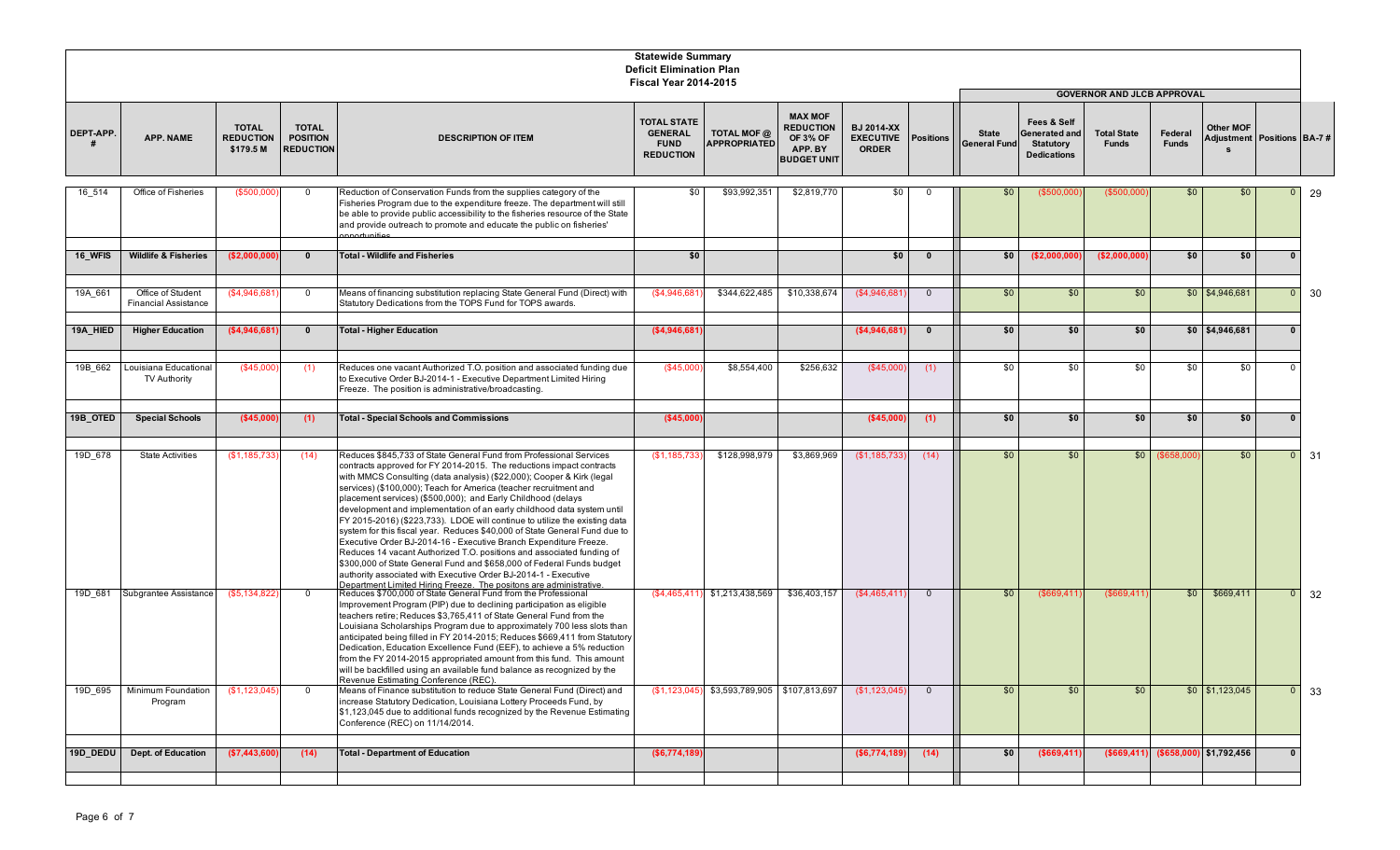|           |                                                  |                                               |                                                     |                                                                                                                                                                                                                                                                                                                                                                                                                                                                                                                                                                                                                                                                                                                                                                                                                                                                                          | <b>Statewide Summary</b><br><b>Deficit Elimination Plan</b><br><b>Fiscal Year 2014-2015</b> |                                                |                                                                                        |                                                       |                  |                                     |                                                                        |                                                                         |                         |                                |                             |    |
|-----------|--------------------------------------------------|-----------------------------------------------|-----------------------------------------------------|------------------------------------------------------------------------------------------------------------------------------------------------------------------------------------------------------------------------------------------------------------------------------------------------------------------------------------------------------------------------------------------------------------------------------------------------------------------------------------------------------------------------------------------------------------------------------------------------------------------------------------------------------------------------------------------------------------------------------------------------------------------------------------------------------------------------------------------------------------------------------------------|---------------------------------------------------------------------------------------------|------------------------------------------------|----------------------------------------------------------------------------------------|-------------------------------------------------------|------------------|-------------------------------------|------------------------------------------------------------------------|-------------------------------------------------------------------------|-------------------------|--------------------------------|-----------------------------|----|
| DEPT-APP. | <b>APP. NAME</b>                                 | <b>TOTAL</b><br><b>REDUCTION</b><br>\$179.5 M | <b>TOTAL</b><br><b>POSITION</b><br><b>REDUCTION</b> | <b>DESCRIPTION OF ITEM</b>                                                                                                                                                                                                                                                                                                                                                                                                                                                                                                                                                                                                                                                                                                                                                                                                                                                               | <b>TOTAL STATE</b><br><b>GENERAL</b><br><b>FUND</b><br><b>REDUCTION</b>                     | <b>TOTAL MOF @</b><br><b>APPROPRIATED</b>      | <b>MAX MOF</b><br><b>REDUCTION</b><br><b>OF 3% OF</b><br>APP. BY<br><b>BUDGET UNIT</b> | <b>BJ 2014-XX</b><br><b>EXECUTIVE</b><br><b>ORDER</b> | <b>Positions</b> | <b>State</b><br><b>General Fund</b> | Fees & Self<br>Generated and<br><b>Statutory</b><br><b>Dedications</b> | <b>GOVERNOR AND JLCB APPROVAL</b><br><b>Total State</b><br><b>Funds</b> | Federal<br><b>Funds</b> | Other MOF                      | Adjustment Positions BA-7 # |    |
| 16 514    | Office of Fisheries                              | (\$500,000                                    | $\mathbf 0$                                         | Reduction of Conservation Funds from the supplies category of the<br>Fisheries Program due to the expenditure freeze. The department will still<br>be able to provide public accessibility to the fisheries resource of the State<br>and provide outreach to promote and educate the public on fisheries'<br>nnortunities                                                                                                                                                                                                                                                                                                                                                                                                                                                                                                                                                                | \$0                                                                                         | \$93,992,351                                   | \$2,819,770                                                                            | \$0                                                   | $\Omega$         | \$0                                 | (\$500,000                                                             | (\$500,000                                                              | \$0                     | \$0                            | $\overline{0}$              | 29 |
| 16 WFIS   | <b>Wildlife &amp; Fisheries</b>                  | (\$2,000,000]                                 | $\mathbf{0}$                                        | <b>Total - Wildlife and Fisheries</b>                                                                                                                                                                                                                                                                                                                                                                                                                                                                                                                                                                                                                                                                                                                                                                                                                                                    | \$0                                                                                         |                                                |                                                                                        | \$0                                                   | $\mathbf{0}$     | \$0                                 | (\$2,000,000                                                           | ( \$2,000,000]                                                          | \$0                     | \$0                            | $\mathbf{0}$                |    |
| 19A 661   | Office of Student<br><b>Financial Assistance</b> | \$4,946,681                                   | $\mathbf{0}$                                        | Means of financing substitution replacing State General Fund (Direct) with<br>Statutory Dedications from the TOPS Fund for TOPS awards.                                                                                                                                                                                                                                                                                                                                                                                                                                                                                                                                                                                                                                                                                                                                                  | (\$4,946,681)                                                                               | \$344,622,485                                  | \$10,338,674                                                                           | (\$4,946,681                                          | $\overline{0}$   | \$0                                 | \$0                                                                    | \$0                                                                     |                         | $$0$ $$4,946,681$              | $\overline{0}$              | 30 |
| 19A HIED  | <b>Higher Education</b>                          | (\$4.946.681)                                 | $\mathbf{0}$                                        | <b>Total - Higher Education</b>                                                                                                                                                                                                                                                                                                                                                                                                                                                                                                                                                                                                                                                                                                                                                                                                                                                          | (\$4,946,681]                                                                               |                                                |                                                                                        | ( \$4,946,681]                                        | $\mathbf{0}$     | \$0                                 | \$0                                                                    | \$0                                                                     |                         | $$0$   \$4,946,681             | $\mathbf{0}$                |    |
| 19B 662   | Louisiana Educational<br>TV Authority            | (\$45.00                                      | (1)                                                 | Reduces one vacant Authorized T.O. position and associated funding due<br>to Executive Order BJ-2014-1 - Executive Department Limited Hiring<br>Freeze. The position is administrative/broadcasting.                                                                                                                                                                                                                                                                                                                                                                                                                                                                                                                                                                                                                                                                                     | (\$45,000                                                                                   | \$8,554,400                                    | \$256,632                                                                              | (\$45,000                                             | (1)              | \$0                                 | \$0                                                                    | \$0                                                                     | \$0                     | \$0                            | $\Omega$                    |    |
| 19B_OTED  | <b>Special Schools</b>                           | (\$45,000                                     | (1)                                                 | <b>Total - Special Schools and Commissions</b>                                                                                                                                                                                                                                                                                                                                                                                                                                                                                                                                                                                                                                                                                                                                                                                                                                           | (\$45,000                                                                                   |                                                |                                                                                        | (\$45,000                                             | (1)              | \$0                                 | \$0                                                                    | \$0                                                                     | \$0                     | \$0                            | $\mathbf{0}$                |    |
| 19D 678   | <b>State Activities</b>                          | (\$1,185,733                                  | (14)                                                | Reduces \$845,733 of State General Fund from Professional Services<br>contracts approved for FY 2014-2015. The reductions impact contracts<br>with MMCS Consulting (data analysis) (\$22,000); Cooper & Kirk (legal<br>services) (\$100,000); Teach for America (teacher recruitment and<br>placement services) (\$500,000); and Early Childhood (delays<br>development and implementation of an early childhood data system until<br>FY 2015-2016) (\$223,733). LDOE will continue to utilize the existing data<br>system for this fiscal year. Reduces \$40,000 of State General Fund due to<br>Executive Order BJ-2014-16 - Executive Branch Expenditure Freeze.<br>Reduces 14 vacant Authorized T.O. positions and associated funding of<br>\$300,000 of State General Fund and \$658,000 of Federal Funds budget<br>authority associated with Executive Order BJ-2014-1 - Executive | (\$1,185,733                                                                                | \$128,998,979                                  | \$3,869,969                                                                            | (\$1,185,733                                          | (14)             | \$0                                 | \$0                                                                    | \$0                                                                     | (\$658,00               | \$0                            | $\overline{0}$              | 31 |
| 19D 681   | Subgrantee Assistance                            | (\$5,134,822                                  | $\overline{0}$                                      | Department Limited Hiring Freeze. The positons are administrative.<br>Reduces \$700,000 of State General Fund from the Professional<br>Improvement Program (PIP) due to declining participation as eligible<br>teachers retire; Reduces \$3,765,411 of State General Fund from the<br>Louisiana Scholarships Program due to approximately 700 less slots than<br>anticipated being filled in FY 2014-2015; Reduces \$669,411 from Statutory<br>Dedication, Education Excellence Fund (EEF), to achieve a 5% reduction<br>from the FY 2014-2015 appropriated amount from this fund. This amount<br>vill be backfilled using an available fund balance as recognized by the<br>Revenue Estimating Conference (REC).                                                                                                                                                                        |                                                                                             | $(\$4,465,411)$ \$1,213,438,569                | \$36,403,157                                                                           | (\$4,465,41'                                          | $\overline{0}$   | \$0                                 | (\$669,41'                                                             | (\$669,411                                                              | \$0                     | \$669,411                      | $\mathbf{0}$                | 32 |
| 19D 695   | Minimum Foundation<br>Program                    | (\$1,123,045                                  | $\mathbf 0$                                         | Means of Finance substitution to reduce State General Fund (Direct) and<br>increase Statutory Dedication, Louisiana Lottery Proceeds Fund, by<br>\$1,123,045 due to additional funds recognized by the Revenue Estimating<br>Conference (REC) on 11/14/2014.                                                                                                                                                                                                                                                                                                                                                                                                                                                                                                                                                                                                                             |                                                                                             | $(S1, 123, 045)$ \$3,593,789,905 \$107,813,697 |                                                                                        | (S1, 123, 045)                                        | $\overline{0}$   | \$0                                 | \$0                                                                    | \$0                                                                     |                         | $$0$ $$1,123,045$              | $\overline{0}$              | 33 |
| 19D_DEDU  | <b>Dept. of Education</b>                        | (\$7,443,600)                                 | (14)                                                | <b>Total - Department of Education</b>                                                                                                                                                                                                                                                                                                                                                                                                                                                                                                                                                                                                                                                                                                                                                                                                                                                   | ( \$6,774,189)                                                                              |                                                |                                                                                        | ( \$6,774,189)                                        | (14)             | \$0                                 | ( \$669, 411                                                           | ( \$669, 411)                                                           |                         | $($ \$658,000) $ $ \$1,792,456 | $\bf{0}$                    |    |
|           |                                                  |                                               |                                                     |                                                                                                                                                                                                                                                                                                                                                                                                                                                                                                                                                                                                                                                                                                                                                                                                                                                                                          |                                                                                             |                                                |                                                                                        |                                                       |                  |                                     |                                                                        |                                                                         |                         |                                |                             |    |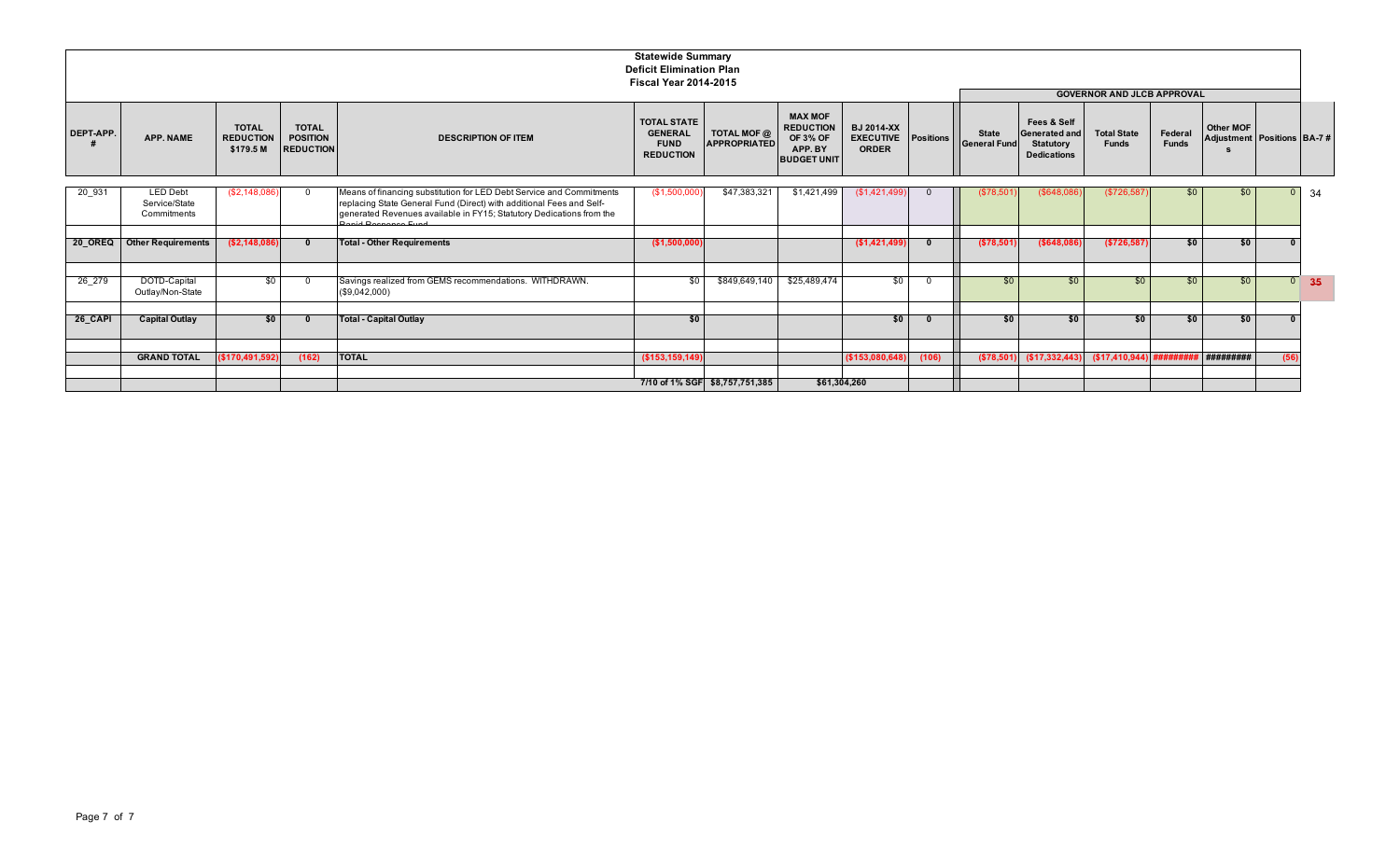|           |                                                 |                                               |                                                     |                                                                                                                                                                                                                                           | <b>Statewide Summary</b><br><b>Deficit Elimination Plan</b>             |                                    |                                                                                        |                                                       |           |                                     |                                                                               |                                    |                         |                                         |      |                   |
|-----------|-------------------------------------------------|-----------------------------------------------|-----------------------------------------------------|-------------------------------------------------------------------------------------------------------------------------------------------------------------------------------------------------------------------------------------------|-------------------------------------------------------------------------|------------------------------------|----------------------------------------------------------------------------------------|-------------------------------------------------------|-----------|-------------------------------------|-------------------------------------------------------------------------------|------------------------------------|-------------------------|-----------------------------------------|------|-------------------|
|           |                                                 |                                               |                                                     |                                                                                                                                                                                                                                           | <b>Fiscal Year 2014-2015</b>                                            |                                    |                                                                                        |                                                       |           |                                     |                                                                               | <b>GOVERNOR AND JLCB APPROVAL</b>  |                         |                                         |      |                   |
| DEPT-APP. | APP. NAME                                       | <b>TOTAL</b><br><b>REDUCTION</b><br>\$179.5 M | <b>TOTAL</b><br><b>POSITION</b><br><b>REDUCTION</b> | <b>DESCRIPTION OF ITEM</b>                                                                                                                                                                                                                | <b>TOTAL STATE</b><br><b>GENERAL</b><br><b>FUND</b><br><b>REDUCTION</b> | TOTAL MOF @<br><b>APPROPRIATED</b> | <b>MAX MOF</b><br><b>REDUCTION</b><br><b>OF 3% OF</b><br>APP. BY<br><b>BUDGET UNIT</b> | <b>BJ 2014-XX</b><br><b>EXECUTIVE</b><br><b>ORDER</b> | Positions | <b>State</b><br><b>General Fund</b> | Fees & Self<br><b>Generated and</b><br><b>Statutory</b><br><b>Dedications</b> | <b>Total State</b><br><b>Funds</b> | Federal<br><b>Funds</b> | Other MOF<br>Adjustment Positions BA-7# |      |                   |
| 20 931    | <b>LED Debt</b><br>Service/State<br>Commitments | (\$2,148,086)                                 | $\Omega$                                            | Means of financing substitution for LED Debt Service and Commitments<br>replacing State General Fund (Direct) with additional Fees and Self-<br>generated Revenues available in FY15; Statutory Dedications from the<br>aid Deananan Eund | (\$1,500,000                                                            | \$47,383,321                       | \$1,421,499                                                                            | (\$1,421,499)                                         |           | (\$78,501                           | (\$648,086                                                                    | (\$726,587                         | \$0                     | \$0                                     |      | 34                |
| 20 OREQ   | <b>Other Requirements</b>                       | ( \$2,148,086)                                | - 0                                                 | <b>Total - Other Requirements</b>                                                                                                                                                                                                         | (\$1,500,000)                                                           |                                    |                                                                                        | (\$1,421,499)                                         |           | (\$78,501)                          | ( \$648, 086]                                                                 | ( \$726, 587)                      | \$0                     | \$0                                     |      |                   |
| 26 279    | DOTD-Capital<br>Outlay/Non-State                | \$0                                           | $\Omega$                                            | Savings realized from GEMS recommendations. WITHDRAWN.<br>(\$9,042,000)                                                                                                                                                                   | \$0                                                                     | \$849,649,140                      | \$25,489,474                                                                           | \$0                                                   |           | \$0                                 | \$0                                                                           | \$0                                | \$0                     | \$0                                     |      | $\overline{0}$ 35 |
| 26_CAPI   | <b>Capital Outlay</b>                           | \$0                                           | - 0                                                 | <b>Total - Capital Outlay</b>                                                                                                                                                                                                             | \$0                                                                     |                                    |                                                                                        | \$0                                                   |           | \$0                                 | \$0                                                                           | \$0                                | \$0                     | \$0                                     |      |                   |
|           | <b>GRAND TOTAL</b>                              | (\$170,491,592)                               | (162)                                               | <b>TOTAL</b>                                                                                                                                                                                                                              | (\$153,159,149)                                                         |                                    |                                                                                        | (\$153,080,648)                                       | (106)     |                                     | $( $78,501)$ $( $17,332,443)$                                                 |                                    |                         | #########                               | (56) |                   |
|           |                                                 |                                               |                                                     |                                                                                                                                                                                                                                           |                                                                         | 7/10 of 1% SGF \$8,757,751,385     |                                                                                        | \$61,304,260                                          |           |                                     |                                                                               |                                    |                         |                                         |      |                   |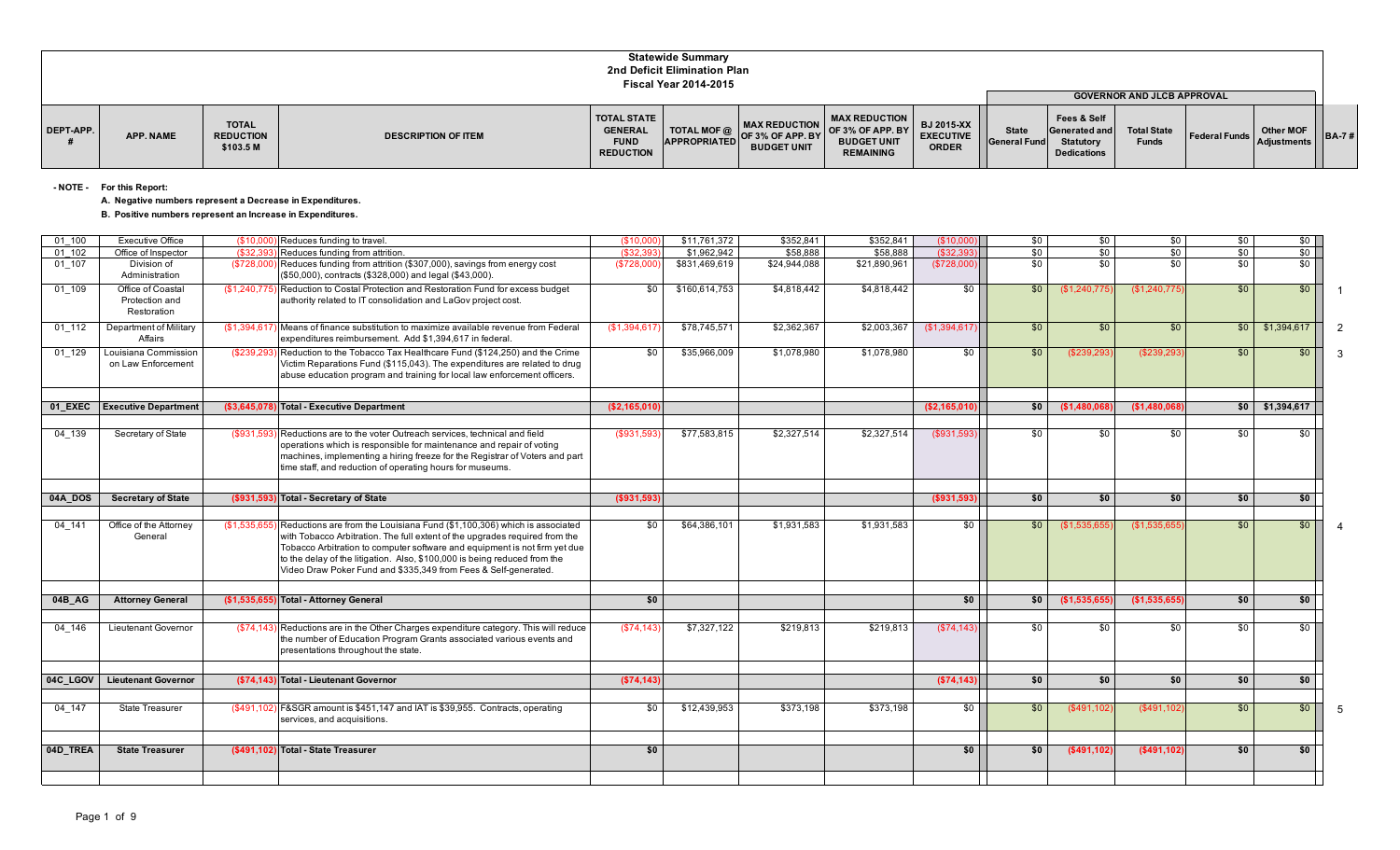|           |                  |                                               |                            |                                                                         | <b>Statewide Summary</b><br>2nd Deficit Elimination Plan<br><b>Fiscal Year 2014-2015</b> |                                                                        |                                                                                                   |                                                       |                                     |                                                                        | <b>GOVERNOR AND JLCB APPROVAL</b>  |                                                                                                                 |       |
|-----------|------------------|-----------------------------------------------|----------------------------|-------------------------------------------------------------------------|------------------------------------------------------------------------------------------|------------------------------------------------------------------------|---------------------------------------------------------------------------------------------------|-------------------------------------------------------|-------------------------------------|------------------------------------------------------------------------|------------------------------------|-----------------------------------------------------------------------------------------------------------------|-------|
| DEPT-APP. | <b>APP. NAME</b> | <b>TOTAL</b><br><b>REDUCTION</b><br>\$103.5 M | <b>DESCRIPTION OF ITEM</b> | <b>TOTAL STATE</b><br><b>GENERAL</b><br><b>FUND</b><br><b>REDUCTION</b> | <b>TOTAL MOF @</b><br><b>APPROPRIATED</b>                                                | <b>MAX REDUCTION</b><br><b>LOF 3% OF APP. BY</b><br><b>BUDGET UNIT</b> | <b>MAX REDUCTION</b><br>$\overline{1}$ OF 3% OF APP. BY<br><b>BUDGET UNIT</b><br><b>REMAINING</b> | <b>BJ 2015-XX</b><br><b>EXECUTIVE</b><br><b>ORDER</b> | <b>State</b><br><b>General Fund</b> | Fees & Self<br>Generated and<br><b>Statutory</b><br><b>Dedications</b> | <b>Total State</b><br><b>Funds</b> | Other MOF<br><b>Example 2 Federal Funds Adjustments I I - Adjustments I I - Adjustments I I - Adjustments I</b> | BA-7# |

**- NOTE - For this Report:**

**A. Negative numbers represent a Decrease in Expenditures.**

**B. Positive numbers represent an Increase in Expenditures.**

| 01 100   | <b>Executive Office</b>                            | (\$10,00     | Reduces funding to travel.                                                                                                                                                                                                                                                                                                                                                            | (\$10,00     | \$11,761,372  | \$352,841    | \$352,841    | (\$10,000]    | \$0 | \$0           | \$0             | \$0        | \$0               |                |
|----------|----------------------------------------------------|--------------|---------------------------------------------------------------------------------------------------------------------------------------------------------------------------------------------------------------------------------------------------------------------------------------------------------------------------------------------------------------------------------------|--------------|---------------|--------------|--------------|---------------|-----|---------------|-----------------|------------|-------------------|----------------|
| 01 102   | Office of Inspector                                | (S32.39)     | Reduces funding from attrition.                                                                                                                                                                                                                                                                                                                                                       | (\$32,39     | \$1,962,942   | \$58,888     | \$58,888     | ( \$32.39     | \$0 | \$0           | \$0             | $\sqrt{6}$ | \$0               |                |
| 01 107   | Division of<br>Administration                      | (\$728,000   | Reduces funding from attrition (\$307,000), savings from energy cost<br>(\$50,000), contracts (\$328,000) and legal (\$43,000).                                                                                                                                                                                                                                                       | (\$728,000   | \$831,469,619 | \$24,944,088 | \$21,890,961 | (\$728,000)   | \$0 | \$0           | $\overline{50}$ | \$0        | $$0$ $\vert$      |                |
| 01 109   | Office of Coastal<br>Protection and<br>Restoration |              | (\$1,240,775) Reduction to Costal Protection and Restoration Fund for excess budget<br>authority related to IT consolidation and LaGov project cost.                                                                                                                                                                                                                                  | \$0          | \$160,614,753 | \$4,818,442  | \$4,818,442  | \$0           | \$0 | (\$1,240,775) | \$1,240,775     | \$0        | \$0               | $\overline{1}$ |
| 01 112   | Department of Military<br>Affairs                  |              | (\$1,394,617) Means of finance substitution to maximize available revenue from Federal<br>expenditures reimbursement. Add \$1.394.617 in federal.                                                                                                                                                                                                                                     | \$1,394,617  | \$78,745,571  | \$2,362,367  | \$2,003,367  | (\$1,394,617  | \$0 | \$0           | \$0             | \$0        | \$1,394,617       | $\overline{2}$ |
| 01 129   | Louisiana Commission<br>on Law Enforcement         | (\$239,293   | Reduction to the Tobacco Tax Healthcare Fund (\$124,250) and the Crime<br>Victim Reparations Fund (\$115,043). The expenditures are related to drug<br>abuse education program and training for local law enforcement officers.                                                                                                                                                       | \$0          | \$35,966,009  | \$1,078,980  | \$1,078,980  | \$0           | \$0 | (\$239,293    | (\$239,293      | \$0        | \$0               | -3             |
|          |                                                    |              |                                                                                                                                                                                                                                                                                                                                                                                       |              |               |              |              |               |     |               |                 |            |                   |                |
| 01 EXEC  | <b>Executive Department</b>                        |              | (\$3,645,078) Total - Executive Department                                                                                                                                                                                                                                                                                                                                            | (\$2,165,010 |               |              |              | (\$2,165,010) | \$0 | (\$1.480.06)  | (\$1,480,068    |            | $$0$ $$1,394,617$ |                |
| 04 139   | Secretary of State                                 | (\$931,593)  | Reductions are to the voter Outreach services, technical and field<br>operations which is responsible for maintenance and repair of voting<br>machines, implementing a hiring freeze for the Registrar of Voters and part<br>time staff, and reduction of operating hours for museums.                                                                                                | (\$931,593)  | \$77,583,815  | \$2,327,514  | \$2,327,514  | (S931,593)    | \$0 | \$0           | \$0             | \$0        | \$0               |                |
|          |                                                    |              |                                                                                                                                                                                                                                                                                                                                                                                       |              |               |              |              |               |     |               |                 |            |                   |                |
| 04A DOS  | <b>Secretary of State</b>                          |              | (\$931,593) Total - Secretary of State                                                                                                                                                                                                                                                                                                                                                | ( \$931, 593 |               |              |              | ( \$931, 593) | \$0 | \$0           | \$0             | \$0        | \$0               |                |
| 04 141   | Office of the Attorney<br>General                  | (\$1,535,655 | Reductions are from the Louisiana Fund (\$1,100,306) which is associated<br>with Tobacco Arbitration. The full extent of the upgrades required from the<br>Tobacco Arbitration to computer software and equipment is not firm yet due<br>to the delay of the litigation. Also, \$100,000 is being reduced from the<br>Video Draw Poker Fund and \$335,349 from Fees & Self-generated. | \$0          | \$64,386,101  | \$1,931,583  | \$1,931,583  | $\sqrt{50}$   | \$0 | (\$1,535,655) | (\$1,535,655    | \$0        | \$0               | -4             |
|          |                                                    |              |                                                                                                                                                                                                                                                                                                                                                                                       |              |               |              |              |               |     |               |                 |            |                   |                |
| 04B AG   | <b>Attorney General</b>                            |              | (\$1,535,655) Total - Attorney General                                                                                                                                                                                                                                                                                                                                                | \$0          |               |              |              | \$0           | \$0 | (\$1,535,655  | (\$1,535,655    | \$0        | \$0               |                |
|          |                                                    |              |                                                                                                                                                                                                                                                                                                                                                                                       |              |               |              |              |               |     |               |                 |            |                   |                |
| 04 146   | Lieutenant Governor                                | (\$74,143    | Reductions are in the Other Charges expenditure category. This will reduce<br>the number of Education Program Grants associated various events and<br>presentations throughout the state.                                                                                                                                                                                             | (\$74,143    | \$7,327,122   | \$219,813    | \$219,813    | (S74, 143)    | \$0 | \$0           | \$0             | \$0        | \$0 <sub>1</sub>  |                |
|          |                                                    |              |                                                                                                                                                                                                                                                                                                                                                                                       |              |               |              |              |               |     |               |                 |            |                   |                |
| 04C LGOV | <b>Lieutenant Governor</b>                         | (S74.143)    | Dil Total - Lieutenant Governor                                                                                                                                                                                                                                                                                                                                                       | (\$74,143    |               |              |              | ( \$74, 143   | \$0 | \$0           | \$0             | \$0        | \$0               |                |
| 04 147   | <b>State Treasurer</b>                             | (\$491,102   | F&SGR amount is \$451,147 and IAT is \$39,955. Contracts, operating<br>services, and acquisitions.                                                                                                                                                                                                                                                                                    | \$0          | \$12.439.953  | \$373,198    | \$373,198    | \$0           | \$0 | (\$491,102    | (S491, 102)     | \$0        | \$0               | - 5            |
|          |                                                    |              |                                                                                                                                                                                                                                                                                                                                                                                       |              |               |              |              |               |     |               |                 |            |                   |                |
| 04D TREA | <b>State Treasurer</b>                             |              | (\$491.102) Total - State Treasurer                                                                                                                                                                                                                                                                                                                                                   | \$0          |               |              |              | \$0           | \$0 | ( \$491, 102  | ( \$491, 102]   | \$0        | \$0               |                |
|          |                                                    |              |                                                                                                                                                                                                                                                                                                                                                                                       |              |               |              |              |               |     |               |                 |            |                   |                |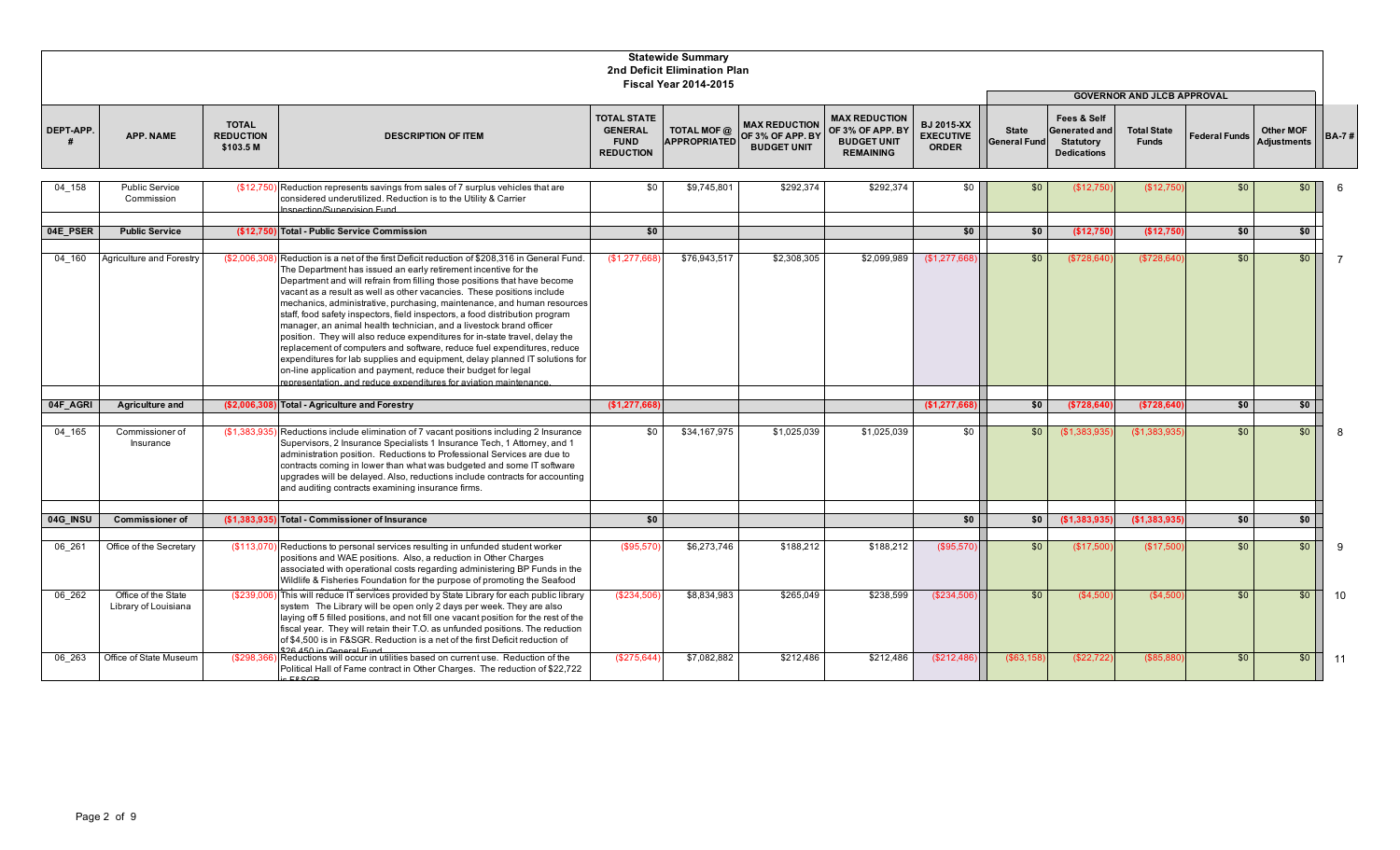|           |                                             |                                               |                                                                                                                                                                                                                                                                                                                                                                                                                                                                                                                                                                                                                                                                                                                                                                                                                                                                                                                            |                                                                         | <b>Statewide Summary</b><br>2nd Deficit Elimination Plan<br><b>Fiscal Year 2014-2015</b> |                                                                             |                                                                                    |                                                       |                                     |                                                                                          |                                    |                      |                                        |                |
|-----------|---------------------------------------------|-----------------------------------------------|----------------------------------------------------------------------------------------------------------------------------------------------------------------------------------------------------------------------------------------------------------------------------------------------------------------------------------------------------------------------------------------------------------------------------------------------------------------------------------------------------------------------------------------------------------------------------------------------------------------------------------------------------------------------------------------------------------------------------------------------------------------------------------------------------------------------------------------------------------------------------------------------------------------------------|-------------------------------------------------------------------------|------------------------------------------------------------------------------------------|-----------------------------------------------------------------------------|------------------------------------------------------------------------------------|-------------------------------------------------------|-------------------------------------|------------------------------------------------------------------------------------------|------------------------------------|----------------------|----------------------------------------|----------------|
|           |                                             |                                               |                                                                                                                                                                                                                                                                                                                                                                                                                                                                                                                                                                                                                                                                                                                                                                                                                                                                                                                            |                                                                         |                                                                                          |                                                                             |                                                                                    |                                                       |                                     |                                                                                          | <b>GOVERNOR AND JLCB APPROVAL</b>  |                      |                                        |                |
| DEPT-APP. | <b>APP. NAME</b>                            | <b>TOTAL</b><br><b>REDUCTION</b><br>\$103.5 M | <b>DESCRIPTION OF ITEM</b>                                                                                                                                                                                                                                                                                                                                                                                                                                                                                                                                                                                                                                                                                                                                                                                                                                                                                                 | <b>TOTAL STATE</b><br><b>GENERAL</b><br><b>FUND</b><br><b>REDUCTION</b> | TOTAL MOF @                                                                              | <b>MAX REDUCTION</b><br>APPROPRIATED OF 3% OF APP. BY<br><b>BUDGET UNIT</b> | <b>MAX REDUCTION</b><br>OF 3% OF APP. BY<br><b>BUDGET UNIT</b><br><b>REMAINING</b> | <b>BJ 2015-XX</b><br><b>EXECUTIVE</b><br><b>ORDER</b> | <b>State</b><br><b>General Fund</b> | <b>Fees &amp; Self</b><br><b>Generated and</b><br><b>Statutory</b><br><b>Dedications</b> | <b>Total State</b><br><b>Funds</b> | <b>Federal Funds</b> | <b>Other MOF</b><br><b>Adjustments</b> | <b>BA-7#</b>   |
| 04 158    | <b>Public Service</b><br>Commission         | (S12.750                                      | Reduction represents savings from sales of 7 surplus vehicles that are<br>considered underutilized. Reduction is to the Utility & Carrier<br>Inspection/Supervision Fund                                                                                                                                                                                                                                                                                                                                                                                                                                                                                                                                                                                                                                                                                                                                                   | \$0                                                                     | \$9,745,801                                                                              | \$292.374                                                                   | \$292.374                                                                          | \$0                                                   | \$0                                 | (\$12,750                                                                                | (\$12,750                          | \$0                  | \$0                                    |                |
| 04E PSER  | <b>Public Service</b>                       |                                               | (\$12,750) Total - Public Service Commission                                                                                                                                                                                                                                                                                                                                                                                                                                                                                                                                                                                                                                                                                                                                                                                                                                                                               | \$0                                                                     |                                                                                          |                                                                             |                                                                                    | \$0                                                   | \$0                                 | (\$12,750)                                                                               | (\$12,750                          | \$0                  | \$0                                    |                |
| 04 160    | Agriculture and Forestry                    | (\$2,006,308)                                 | Reduction is a net of the first Deficit reduction of \$208,316 in General Fund<br>The Department has issued an early retirement incentive for the<br>Department and will refrain from filling those positions that have become<br>vacant as a result as well as other vacancies. These positions include<br>mechanics, administrative, purchasing, maintenance, and human resources<br>staff, food safety inspectors, field inspectors, a food distribution program<br>manager, an animal health technician, and a livestock brand officer<br>position. They will also reduce expenditures for in-state travel, delay the<br>replacement of computers and software, reduce fuel expenditures, reduce<br>expenditures for lab supplies and equipment, delay planned IT solutions for<br>on-line application and payment, reduce their budget for legal<br>representation, and reduce expenditures for aviation maintenance. | \$1,277,668                                                             | \$76,943,517                                                                             | \$2,308,305                                                                 | \$2,099,989                                                                        | \$1,277,66                                            | \$0                                 | (\$728,640                                                                               | (\$728,640                         | \$0                  | $\sqrt{50}$                            | $\overline{7}$ |
| 04F AGRI  | <b>Agriculture and</b>                      | (\$2,006,30)                                  | <b>Total - Agriculture and Forestry</b>                                                                                                                                                                                                                                                                                                                                                                                                                                                                                                                                                                                                                                                                                                                                                                                                                                                                                    | \$1,277,668                                                             |                                                                                          |                                                                             |                                                                                    | \$1,277,66                                            | \$0                                 | (\$728,640                                                                               | (\$728,640                         | \$0                  | \$0                                    |                |
| 04 165    | Commissioner of<br>Insurance                | (S1.383.93)                                   | Reductions include elimination of 7 vacant positions including 2 Insurance<br>Supervisors, 2 Insurance Specialists 1 Insurance Tech, 1 Attorney, and 1<br>administration position. Reductions to Professional Services are due to<br>contracts coming in lower than what was budgeted and some IT software<br>upgrades will be delayed. Also, reductions include contracts for accounting<br>and auditing contracts examining insurance firms.                                                                                                                                                                                                                                                                                                                                                                                                                                                                             | \$0                                                                     | \$34,167,975                                                                             | \$1,025,039                                                                 | \$1.025.039                                                                        | \$0                                                   | \$0                                 | (S1.383.935)                                                                             | (S1.383.935)                       | \$0                  | \$0                                    |                |
| 04G INSU  | <b>Commissioner of</b>                      | (\$1.383.93]                                  | Total - Commissioner of Insurance                                                                                                                                                                                                                                                                                                                                                                                                                                                                                                                                                                                                                                                                                                                                                                                                                                                                                          | \$0                                                                     |                                                                                          |                                                                             |                                                                                    | \$0                                                   | \$0                                 | (\$1,383,935                                                                             | (\$1,383,935                       | \$0                  | \$0                                    |                |
|           |                                             |                                               |                                                                                                                                                                                                                                                                                                                                                                                                                                                                                                                                                                                                                                                                                                                                                                                                                                                                                                                            |                                                                         |                                                                                          |                                                                             |                                                                                    |                                                       |                                     |                                                                                          |                                    |                      |                                        |                |
| 06 261    | Office of the Secretary                     | (\$113,070                                    | Reductions to personal services resulting in unfunded student worker<br>positions and WAE positions. Also, a reduction in Other Charges<br>associated with operational costs regarding administering BP Funds in the<br>Wildlife & Fisheries Foundation for the purpose of promoting the Seafood                                                                                                                                                                                                                                                                                                                                                                                                                                                                                                                                                                                                                           | (\$95,570                                                               | \$6,273,746                                                                              | \$188,212                                                                   | \$188,212                                                                          | (\$95,570                                             | \$0                                 | (\$17,500                                                                                | (\$17,500                          | \$0                  | \$0                                    | 9              |
| 06 262    | Office of the State<br>Library of Louisiana | (\$239,006                                    | This will reduce IT services provided by State Library for each public library<br>system The Library will be open only 2 days per week. They are also<br>laying off 5 filled positions, and not fill one vacant position for the rest of the<br>fiscal year. They will retain their T.O. as unfunded positions. The reduction<br>of \$4,500 is in F&SGR. Reduction is a net of the first Deficit reduction of<br>\$26,450 in General Fund                                                                                                                                                                                                                                                                                                                                                                                                                                                                                  | (\$234,506                                                              | \$8,834,983                                                                              | \$265,049                                                                   | \$238,599                                                                          | (\$234,506                                            | \$0                                 | (\$4,500                                                                                 | (\$4,500                           | \$0                  | \$0                                    | 10             |
| 06 263    | Office of State Museum                      | (\$298,366)                                   | Reductions will occur in utilities based on current use. Reduction of the<br>Political Hall of Fame contract in Other Charges. The reduction of \$22,722                                                                                                                                                                                                                                                                                                                                                                                                                                                                                                                                                                                                                                                                                                                                                                   | (\$275,644                                                              | \$7,082,882                                                                              | \$212,486                                                                   | \$212,486                                                                          | (\$212,48)                                            | ( \$63, 15                          | (\$22,722                                                                                | (\$85, 88                          | \$0                  | \$0                                    | 11             |

is F&SGR.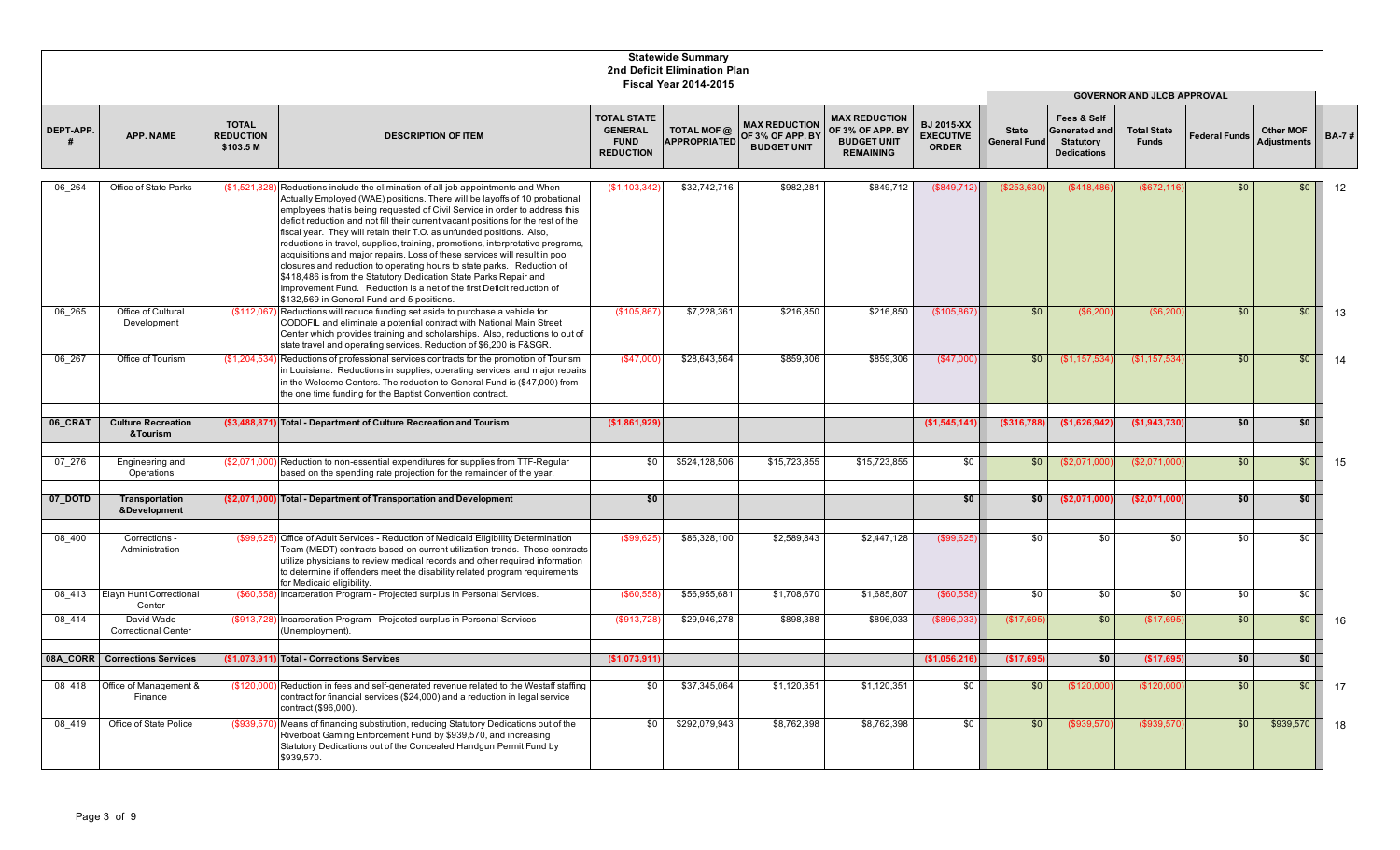|           |                                          |                                               |                                                                                                                                                                                                                                                                                                                                                                                                                                                                                                                                                                                                                                                                                                                                                                                                                                       |                                                                         | <b>Statewide Summary</b><br>2nd Deficit Elimination Plan<br><b>Fiscal Year 2014-2015</b> |                                                                |                                                                                    |                                                       |                                     |                                                                               |                                    |                      |                                        |              |
|-----------|------------------------------------------|-----------------------------------------------|---------------------------------------------------------------------------------------------------------------------------------------------------------------------------------------------------------------------------------------------------------------------------------------------------------------------------------------------------------------------------------------------------------------------------------------------------------------------------------------------------------------------------------------------------------------------------------------------------------------------------------------------------------------------------------------------------------------------------------------------------------------------------------------------------------------------------------------|-------------------------------------------------------------------------|------------------------------------------------------------------------------------------|----------------------------------------------------------------|------------------------------------------------------------------------------------|-------------------------------------------------------|-------------------------------------|-------------------------------------------------------------------------------|------------------------------------|----------------------|----------------------------------------|--------------|
|           |                                          |                                               |                                                                                                                                                                                                                                                                                                                                                                                                                                                                                                                                                                                                                                                                                                                                                                                                                                       |                                                                         |                                                                                          |                                                                |                                                                                    |                                                       |                                     |                                                                               | <b>GOVERNOR AND JLCB APPROVAL</b>  |                      |                                        |              |
| DEPT-APP. | <b>APP. NAME</b>                         | <b>TOTAL</b><br><b>REDUCTION</b><br>\$103.5 M | <b>DESCRIPTION OF ITEM</b>                                                                                                                                                                                                                                                                                                                                                                                                                                                                                                                                                                                                                                                                                                                                                                                                            | <b>TOTAL STATE</b><br><b>GENERAL</b><br><b>FUND</b><br><b>REDUCTION</b> | TOTAL MOF @<br><b>APPROPRIATED</b>                                                       | <b>MAX REDUCTION</b><br>OF 3% OF APP. BY<br><b>BUDGET UNIT</b> | <b>MAX REDUCTION</b><br>OF 3% OF APP. BY<br><b>BUDGET UNIT</b><br><b>REMAINING</b> | <b>BJ 2015-XX</b><br><b>EXECUTIVE</b><br><b>ORDER</b> | <b>State</b><br><b>General Fund</b> | Fees & Self<br><b>Generated and</b><br><b>Statutory</b><br><b>Dedications</b> | <b>Total State</b><br><b>Funds</b> | <b>Federal Funds</b> | <b>Other MOF</b><br><b>Adjustments</b> | <b>BA-7#</b> |
| 06 264    | Office of State Parks                    | (S1.521.82)                                   | Reductions include the elimination of all job appointments and When<br>Actually Employed (WAE) positions. There will be layoffs of 10 probational<br>employees that is being requested of Civil Service in order to address this<br>deficit reduction and not fill their current vacant positions for the rest of the<br>fiscal year. They will retain their T.O. as unfunded positions. Also,<br>reductions in travel, supplies, training, promotions, interpretative programs,<br>acquisitions and major repairs. Loss of these services will result in pool<br>closures and reduction to operating hours to state parks. Reduction of<br>\$418,486 is from the Statutory Dedication State Parks Repair and<br>Improvement Fund. Reduction is a net of the first Deficit reduction of<br>\$132,569 in General Fund and 5 positions. | (S1.103.342)                                                            | \$32,742,716                                                                             | \$982.281                                                      | \$849.712                                                                          | (\$849,712                                            | (\$253.63)                          | (\$418.486                                                                    | (\$672,11"                         | \$0                  | \$0                                    | 12           |
| 06 265    | Office of Cultural<br>Development        |                                               | $($112,067)$ Reductions will reduce funding set aside to purchase a vehicle for<br>CODOFIL and eliminate a potential contract with National Main Street<br>Center which provides training and scholarships. Also, reductions to out of<br>state travel and operating services. Reduction of \$6,200 is F&SGR.                                                                                                                                                                                                                                                                                                                                                                                                                                                                                                                         | (\$105,867                                                              | \$7,228,361                                                                              | \$216,850                                                      | \$216,850                                                                          | (\$105,867                                            | \$0                                 | (\$6,200                                                                      | (\$6,200                           | \$0                  | \$0                                    | 13           |
| 06 267    | Office of Tourism                        |                                               | $(\$1,204,534)$ Reductions of professional services contracts for the promotion of Tourism<br>in Louisiana. Reductions in supplies, operating services, and major repairs<br>in the Welcome Centers. The reduction to General Fund is (\$47,000) from<br>the one time funding for the Baptist Convention contract.                                                                                                                                                                                                                                                                                                                                                                                                                                                                                                                    | (\$47,000                                                               | \$28,643,564                                                                             | \$859,306                                                      | \$859,306                                                                          | (\$47,000                                             | \$0                                 | (\$1,157,534                                                                  | (\$1,157,534                       | \$0                  | \$0                                    | 14           |
| 06 CRAT   | <b>Culture Recreation</b><br>&Tourism    |                                               | (\$3,488,871) Total - Department of Culture Recreation and Tourism                                                                                                                                                                                                                                                                                                                                                                                                                                                                                                                                                                                                                                                                                                                                                                    | (\$1,861,929)                                                           |                                                                                          |                                                                |                                                                                    | (\$1,545,141)                                         | (\$316,788)                         | (\$1,626,942)                                                                 | (\$1,943,730                       | \$0                  | \$0                                    |              |
| 07 276    | Engineering and<br>Operations            |                                               | (\$2,071,000) Reduction to non-essential expenditures for supplies from TTF-Regular<br>based on the spending rate projection for the remainder of the year.                                                                                                                                                                                                                                                                                                                                                                                                                                                                                                                                                                                                                                                                           | $\overline{30}$                                                         | \$524.128.506                                                                            | \$15,723,855                                                   | \$15,723,855                                                                       | $\frac{1}{2}$                                         | \$0                                 | (\$2,071,000                                                                  | (\$2,071,000                       | \$0                  | \$0                                    | 15           |
| 07_DOTD   | Transportation<br>&Development           |                                               | (\$2,071,000) Total - Department of Transportation and Development                                                                                                                                                                                                                                                                                                                                                                                                                                                                                                                                                                                                                                                                                                                                                                    | \$0                                                                     |                                                                                          |                                                                |                                                                                    | \$0 <sub>1</sub>                                      | \$0                                 | (\$2,071,000)                                                                 | (\$2.071.000                       | \$0                  | \$0                                    |              |
| 08 400    | Corrections -<br>Administration          |                                               | (\$99,625) Office of Adult Services - Reduction of Medicaid Eligibility Determination<br>Team (MEDT) contracts based on current utilization trends. These contracts<br>utilize physicians to review medical records and other required information<br>to determine if offenders meet the disability related program requirements<br>for Medicaid eligibility.                                                                                                                                                                                                                                                                                                                                                                                                                                                                         | (\$99.62                                                                | \$86,328,100                                                                             | \$2,589,843                                                    | \$2,447,128                                                                        | (\$99,625                                             | \$0                                 | \$0                                                                           | \$0                                | \$0                  | \$0                                    |              |
| 08 413    | Elayn Hunt Correctional<br>Center        | (S60.558)                                     | Incarceration Program - Projected surplus in Personal Services.                                                                                                                                                                                                                                                                                                                                                                                                                                                                                                                                                                                                                                                                                                                                                                       | (\$60,558)                                                              | \$56,955,681                                                                             | \$1,708,670                                                    | \$1,685,807                                                                        | (\$60,558)                                            | $\sqrt{50}$                         | $\sqrt{50}$                                                                   | \$0                                | $\overline{50}$      | $\overline{50}$                        |              |
| 08 414    | David Wade<br><b>Correctional Center</b> |                                               | (\$913,728) Incarceration Program - Projected surplus in Personal Services<br>(Unemployment).                                                                                                                                                                                                                                                                                                                                                                                                                                                                                                                                                                                                                                                                                                                                         | (\$913,728                                                              | \$29,946,278                                                                             | \$898,388                                                      | \$896,033                                                                          | (\$896,033                                            | (\$17,695                           | \$0                                                                           | (\$17,695                          | \$0                  | \$0                                    | 16           |
|           | 08A CORR Corrections Services            |                                               | (\$1.073.911) Total - Corrections Services                                                                                                                                                                                                                                                                                                                                                                                                                                                                                                                                                                                                                                                                                                                                                                                            | (\$1,073,911                                                            |                                                                                          |                                                                |                                                                                    | (\$1,056,21]                                          | (\$17,695                           | \$0                                                                           | (\$17,69                           | \$0                  | \$0                                    |              |
| 08 418    | Office of Management &<br>Finance        |                                               | (\$120,000) Reduction in fees and self-generated revenue related to the Westaff staffing<br>contract for financial services (\$24,000) and a reduction in legal service<br>contract (\$96,000).                                                                                                                                                                                                                                                                                                                                                                                                                                                                                                                                                                                                                                       | \$0                                                                     | \$37,345,064                                                                             | \$1,120,351                                                    | \$1,120,351                                                                        | \$0                                                   | \$0                                 | (\$120,000                                                                    | (\$120,000                         | \$0                  | \$0                                    | 17           |
| 08 419    | Office of State Police                   |                                               | (\$939,570) Means of financing substitution, reducing Statutory Dedications out of the<br>Riverboat Gaming Enforcement Fund by \$939,570, and increasing<br>Statutory Dedications out of the Concealed Handgun Permit Fund by<br>\$939,570.                                                                                                                                                                                                                                                                                                                                                                                                                                                                                                                                                                                           | $\overline{30}$                                                         | \$292,079,943                                                                            | \$8,762,398                                                    | \$8,762,398                                                                        | $\frac{6}{3}$                                         | \$0                                 | (\$939,570                                                                    | (\$939,570                         | \$0                  | \$939,570                              | 18           |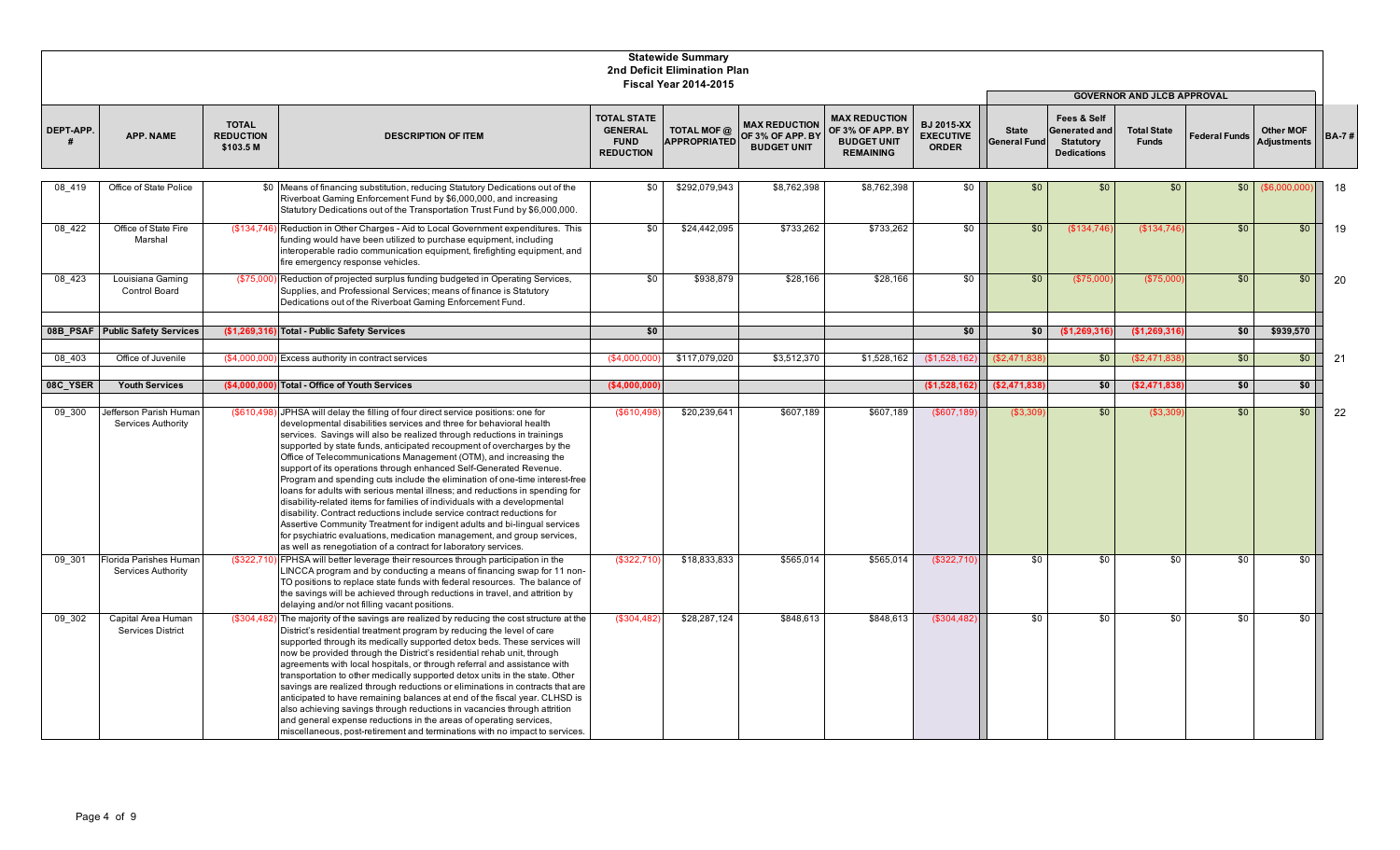|            |                                                     |                                               |                                                                                                                                                                                                                                                                                                                                                                                                                                                                                                                                                                                                                                                                                                                                                                                                                                                                                                                                                                                                             |                                                                         | <b>Statewide Summary</b><br>2nd Deficit Elimination Plan<br><b>Fiscal Year 2014-2015</b> |                                                                |                                                                                    |                                                       |                                     |                                                                        |                                                                         |                      |                                        |              |
|------------|-----------------------------------------------------|-----------------------------------------------|-------------------------------------------------------------------------------------------------------------------------------------------------------------------------------------------------------------------------------------------------------------------------------------------------------------------------------------------------------------------------------------------------------------------------------------------------------------------------------------------------------------------------------------------------------------------------------------------------------------------------------------------------------------------------------------------------------------------------------------------------------------------------------------------------------------------------------------------------------------------------------------------------------------------------------------------------------------------------------------------------------------|-------------------------------------------------------------------------|------------------------------------------------------------------------------------------|----------------------------------------------------------------|------------------------------------------------------------------------------------|-------------------------------------------------------|-------------------------------------|------------------------------------------------------------------------|-------------------------------------------------------------------------|----------------------|----------------------------------------|--------------|
| DEPT-APP.  | <b>APP. NAME</b>                                    | <b>TOTAL</b><br><b>REDUCTION</b><br>\$103.5 M | <b>DESCRIPTION OF ITEM</b>                                                                                                                                                                                                                                                                                                                                                                                                                                                                                                                                                                                                                                                                                                                                                                                                                                                                                                                                                                                  | <b>TOTAL STATE</b><br><b>GENERAL</b><br><b>FUND</b><br><b>REDUCTION</b> | TOTAL MOF @<br><b>APPROPRIATED</b>                                                       | <b>MAX REDUCTION</b><br>OF 3% OF APP. BY<br><b>BUDGET UNIT</b> | <b>MAX REDUCTION</b><br>OF 3% OF APP. BY<br><b>BUDGET UNIT</b><br><b>REMAINING</b> | <b>BJ 2015-XX</b><br><b>EXECUTIVE</b><br><b>ORDER</b> | <b>State</b><br><b>General Fund</b> | Fees & Self<br>Generated and<br><b>Statutory</b><br><b>Dedications</b> | <b>GOVERNOR AND JLCB APPROVAL</b><br><b>Total State</b><br><b>Funds</b> | <b>Federal Funds</b> | <b>Other MOF</b><br><b>Adjustments</b> | <b>BA-7#</b> |
| 08 419     | Office of State Police                              |                                               | \$0 Means of financing substitution, reducing Statutory Dedications out of the<br>Riverboat Gaming Enforcement Fund by \$6,000,000, and increasing<br>Statutory Dedications out of the Transportation Trust Fund by \$6,000,000.                                                                                                                                                                                                                                                                                                                                                                                                                                                                                                                                                                                                                                                                                                                                                                            | \$0                                                                     | \$292,079,943                                                                            | \$8,762,398                                                    | \$8,762,398                                                                        | $\sqrt{6}$                                            | \$0                                 | \$0                                                                    | \$0                                                                     | \$0                  | ( \$6,000,00]                          | 18           |
| 08 422     | Office of State Fire<br>Marshal                     |                                               | (\$134,746) Reduction in Other Charges - Aid to Local Government expenditures. This<br>funding would have been utilized to purchase equipment, including<br>interoperable radio communication equipment, firefighting equipment, and<br>fire emergency response vehicles.                                                                                                                                                                                                                                                                                                                                                                                                                                                                                                                                                                                                                                                                                                                                   | \$0                                                                     | \$24,442,095                                                                             | \$733,262                                                      | \$733,262                                                                          | -\$0 I                                                | \$0                                 | (\$134,746                                                             | (\$134,746                                                              | \$0                  | \$0                                    | 19           |
| 08 423     | Louisiana Gaming<br><b>Control Board</b>            |                                               | (\$75,000) Reduction of projected surplus funding budgeted in Operating Services,<br>Supplies, and Professional Services; means of finance is Statutory<br>Dedications out of the Riverboat Gaming Enforcement Fund.                                                                                                                                                                                                                                                                                                                                                                                                                                                                                                                                                                                                                                                                                                                                                                                        | $\overline{30}$                                                         | \$938,879                                                                                | \$28,166                                                       | \$28,166                                                                           | $\overline{30}$                                       | \$0                                 | (\$75,000                                                              | (\$75,00                                                                | \$0                  | \$0                                    | 20           |
|            | 08B PSAF Public Safety Services                     |                                               | (\$1,269,316) Total - Public Safety Services                                                                                                                                                                                                                                                                                                                                                                                                                                                                                                                                                                                                                                                                                                                                                                                                                                                                                                                                                                | \$0                                                                     |                                                                                          |                                                                |                                                                                    | \$0                                                   | \$0                                 | (\$1,269,316                                                           | (\$1,269,316                                                            | \$0                  | \$939,570                              |              |
| $08 - 403$ | Office of Juvenile                                  | (\$4,000,0                                    | Excess authority in contract services                                                                                                                                                                                                                                                                                                                                                                                                                                                                                                                                                                                                                                                                                                                                                                                                                                                                                                                                                                       | (S4.000.00)                                                             | \$117,079,020                                                                            | \$3,512,370                                                    | \$1,528,162                                                                        | (\$1,528,16)                                          | \$2,471,83                          | \$0                                                                    | (\$2,471,83                                                             | \$0                  | $$0$                                   | 21           |
| 08C_YSER   | <b>Youth Services</b>                               | (\$4,000,000                                  | <b>Total - Office of Youth Services</b>                                                                                                                                                                                                                                                                                                                                                                                                                                                                                                                                                                                                                                                                                                                                                                                                                                                                                                                                                                     | (\$4,000,000]                                                           |                                                                                          |                                                                |                                                                                    | (\$1,528,162]                                         |                                     | \$0                                                                    | \$2,471,838                                                             | \$0                  | \$0                                    |              |
|            |                                                     |                                               |                                                                                                                                                                                                                                                                                                                                                                                                                                                                                                                                                                                                                                                                                                                                                                                                                                                                                                                                                                                                             |                                                                         |                                                                                          |                                                                |                                                                                    |                                                       | (\$2,471,838                        |                                                                        |                                                                         |                      |                                        |              |
| 09 300     | Jefferson Parish Humar<br>Services Authority        |                                               | (\$610,498) JPHSA will delay the filling of four direct service positions: one for<br>developmental disabilities services and three for behavioral health<br>services. Savings will also be realized through reductions in trainings<br>supported by state funds, anticipated recoupment of overcharges by the<br>Office of Telecommunications Management (OTM), and increasing the<br>support of its operations through enhanced Self-Generated Revenue.<br>Program and spending cuts include the elimination of one-time interest-free<br>loans for adults with serious mental illness; and reductions in spending for<br>disability-related items for families of individuals with a developmental<br>disability. Contract reductions include service contract reductions for<br>Assertive Community Treatment for indigent adults and bi-lingual services<br>for psychiatric evaluations, medication management, and group services,<br>as well as renegotiation of a contract for laboratory services. | (\$610,498                                                              | \$20,239,641                                                                             | \$607,189                                                      | \$607,189                                                                          | $($ \$607,189                                         | ( \$3,309                           | \$0                                                                    | (\$3,30\$                                                               | \$0                  | \$0                                    | 22           |
| 09 301     | <b>Florida Parishes Humar</b><br>Services Authority |                                               | (\$322,710) FPHSA will better leverage their resources through participation in the<br>LINCCA program and by conducting a means of financing swap for 11 non-<br>TO positions to replace state funds with federal resources. The balance of<br>the savings will be achieved through reductions in travel, and attrition by<br>delaying and/or not filling vacant positions.                                                                                                                                                                                                                                                                                                                                                                                                                                                                                                                                                                                                                                 | (\$322,710                                                              | \$18,833,833                                                                             | \$565,014                                                      | \$565,014                                                                          | (\$322,710                                            | \$0                                 | \$0                                                                    | \$0                                                                     | \$0                  | \$0                                    |              |
| 09 302     | Capital Area Human<br><b>Services District</b>      |                                               | (\$304,482) The majority of the savings are realized by reducing the cost structure at the<br>District's residential treatment program by reducing the level of care<br>supported through its medically supported detox beds. These services will<br>now be provided through the District's residential rehab unit, through<br>agreements with local hospitals, or through referral and assistance with<br>transportation to other medically supported detox units in the state. Other<br>savings are realized through reductions or eliminations in contracts that are<br>anticipated to have remaining balances at end of the fiscal year. CLHSD is<br>also achieving savings through reductions in vacancies through attrition<br>and general expense reductions in the areas of operating services,<br>miscellaneous, post-retirement and terminations with no impact to services.                                                                                                                      | (\$304,482                                                              | \$28,287,124                                                                             | \$848,613                                                      | \$848,613                                                                          | (\$304,482)                                           | \$0                                 | \$0                                                                    | \$0                                                                     | \$0                  | \$0                                    |              |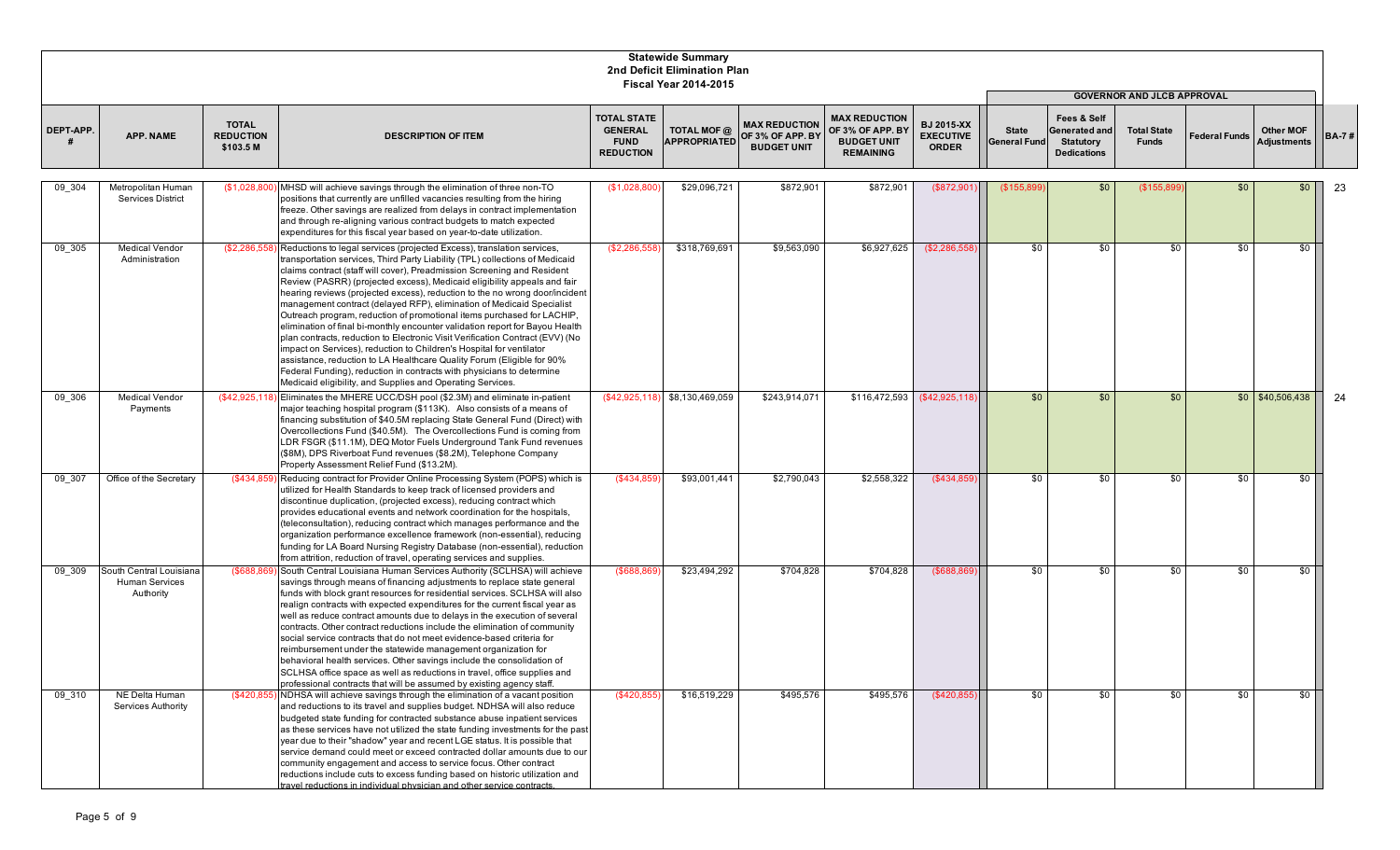|           |                                                               |                                               |                                                                                                                                                                                                                                                                                                                                                                                                                                                                                                                                                                                                                                                                                                                                                                                                                                                                                                                                                                                                           |                                                                         | <b>Statewide Summary</b><br>2nd Deficit Elimination Plan<br><b>Fiscal Year 2014-2015</b> |                                                                |                                                                                    |                                                       |                                     |                                                                        |                                                                         |                      |                                        |              |
|-----------|---------------------------------------------------------------|-----------------------------------------------|-----------------------------------------------------------------------------------------------------------------------------------------------------------------------------------------------------------------------------------------------------------------------------------------------------------------------------------------------------------------------------------------------------------------------------------------------------------------------------------------------------------------------------------------------------------------------------------------------------------------------------------------------------------------------------------------------------------------------------------------------------------------------------------------------------------------------------------------------------------------------------------------------------------------------------------------------------------------------------------------------------------|-------------------------------------------------------------------------|------------------------------------------------------------------------------------------|----------------------------------------------------------------|------------------------------------------------------------------------------------|-------------------------------------------------------|-------------------------------------|------------------------------------------------------------------------|-------------------------------------------------------------------------|----------------------|----------------------------------------|--------------|
| DEPT-APP. | <b>APP. NAME</b>                                              | <b>TOTAL</b><br><b>REDUCTION</b><br>\$103.5 M | <b>DESCRIPTION OF ITEM</b>                                                                                                                                                                                                                                                                                                                                                                                                                                                                                                                                                                                                                                                                                                                                                                                                                                                                                                                                                                                | <b>TOTAL STATE</b><br><b>GENERAL</b><br><b>FUND</b><br><b>REDUCTION</b> | TOTAL MOF @<br><b>APPROPRIATED</b>                                                       | <b>MAX REDUCTION</b><br>OF 3% OF APP. BY<br><b>BUDGET UNIT</b> | <b>MAX REDUCTION</b><br>OF 3% OF APP. BY<br><b>BUDGET UNIT</b><br><b>REMAINING</b> | <b>BJ 2015-XX</b><br><b>EXECUTIVE</b><br><b>ORDER</b> | <b>State</b><br><b>General Fund</b> | Fees & Self<br>Generated and<br><b>Statutory</b><br><b>Dedications</b> | <b>GOVERNOR AND JLCB APPROVAL</b><br><b>Total State</b><br><b>Funds</b> | <b>Federal Funds</b> | <b>Other MOF</b><br><b>Adjustments</b> | <b>BA-7#</b> |
| 09 304    | Metropolitan Human<br><b>Services District</b>                | (\$1,028,800)                                 | MHSD will achieve savings through the elimination of three non-TO<br>positions that currently are unfilled vacancies resulting from the hiring<br>freeze. Other savings are realized from delays in contract implementation<br>and through re-aligning various contract budgets to match expected<br>expenditures for this fiscal year based on year-to-date utilization.                                                                                                                                                                                                                                                                                                                                                                                                                                                                                                                                                                                                                                 | (S1,028,800)                                                            | \$29,096,721                                                                             | \$872,901                                                      | \$872,901                                                                          | (\$872,901                                            | (\$155,899                          | \$0                                                                    | (\$155,899                                                              | \$0                  | \$0                                    | 23           |
| 09 305    | <b>Medical Vendor</b><br>Administration                       | (\$2,286,558                                  | Reductions to legal services (projected Excess), translation services,<br>transportation services, Third Party Liability (TPL) collections of Medicaid<br>claims contract (staff will cover), Preadmission Screening and Resident<br>Review (PASRR) (projected excess), Medicaid eligibility appeals and fair<br>hearing reviews (projected excess), reduction to the no wrong door/incident<br>management contract (delayed RFP), elimination of Medicaid Specialist<br>Outreach program, reduction of promotional items purchased for LACHIP,<br>elimination of final bi-monthly encounter validation report for Bayou Health<br>plan contracts, reduction to Electronic Visit Verification Contract (EVV) (No<br>impact on Services), reduction to Children's Hospital for ventilator<br>assistance, reduction to LA Healthcare Quality Forum (Eligible for 90%<br>Federal Funding), reduction in contracts with physicians to determine<br>Medicaid eligibility, and Supplies and Operating Services. | (S2.286.558)                                                            | \$318,769,691                                                                            | \$9,563,090                                                    | \$6,927,625                                                                        | (\$2,286,55)                                          | \$0                                 | \$0                                                                    | \$0                                                                     | \$0                  | - SO 1                                 |              |
| 09_306    | <b>Medical Vendor</b><br>Payments                             |                                               | (\$42,925,118) Eliminates the MHERE UCC/DSH pool (\$2.3M) and eliminate in-patient<br>major teaching hospital program (\$113K). Also consists of a means of<br>financing substitution of \$40.5M replacing State General Fund (Direct) with<br>Overcollections Fund (\$40.5M). The Overcollections Fund is coming from<br>LDR FSGR (\$11.1M), DEQ Motor Fuels Underground Tank Fund revenues<br>(\$8M), DPS Riverboat Fund revenues (\$8.2M), Telephone Company<br>Property Assessment Relief Fund (\$13.2M).                                                                                                                                                                                                                                                                                                                                                                                                                                                                                             |                                                                         | $($42,925,118)$ $$8,130,469,059$                                                         | \$243,914,071                                                  | \$116,472,593                                                                      | (\$42,925,11                                          | \$0                                 | \$0                                                                    | \$0                                                                     |                      | $$0 \mid $40,506,438$                  | 24           |
| 09 307    | Office of the Secretary                                       | (\$434,859)                                   | Reducing contract for Provider Online Processing System (POPS) which is<br>utilized for Health Standards to keep track of licensed providers and<br>discontinue duplication, (projected excess), reducing contract which<br>provides educational events and network coordination for the hospitals,<br>(teleconsultation), reducing contract which manages performance and the<br>organization performance excellence framework (non-essential), reducing<br>funding for LA Board Nursing Registry Database (non-essential), reduction<br>from attrition, reduction of travel, operating services and supplies.                                                                                                                                                                                                                                                                                                                                                                                           | (\$434,859                                                              | \$93,001,441                                                                             | \$2,790,043                                                    | \$2,558,322                                                                        | (\$434,859                                            | \$0                                 | \$0                                                                    | \$0                                                                     | \$0                  | \$0                                    |              |
| 09 309    | South Central Louisiana<br><b>Human Services</b><br>Authority |                                               | (\$688,869) South Central Louisiana Human Services Authority (SCLHSA) will achieve<br>savings through means of financing adjustments to replace state general<br>funds with block grant resources for residential services. SCLHSA will also<br>realign contracts with expected expenditures for the current fiscal year as<br>well as reduce contract amounts due to delays in the execution of several<br>contracts. Other contract reductions include the elimination of community<br>social service contracts that do not meet evidence-based criteria for<br>reimbursement under the statewide management organization for<br>behavioral health services. Other savings include the consolidation of<br>SCLHSA office space as well as reductions in travel, office supplies and<br>professional contracts that will be assumed by existing agency staff.                                                                                                                                            | (\$688,869                                                              | \$23,494,292                                                                             | \$704,828                                                      | \$704,828                                                                          | $($ \$688,86 $$$                                      | \$0                                 | \$0                                                                    | \$0                                                                     | \$0                  | \$0                                    |              |
| 09 310    | NE Delta Human<br>Services Authority                          | $($ \$420,855                                 | NDHSA will achieve savings through the elimination of a vacant position<br>and reductions to its travel and supplies budget. NDHSA will also reduce<br>budgeted state funding for contracted substance abuse inpatient services<br>as these services have not utilized the state funding investments for the past<br>year due to their "shadow" year and recent LGE status. It is possible that<br>service demand could meet or exceed contracted dollar amounts due to our<br>community engagement and access to service focus. Other contract<br>reductions include cuts to excess funding based on historic utilization and<br>travel reductions in individual physician and other service contracts.                                                                                                                                                                                                                                                                                                  | (\$420,855                                                              | \$16,519,229                                                                             | \$495,576                                                      | \$495,576                                                                          | (\$420,855                                            | \$0                                 | \$0                                                                    | \$0                                                                     | $\frac{6}{5}$        | $\frac{1}{2}$                          |              |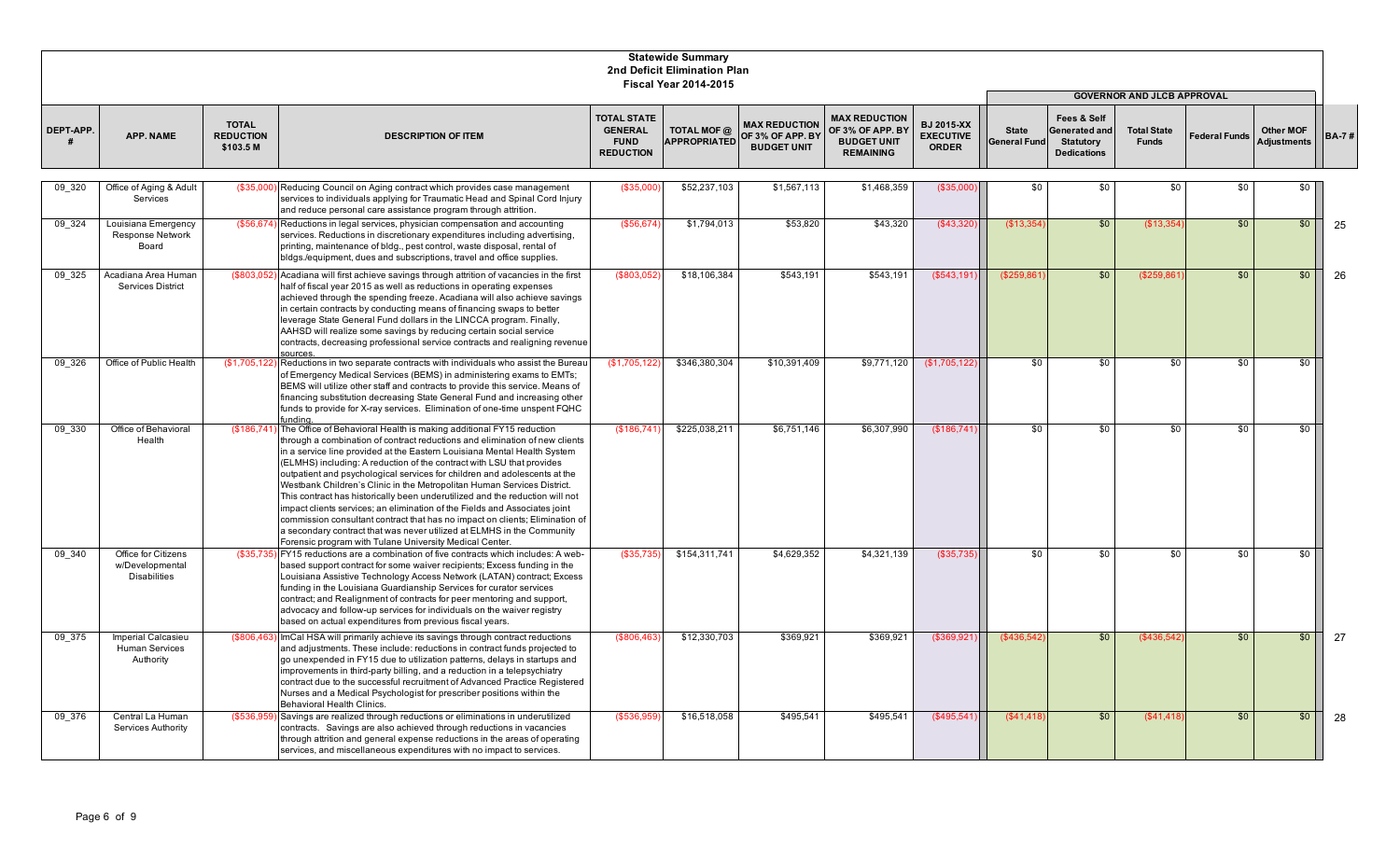|           |                                                               |                                               |                                                                                                                                                                                                                                                                                                                                                                                                                                                                                                                                                                                                                                                                                                                                                                                                                                                    |                                                                         | <b>Statewide Summary</b><br>2nd Deficit Elimination Plan<br><b>Fiscal Year 2014-2015</b> |                                                                |                                                                                    |                                                       |                                     |                                                                                   |                                                                         |                      |                                        |              |
|-----------|---------------------------------------------------------------|-----------------------------------------------|----------------------------------------------------------------------------------------------------------------------------------------------------------------------------------------------------------------------------------------------------------------------------------------------------------------------------------------------------------------------------------------------------------------------------------------------------------------------------------------------------------------------------------------------------------------------------------------------------------------------------------------------------------------------------------------------------------------------------------------------------------------------------------------------------------------------------------------------------|-------------------------------------------------------------------------|------------------------------------------------------------------------------------------|----------------------------------------------------------------|------------------------------------------------------------------------------------|-------------------------------------------------------|-------------------------------------|-----------------------------------------------------------------------------------|-------------------------------------------------------------------------|----------------------|----------------------------------------|--------------|
| DEPT-APP. | <b>APP. NAME</b>                                              | <b>TOTAL</b><br><b>REDUCTION</b><br>\$103.5 M | <b>DESCRIPTION OF ITEM</b>                                                                                                                                                                                                                                                                                                                                                                                                                                                                                                                                                                                                                                                                                                                                                                                                                         | <b>TOTAL STATE</b><br><b>GENERAL</b><br><b>FUND</b><br><b>REDUCTION</b> | TOTAL MOF @<br><b>APPROPRIATED</b>                                                       | <b>MAX REDUCTION</b><br>OF 3% OF APP. BY<br><b>BUDGET UNIT</b> | <b>MAX REDUCTION</b><br>OF 3% OF APP. BY<br><b>BUDGET UNIT</b><br><b>REMAINING</b> | <b>BJ 2015-XX</b><br><b>EXECUTIVE</b><br><b>ORDER</b> | <b>State</b><br><b>General Fund</b> | <b>Fees &amp; Self</b><br>Generated and<br><b>Statutory</b><br><b>Dedications</b> | <b>GOVERNOR AND JLCB APPROVAL</b><br><b>Total State</b><br><b>Funds</b> | <b>Federal Funds</b> | <b>Other MOF</b><br><b>Adjustments</b> | <b>BA-7#</b> |
| 09 320    | Office of Aging & Adult<br>Services                           | (\$35,000                                     | Reducing Council on Aging contract which provides case management<br>services to individuals applying for Traumatic Head and Spinal Cord Injury<br>and reduce personal care assistance program through attrition.                                                                                                                                                                                                                                                                                                                                                                                                                                                                                                                                                                                                                                  | (\$35,000                                                               | \$52,237,103                                                                             | \$1,567,113                                                    | \$1,468,359                                                                        | (\$35,000                                             | \$0                                 | \$0                                                                               | \$0                                                                     | \$0                  | $\sqrt{6}$                             |              |
| 09 324    | Louisiana Emergency<br><b>Response Network</b><br>Board       | (\$56,674)                                    | Reductions in legal services, physician compensation and accounting<br>services. Reductions in discretionary expenditures including advertising,<br>printing, maintenance of bldg., pest control, waste disposal, rental of<br>bldgs./equipment, dues and subscriptions, travel and office supplies.                                                                                                                                                                                                                                                                                                                                                                                                                                                                                                                                               | (\$56,674)                                                              | \$1,794,013                                                                              | \$53,820                                                       | \$43,320                                                                           | (\$43,320                                             | (\$13,354                           | \$0                                                                               | (\$13,354                                                               | \$0                  | \$0                                    | 25           |
| 09 325    | Acadiana Area Humar<br><b>Services District</b>               | (\$803,052                                    | Acadiana will first achieve savings through attrition of vacancies in the first<br>half of fiscal year 2015 as well as reductions in operating expenses<br>achieved through the spending freeze. Acadiana will also achieve savings<br>in certain contracts by conducting means of financing swaps to better<br>leverage State General Fund dollars in the LINCCA program. Finally,<br>AAHSD will realize some savings by reducing certain social service<br>contracts, decreasing professional service contracts and realigning revenue<br>sources.                                                                                                                                                                                                                                                                                               | (\$803,05                                                               | \$18,106,384                                                                             | \$543,191                                                      | \$543,191                                                                          | (\$543,19'                                            | (\$259.86                           | \$0                                                                               | (\$259,86)                                                              | \$0                  | \$0                                    | 26           |
| 09 326    | Office of Public Health                                       | (\$1,705,122                                  | Reductions in two separate contracts with individuals who assist the Bureau<br>of Emergency Medical Services (BEMS) in administering exams to EMTs;<br>BEMS will utilize other staff and contracts to provide this service. Means of<br>financing substitution decreasing State General Fund and increasing other<br>funds to provide for X-ray services. Elimination of one-time unspent FQHC<br>fundina.                                                                                                                                                                                                                                                                                                                                                                                                                                         | (\$1,705,122                                                            | \$346,380,304                                                                            | \$10,391,409                                                   | \$9,771,120                                                                        | (\$1,705,122)                                         | \$0                                 | \$0                                                                               | \$0                                                                     | \$0                  | \$0                                    |              |
| 09 330    | Office of Behavioral<br>Health                                | (\$186,741)                                   | The Office of Behavioral Health is making additional FY15 reduction<br>through a combination of contract reductions and elimination of new clients<br>in a service line provided at the Eastern Louisiana Mental Health System<br>(ELMHS) including: A reduction of the contract with LSU that provides<br>outpatient and psychological services for children and adolescents at the<br>Westbank Children's Clinic in the Metropolitan Human Services District.<br>This contract has historically been underutilized and the reduction will not<br>impact clients services; an elimination of the Fields and Associates joint<br>commission consultant contract that has no impact on clients; Elimination of<br>a secondary contract that was never utilized at ELMHS in the Community<br>Forensic program with Tulane University Medical Center. | (\$186,741                                                              | \$225,038,211                                                                            | \$6,751,146                                                    | \$6,307,990                                                                        | (\$186,741)                                           | \$0                                 | \$0                                                                               | \$0                                                                     | \$0                  | \$0                                    |              |
| 09 340    | Office for Citizens<br>w/Developmental<br><b>Disabilities</b> | (\$35,735)                                    | FY15 reductions are a combination of five contracts which includes: A web-<br>based support contract for some waiver recipients; Excess funding in the<br>Louisiana Assistive Technology Access Network (LATAN) contract; Excess<br>funding in the Louisiana Guardianship Services for curator services<br>contract; and Realignment of contracts for peer mentoring and support,<br>advocacy and follow-up services for individuals on the waiver registry<br>based on actual expenditures from previous fiscal years.                                                                                                                                                                                                                                                                                                                            | (\$35,735                                                               | \$154,311,741                                                                            | \$4,629,352                                                    | \$4,321,139                                                                        | $($ \$35,735)                                         | \$0                                 | \$0                                                                               | \$0                                                                     | \$0                  | \$0                                    |              |
| 09 375    | Imperial Calcasieu<br><b>Human Services</b><br>Authority      | (\$806,463)                                   | ImCal HSA will primarily achieve its savings through contract reductions<br>and adjustments. These include: reductions in contract funds projected to<br>go unexpended in FY15 due to utilization patterns, delays in startups and<br>improvements in third-party billing, and a reduction in a telepsychiatry<br>contract due to the successful recruitment of Advanced Practice Registered<br>Nurses and a Medical Psychologist for prescriber positions within the<br>Behavioral Health Clinics.                                                                                                                                                                                                                                                                                                                                                | \$806,463                                                               | \$12,330,703                                                                             | \$369,921                                                      | \$369,921                                                                          | (\$369,92'                                            | (\$436,542                          | \$0                                                                               | (\$436,542                                                              | \$0                  | \$0                                    | 27           |
| 09 376    | Central La Human<br><b>Services Authority</b>                 | (\$536,959                                    | Savings are realized through reductions or eliminations in underutilized<br>contracts. Savings are also achieved through reductions in vacancies<br>through attrition and general expense reductions in the areas of operating<br>services, and miscellaneous expenditures with no impact to services.                                                                                                                                                                                                                                                                                                                                                                                                                                                                                                                                             | (\$536,95                                                               | \$16,518,058                                                                             | \$495,541                                                      | \$495,541                                                                          | (\$495,541                                            | (\$41,418)                          | \$0                                                                               | (\$41,418)                                                              | \$0                  | \$0                                    | 28           |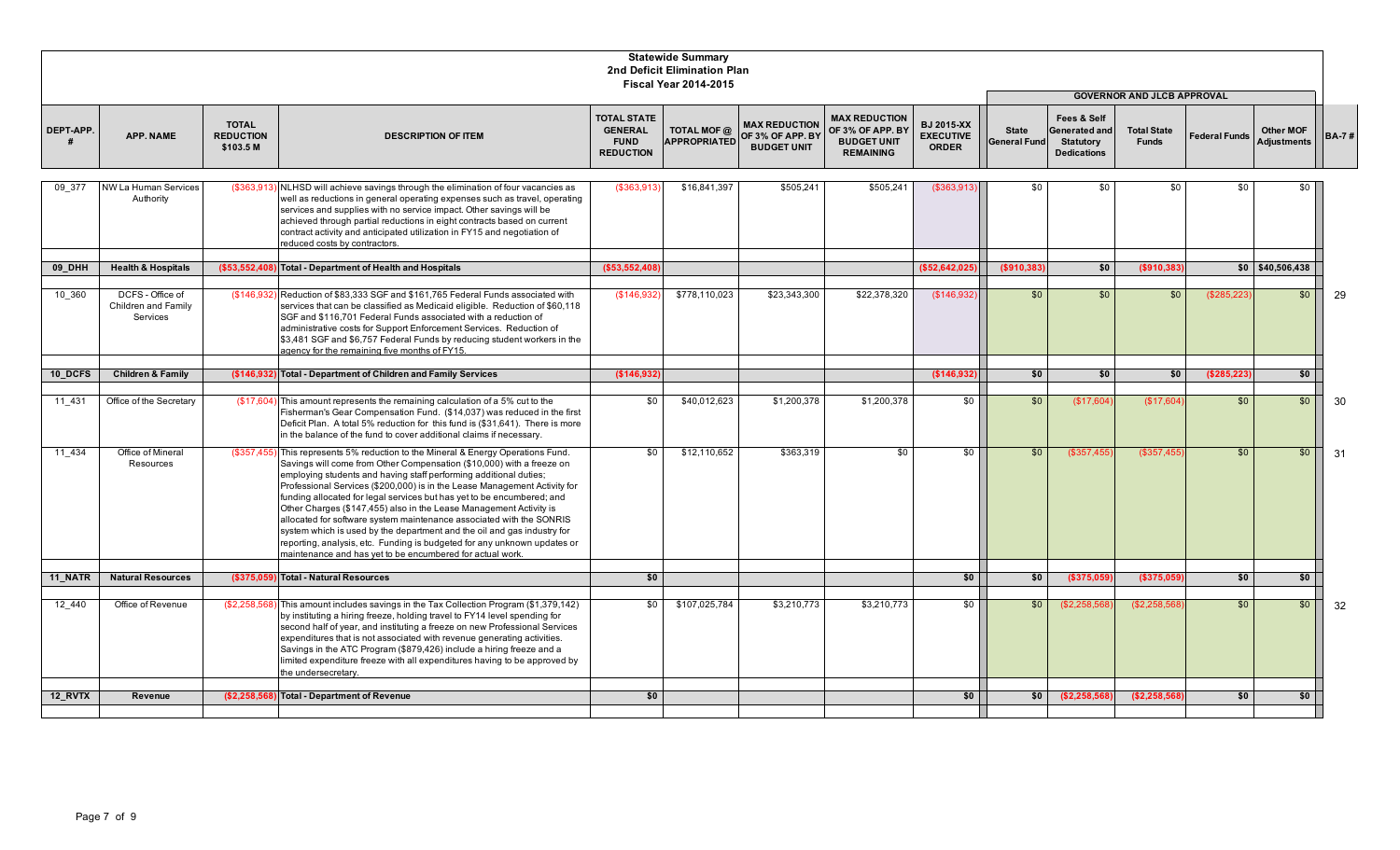|            |                                                     |                                               |                                                                                                                                                                                                                                                                                                                                                                                                                                                                                                                                                                                                                                                                                                                                              |                                                                         | <b>Statewide Summary</b><br>2nd Deficit Elimination Plan<br><b>Fiscal Year 2014-2015</b> |                                                                             |                                                                                    |                                                       |                                     |                                                                        |                                    |                      |                                        |              |
|------------|-----------------------------------------------------|-----------------------------------------------|----------------------------------------------------------------------------------------------------------------------------------------------------------------------------------------------------------------------------------------------------------------------------------------------------------------------------------------------------------------------------------------------------------------------------------------------------------------------------------------------------------------------------------------------------------------------------------------------------------------------------------------------------------------------------------------------------------------------------------------------|-------------------------------------------------------------------------|------------------------------------------------------------------------------------------|-----------------------------------------------------------------------------|------------------------------------------------------------------------------------|-------------------------------------------------------|-------------------------------------|------------------------------------------------------------------------|------------------------------------|----------------------|----------------------------------------|--------------|
|            |                                                     |                                               |                                                                                                                                                                                                                                                                                                                                                                                                                                                                                                                                                                                                                                                                                                                                              |                                                                         |                                                                                          |                                                                             |                                                                                    |                                                       |                                     |                                                                        | <b>GOVERNOR AND JLCB APPROVAL</b>  |                      |                                        |              |
| DEPT-APP.  | <b>APP. NAME</b>                                    | <b>TOTAL</b><br><b>REDUCTION</b><br>\$103.5 M | <b>DESCRIPTION OF ITEM</b>                                                                                                                                                                                                                                                                                                                                                                                                                                                                                                                                                                                                                                                                                                                   | <b>TOTAL STATE</b><br><b>GENERAL</b><br><b>FUND</b><br><b>REDUCTION</b> | TOTAL MOF @                                                                              | <b>MAX REDUCTION</b><br>APPROPRIATED OF 3% OF APP. BY<br><b>BUDGET UNIT</b> | <b>MAX REDUCTION</b><br>OF 3% OF APP. BY<br><b>BUDGET UNIT</b><br><b>REMAINING</b> | <b>BJ 2015-XX</b><br><b>EXECUTIVE</b><br><b>ORDER</b> | <b>State</b><br><b>General Fund</b> | Fees & Self<br>Generated and<br><b>Statutory</b><br><b>Dedications</b> | <b>Total State</b><br><b>Funds</b> | <b>Federal Funds</b> | <b>Other MOF</b><br><b>Adjustments</b> | <b>BA-7#</b> |
| 09 377     | NW La Human Services<br>Authority                   | (\$363,913                                    | NLHSD will achieve savings through the elimination of four vacancies as<br>well as reductions in general operating expenses such as travel, operating<br>services and supplies with no service impact. Other savings will be<br>achieved through partial reductions in eight contracts based on current<br>contract activity and anticipated utilization in FY15 and negotiation of<br>reduced costs by contractors.                                                                                                                                                                                                                                                                                                                         | (\$363,913)                                                             | \$16.841.397                                                                             | \$505,241                                                                   | \$505,241                                                                          | (\$363,913                                            | \$0                                 | \$0                                                                    | \$0                                | \$0                  | \$0                                    |              |
| 09 DHH     | <b>Health &amp; Hospitals</b>                       | ( \$53,552,408                                | Total - Department of Health and Hospitals                                                                                                                                                                                                                                                                                                                                                                                                                                                                                                                                                                                                                                                                                                   | (\$53,552,408                                                           |                                                                                          |                                                                             |                                                                                    | (\$52,642,02"                                         | ( \$910, 383)                       | \$0                                                                    | ( \$910, 383                       |                      | $$0$ \$40,506,438                      |              |
|            |                                                     |                                               |                                                                                                                                                                                                                                                                                                                                                                                                                                                                                                                                                                                                                                                                                                                                              |                                                                         |                                                                                          |                                                                             |                                                                                    |                                                       |                                     |                                                                        |                                    |                      |                                        |              |
| 10 360     | DCFS - Office of<br>Children and Family<br>Services | (\$146,932                                    | Reduction of \$83,333 SGF and \$161,765 Federal Funds associated with<br>services that can be classified as Medicaid eligible. Reduction of \$60.118<br>SGF and \$116,701 Federal Funds associated with a reduction of<br>administrative costs for Support Enforcement Services. Reduction of<br>\$3,481 SGF and \$6,757 Federal Funds by reducing student workers in the<br>agency for the remaining five months of FY15.                                                                                                                                                                                                                                                                                                                   | (\$146,932                                                              | \$778,110,023                                                                            | \$23,343,300                                                                | \$22,378,320                                                                       | \$146,932                                             | \$0                                 | \$0                                                                    | \$0                                | (\$285,223)          | \$0                                    | 29           |
|            |                                                     |                                               |                                                                                                                                                                                                                                                                                                                                                                                                                                                                                                                                                                                                                                                                                                                                              |                                                                         |                                                                                          |                                                                             |                                                                                    |                                                       |                                     |                                                                        |                                    |                      |                                        |              |
| 10 DCFS    | <b>Children &amp; Family</b>                        | (\$146.932                                    | Total - Department of Children and Family Services                                                                                                                                                                                                                                                                                                                                                                                                                                                                                                                                                                                                                                                                                           | (\$146,932                                                              |                                                                                          |                                                                             |                                                                                    | (\$146,932                                            | \$0                                 | \$0                                                                    | \$0                                | (\$285,223)          | 50                                     |              |
| 11 431     | Office of the Secretary                             | (\$17,604                                     | This amount represents the remaining calculation of a 5% cut to the<br>Fisherman's Gear Compensation Fund. (\$14,037) was reduced in the first<br>Deficit Plan. A total 5% reduction for this fund is (\$31,641). There is more<br>in the balance of the fund to cover additional claims if necessary.                                                                                                                                                                                                                                                                                                                                                                                                                                       | \$0                                                                     | \$40,012,623                                                                             | \$1,200,378                                                                 | \$1,200,378                                                                        | \$0                                                   | \$0                                 | (\$17,604)                                                             | (\$17,604                          | \$0                  | \$0                                    | 30           |
| 11 434     | Office of Mineral<br>Resources                      | (\$357.455)                                   | This represents 5% reduction to the Mineral & Energy Operations Fund.<br>Savings will come from Other Compensation (\$10,000) with a freeze on<br>employing students and having staff performing additional duties;<br>Professional Services (\$200,000) is in the Lease Management Activity for<br>funding allocated for legal services but has yet to be encumbered; and<br>Other Charges (\$147,455) also in the Lease Management Activity is<br>allocated for software system maintenance associated with the SONRIS<br>system which is used by the department and the oil and gas industry for<br>reporting, analysis, etc. Funding is budgeted for any unknown updates or<br>maintenance and has vet to be encumbered for actual work. | $\overline{50}$                                                         | \$12,110,652                                                                             | \$363.319                                                                   | $\overline{50}$                                                                    | $\overline{50}$                                       | \$0                                 | (\$357,455                                                             | (\$357.455                         | \$0                  | \$0                                    | 31           |
| 11 NATR    | <b>Natural Resources</b>                            | (\$375.05                                     | <b>Total - Natural Resources</b>                                                                                                                                                                                                                                                                                                                                                                                                                                                                                                                                                                                                                                                                                                             | \$0                                                                     |                                                                                          |                                                                             |                                                                                    | \$0                                                   | \$0                                 | (\$375,059                                                             | (\$375,059                         | \$0                  | \$0                                    |              |
|            |                                                     |                                               |                                                                                                                                                                                                                                                                                                                                                                                                                                                                                                                                                                                                                                                                                                                                              |                                                                         |                                                                                          |                                                                             |                                                                                    |                                                       |                                     |                                                                        |                                    |                      |                                        |              |
| $12 - 440$ | Office of Revenue                                   | (\$2,258,568                                  | This amount includes savings in the Tax Collection Program (\$1,379,142)<br>by instituting a hiring freeze, holding travel to FY14 level spending for<br>second half of year, and instituting a freeze on new Professional Services<br>expenditures that is not associated with revenue generating activities.<br>Savings in the ATC Program (\$879,426) include a hiring freeze and a<br>limited expenditure freeze with all expenditures having to be approved by<br>the undersecretary.                                                                                                                                                                                                                                                   | \$0                                                                     | \$107,025,784                                                                            | \$3,210,773                                                                 | \$3,210,773                                                                        | \$0                                                   | \$0                                 | (\$2,258,568)                                                          | (S2.258.568)                       | \$0                  | \$0                                    | 32           |
| 12_RVTX    | Revenue                                             | (\$2,258,568)                                 | <b>Total - Department of Revenue</b>                                                                                                                                                                                                                                                                                                                                                                                                                                                                                                                                                                                                                                                                                                         | \$0                                                                     |                                                                                          |                                                                             |                                                                                    | \$0                                                   | \$0                                 | (\$2,258,568)                                                          | (\$2,258,568)                      | \$0                  | \$0                                    |              |
|            |                                                     |                                               |                                                                                                                                                                                                                                                                                                                                                                                                                                                                                                                                                                                                                                                                                                                                              |                                                                         |                                                                                          |                                                                             |                                                                                    |                                                       |                                     |                                                                        |                                    |                      |                                        |              |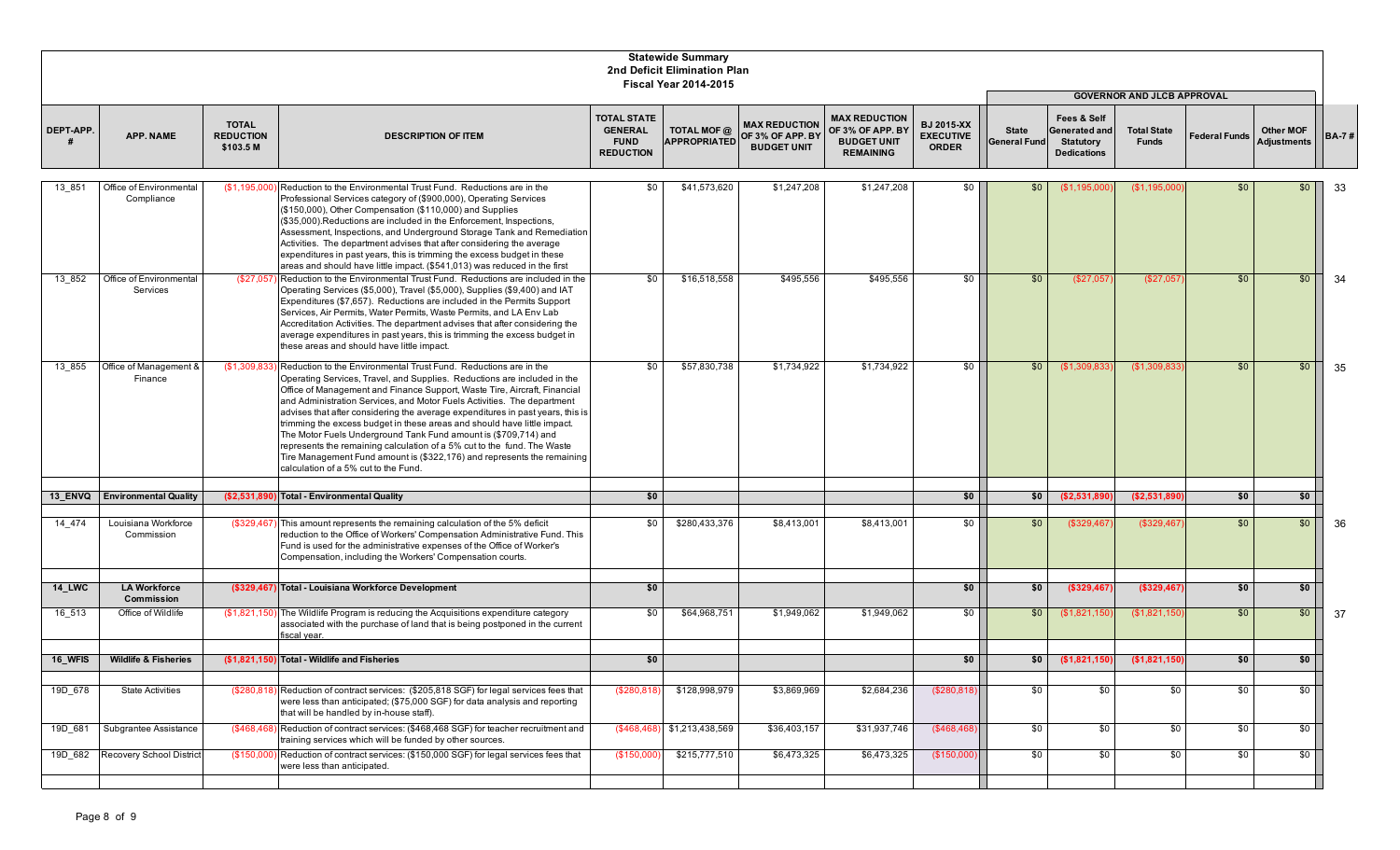|               |                                       |                                               |                                                                                                                                                                                                                                                                                                                                                                                                                                                                                                                                                                                                                                                                                                                                     |                                                                         | <b>Statewide Summary</b><br>2nd Deficit Elimination Plan<br><b>Fiscal Year 2014-2015</b> |                                                                |                                                                                    |                                                       |                                     |                                                                        |                                    |                      |                                 |              |
|---------------|---------------------------------------|-----------------------------------------------|-------------------------------------------------------------------------------------------------------------------------------------------------------------------------------------------------------------------------------------------------------------------------------------------------------------------------------------------------------------------------------------------------------------------------------------------------------------------------------------------------------------------------------------------------------------------------------------------------------------------------------------------------------------------------------------------------------------------------------------|-------------------------------------------------------------------------|------------------------------------------------------------------------------------------|----------------------------------------------------------------|------------------------------------------------------------------------------------|-------------------------------------------------------|-------------------------------------|------------------------------------------------------------------------|------------------------------------|----------------------|---------------------------------|--------------|
|               |                                       |                                               |                                                                                                                                                                                                                                                                                                                                                                                                                                                                                                                                                                                                                                                                                                                                     |                                                                         |                                                                                          |                                                                |                                                                                    |                                                       |                                     |                                                                        | <b>GOVERNOR AND JLCB APPROVAL</b>  |                      |                                 |              |
| DEPT-APP.     | <b>APP. NAME</b>                      | <b>TOTAL</b><br><b>REDUCTION</b><br>\$103.5 M | <b>DESCRIPTION OF ITEM</b>                                                                                                                                                                                                                                                                                                                                                                                                                                                                                                                                                                                                                                                                                                          | <b>TOTAL STATE</b><br><b>GENERAL</b><br><b>FUND</b><br><b>REDUCTION</b> | TOTAL MOF @<br><b>APPROPRIATED</b>                                                       | <b>MAX REDUCTION</b><br>OF 3% OF APP. BY<br><b>BUDGET UNIT</b> | <b>MAX REDUCTION</b><br>OF 3% OF APP. BY<br><b>BUDGET UNIT</b><br><b>REMAINING</b> | <b>BJ 2015-XX</b><br><b>EXECUTIVE</b><br><b>ORDER</b> | <b>State</b><br><b>General Fund</b> | Fees & Self<br>Generated and<br><b>Statutory</b><br><b>Dedications</b> | <b>Total State</b><br><b>Funds</b> | <b>Federal Funds</b> | <b>Other MOF</b><br>Adjustments | <b>BA-7#</b> |
| 13 851        | Office of Environmental<br>Compliance | (\$1,195,000                                  | Reduction to the Environmental Trust Fund. Reductions are in the<br>Professional Services category of (\$900,000), Operating Services<br>(\$150,000), Other Compensation (\$110,000) and Supplies<br>(\$35,000). Reductions are included in the Enforcement, Inspections,<br>Assessment, Inspections, and Underground Storage Tank and Remediation<br>Activities. The department advises that after considering the average<br>expenditures in past years, this is trimming the excess budget in these<br>areas and should have little impact. (\$541,013) was reduced in the first                                                                                                                                                 | \$0                                                                     | \$41,573,620                                                                             | \$1,247,208                                                    | \$1,247,208                                                                        | \$0                                                   | \$0                                 | (\$1,195,000                                                           | (\$1,195,000                       | \$0                  | \$0                             | 33           |
| 13 852        | Office of Environmental<br>Services   |                                               | (\$27,057) Reduction to the Environmental Trust Fund. Reductions are included in the<br>Operating Services (\$5,000), Travel (\$5,000), Supplies (\$9,400) and IAT<br>Expenditures (\$7,657). Reductions are included in the Permits Support<br>Services, Air Permits, Water Permits, Waste Permits, and LA Env Lab<br>Accreditation Activities. The department advises that after considering the<br>average expenditures in past years, this is trimming the excess budget in<br>these areas and should have little impact.                                                                                                                                                                                                       | \$0                                                                     | \$16,518,558                                                                             | \$495,556                                                      | \$495,556                                                                          | \$0                                                   | \$0                                 | (\$27,057                                                              | (\$27,057                          | \$0                  | \$0                             | 34           |
| 13 855        | Office of Management &<br>Finance     | (\$1,309,833                                  | Reduction to the Environmental Trust Fund. Reductions are in the<br>Operating Services, Travel, and Supplies. Reductions are included in the<br>Office of Management and Finance Support, Waste Tire, Aircraft, Financial<br>and Administration Services, and Motor Fuels Activities. The department<br>advises that after considering the average expenditures in past years, this is<br>trimming the excess budget in these areas and should have little impact.<br>The Motor Fuels Underground Tank Fund amount is (\$709,714) and<br>represents the remaining calculation of a 5% cut to the fund. The Waste<br>Tire Management Fund amount is (\$322,176) and represents the remaining<br>calculation of a 5% cut to the Fund. | \$0                                                                     | \$57,830,738                                                                             | \$1,734,922                                                    | \$1,734,922                                                                        | \$0                                                   | \$0                                 | (\$1,309,833                                                           | (\$1,309,833                       | \$0                  | \$0                             | 35           |
| 13 ENVQ       | <b>Environmental Quality</b>          | (\$2,531,890                                  | Total - Environmental Quality                                                                                                                                                                                                                                                                                                                                                                                                                                                                                                                                                                                                                                                                                                       | \$0                                                                     |                                                                                          |                                                                |                                                                                    | \$0                                                   | \$0                                 | (\$2,531,890)                                                          | (\$2,531,890)                      | \$0                  | \$0 <sub>1</sub>                |              |
|               |                                       |                                               |                                                                                                                                                                                                                                                                                                                                                                                                                                                                                                                                                                                                                                                                                                                                     |                                                                         |                                                                                          |                                                                |                                                                                    |                                                       |                                     |                                                                        |                                    |                      |                                 |              |
| 14 474        | Louisiana Workforce<br>Commission     | (\$329,467)                                   | This amount represents the remaining calculation of the 5% deficit<br>reduction to the Office of Workers' Compensation Administrative Fund. This<br>Fund is used for the administrative expenses of the Office of Worker's<br>Compensation, including the Workers' Compensation courts.                                                                                                                                                                                                                                                                                                                                                                                                                                             | so I                                                                    | \$280,433,376                                                                            | \$8,413,001                                                    | \$8,413,001                                                                        | \$0                                                   | \$0                                 | (\$329,467)                                                            | (\$329,467                         | \$0                  | \$0                             | 36           |
|               |                                       |                                               |                                                                                                                                                                                                                                                                                                                                                                                                                                                                                                                                                                                                                                                                                                                                     |                                                                         |                                                                                          |                                                                |                                                                                    |                                                       |                                     |                                                                        |                                    |                      |                                 |              |
| <b>14 LWC</b> | <b>LA Workforce</b><br>Commission     |                                               | (\$329,467) Total - Louisiana Workforce Development                                                                                                                                                                                                                                                                                                                                                                                                                                                                                                                                                                                                                                                                                 | \$0                                                                     |                                                                                          |                                                                |                                                                                    | \$0                                                   | \$0                                 | (\$329,467)                                                            | (\$329,467)                        | \$0                  | \$0 <sub>1</sub>                |              |
| 16 513        | Office of Wildlife                    | (\$1,821,150)                                 | The Wildlife Program is reducing the Acquisitions expenditure category<br>associated with the purchase of land that is being postponed in the current<br>fiscal year.                                                                                                                                                                                                                                                                                                                                                                                                                                                                                                                                                               | \$0                                                                     | \$64,968,751                                                                             | \$1,949,062                                                    | \$1,949,062                                                                        | \$0                                                   | \$0                                 | (\$1,821,150                                                           | (\$1,821,150                       | \$0                  | \$0                             | -37          |
| 16_WFIS       | <b>Wildlife &amp; Fisheries</b>       |                                               | (\$1.821.150) Total - Wildlife and Fisheries                                                                                                                                                                                                                                                                                                                                                                                                                                                                                                                                                                                                                                                                                        | \$0                                                                     |                                                                                          |                                                                |                                                                                    | \$0                                                   | \$0                                 | (\$1,821,150)                                                          | (\$1,821,150                       | \$0                  | \$0 <sub>1</sub>                |              |
|               |                                       |                                               |                                                                                                                                                                                                                                                                                                                                                                                                                                                                                                                                                                                                                                                                                                                                     |                                                                         |                                                                                          |                                                                |                                                                                    |                                                       |                                     |                                                                        |                                    |                      |                                 |              |
| 19D 678       | <b>State Activities</b>               | (\$280, 818                                   | Reduction of contract services: (\$205,818 SGF) for legal services fees that<br>were less than anticipated; (\$75,000 SGF) for data analysis and reporting<br>that will be handled by in-house staff).                                                                                                                                                                                                                                                                                                                                                                                                                                                                                                                              | (\$280,818                                                              | \$128,998,979                                                                            | \$3,869,969                                                    | \$2,684,236                                                                        | (\$280,818)                                           | \$0                                 | \$0                                                                    | \$0                                | \$0                  | \$0 <sub>1</sub>                |              |
| 19D 681       | Subgrantee Assistance                 |                                               | (\$468,468) Reduction of contract services: (\$468,468 SGF) for teacher recruitment and<br>training services which will be funded by other sources.                                                                                                                                                                                                                                                                                                                                                                                                                                                                                                                                                                                 |                                                                         |                                                                                          | \$36,403,157                                                   | \$31,937,746                                                                       | (\$468,468)                                           | \$0                                 | \$0                                                                    | \$0                                | \$0                  | \$0                             |              |
| 19D 682       | Recovery School District              | (\$150,000)                                   | Reduction of contract services: (\$150,000 SGF) for legal services fees that<br>were less than anticipated.                                                                                                                                                                                                                                                                                                                                                                                                                                                                                                                                                                                                                         | (\$150,000                                                              | \$215,777,510                                                                            | \$6,473,325                                                    | \$6,473,325                                                                        | (\$150,000                                            | \$0                                 | \$0                                                                    | \$0                                | \$0                  | \$0 <sub>1</sub>                |              |
|               |                                       |                                               |                                                                                                                                                                                                                                                                                                                                                                                                                                                                                                                                                                                                                                                                                                                                     |                                                                         |                                                                                          |                                                                |                                                                                    |                                                       |                                     |                                                                        |                                    |                      |                                 |              |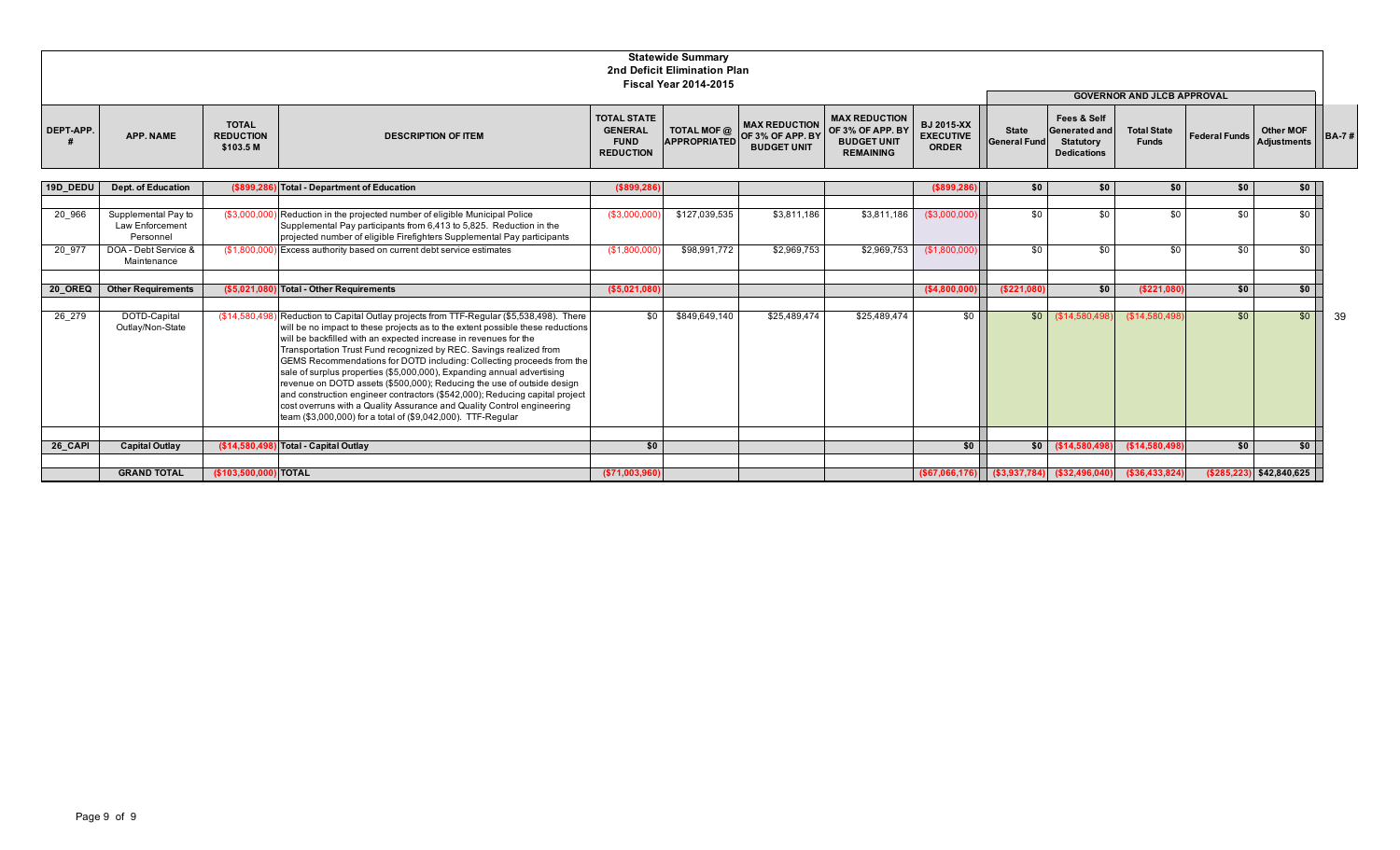|                  |                  |                                               |                            |                                                                         | <b>Statewide Summary</b><br>2nd Deficit Elimination Plan<br><b>Fiscal Year 2014-2015</b> |                                                                  |                                                                                                                       |                                                       |                              |                                                                        |                                    |                                             |           |                       |
|------------------|------------------|-----------------------------------------------|----------------------------|-------------------------------------------------------------------------|------------------------------------------------------------------------------------------|------------------------------------------------------------------|-----------------------------------------------------------------------------------------------------------------------|-------------------------------------------------------|------------------------------|------------------------------------------------------------------------|------------------------------------|---------------------------------------------|-----------|-----------------------|
|                  |                  |                                               |                            |                                                                         |                                                                                          |                                                                  |                                                                                                                       |                                                       |                              |                                                                        | <b>GOVERNOR AND JLCB APPROVAL</b>  |                                             |           |                       |
| <b>DEPT-APP.</b> | <b>APP. NAME</b> | <b>TOTAL</b><br><b>REDUCTION</b><br>\$103.5 M | <b>DESCRIPTION OF ITEM</b> | <b>TOTAL STATE</b><br><b>GENERAL</b><br><b>FUND</b><br><b>REDUCTION</b> | <b>TOTAL MOF @</b>                                                                       | $\overline{APPROPRIATED}$ OF 3% OF APP. BY<br><b>BUDGET UNIT</b> | <b>MAX REDUCTION</b><br>$T \approx$   MAX REDUCTION   OF 3% OF APP. BY   BY<br><b>BUDGET UNIT</b><br><b>REMAINING</b> | <b>BJ 2015-XX</b><br><b>EXECUTIVE</b><br><b>ORDER</b> | <b>State</b><br>General Fund | Fees & Self<br>Generated and<br><b>Statutory</b><br><b>Dedications</b> | <b>Total State</b><br><b>Funds</b> | Federal Funds Adjustments   I <sup>-1</sup> | Other MOF | $\overline{AB}$ BA-7# |

| 19D DEDU | <b>Dept. of Education</b>                                  |                       | (\$899,286) Total - Department of Education                                                                                                                                                                                                                                                                                                                                                                                                                                                                                                                                                                                                                                                                                                                                 | ( \$899, 286)   |               |              |              | (\$899,286       | \$0          |                                                   |                  |     | \$0                       |      |
|----------|------------------------------------------------------------|-----------------------|-----------------------------------------------------------------------------------------------------------------------------------------------------------------------------------------------------------------------------------------------------------------------------------------------------------------------------------------------------------------------------------------------------------------------------------------------------------------------------------------------------------------------------------------------------------------------------------------------------------------------------------------------------------------------------------------------------------------------------------------------------------------------------|-----------------|---------------|--------------|--------------|------------------|--------------|---------------------------------------------------|------------------|-----|---------------------------|------|
| 20 966   | Supplemental Pay to<br><b>Law Enforcement</b><br>Personnel | (\$3,000,000          | Reduction in the projected number of eligible Municipal Police<br>Supplemental Pay participants from 6,413 to 5,825. Reduction in the<br>projected number of eligible Firefighters Supplemental Pay participants                                                                                                                                                                                                                                                                                                                                                                                                                                                                                                                                                            | (\$3,000,000    | \$127,039,535 | \$3,811,186  | \$3,811,186  | (\$3,000,000)    | \$0          | .ፍስ                                               | \$0              | \$٢ | \$0                       |      |
| 20 977   | DOA - Debt Service &<br>Maintenance                        | (\$1,800,000          | Excess authority based on current debt service estimates                                                                                                                                                                                                                                                                                                                                                                                                                                                                                                                                                                                                                                                                                                                    | (\$1,800,000)   | \$98,991,772  | \$2,969,753  | \$2,969,753  | (\$1,800,000)    | \$0          | \$0                                               | \$0              | \$0 | \$0                       |      |
| 20 OREQ  | <b>Other Requirements</b>                                  | ( \$5,021,080 ]       | Fotal - Other Requirements                                                                                                                                                                                                                                                                                                                                                                                                                                                                                                                                                                                                                                                                                                                                                  | ( \$5,021,080)  |               |              |              | ( \$4,800,000    | ( \$221,080] | \$0                                               | (\$221,080       | \$0 | \$0                       |      |
| 26 279   | DOTD-Capital<br>Outlay/Non-State                           |                       | (\$14,580,498) Reduction to Capital Outlay projects from TTF-Regular (\$5,538,498). There<br>will be no impact to these projects as to the extent possible these reductions<br>will be backfilled with an expected increase in revenues for the<br>Transportation Trust Fund recognized by REC. Savings realized from<br>GEMS Recommendations for DOTD including: Collecting proceeds from the<br>sale of surplus properties (\$5,000,000), Expanding annual advertising<br>revenue on DOTD assets (\$500,000); Reducing the use of outside design<br>and construction engineer contractors (\$542,000); Reducing capital project<br>cost overruns with a Quality Assurance and Quality Control engineering<br>team (\$3,000,000) for a total of (\$9,042,000). TTF-Regular | \$0             | \$849,649,140 | \$25,489,474 | \$25,489,474 | \$0              |              | $$0$ $($14,580,498)$                              | (\$14,580,498)   | \$0 | \$0                       | - 39 |
| 26 CAPI  | <b>Capital Outlay</b>                                      | (\$14,580,498         | Total - Capital Outlay                                                                                                                                                                                                                                                                                                                                                                                                                                                                                                                                                                                                                                                                                                                                                      | \$0             |               |              |              | \$0 <sub>1</sub> |              | $$0$ (\$14,580,498)                               | \$(\$14,580,498) | \$0 | \$0                       |      |
|          | <b>GRAND TOTAL</b>                                         | (\$103,500,000) TOTAL |                                                                                                                                                                                                                                                                                                                                                                                                                                                                                                                                                                                                                                                                                                                                                                             | ( \$71,003,960) |               |              |              |                  |              | $( $67,066,176)$ $( $3,937,784)$ $( $32,496,040)$ | (\$36,433,824)   |     | $(285, 223)$ \$42,840,625 |      |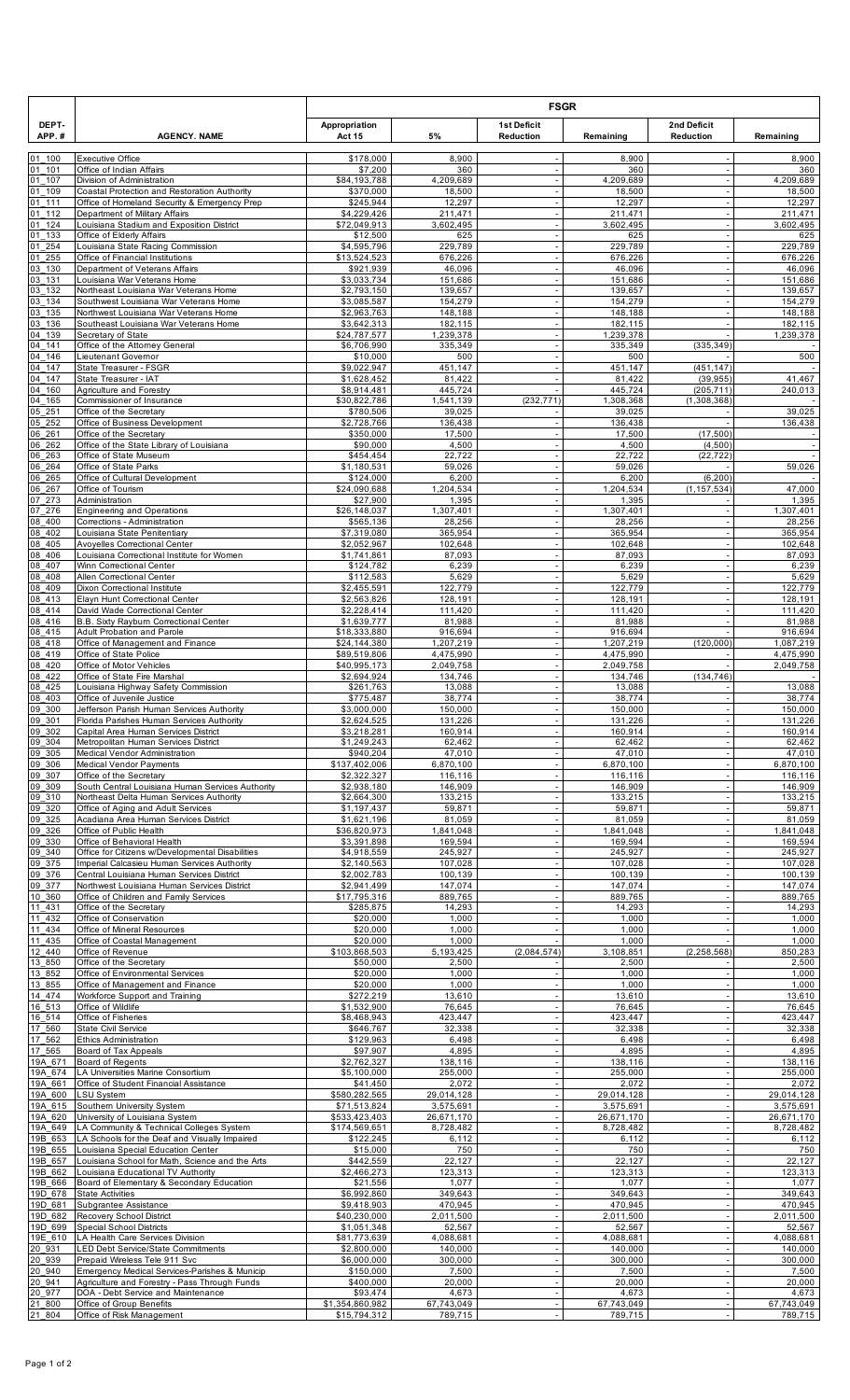|                      |                                                                                                 |                                 |                         |                                                      | <b>FSGR</b><br>2nd Deficit<br>Reduction<br>Remaining<br>8,900 |                                                      |                         |
|----------------------|-------------------------------------------------------------------------------------------------|---------------------------------|-------------------------|------------------------------------------------------|---------------------------------------------------------------|------------------------------------------------------|-------------------------|
| DEPT-<br>APP.#       | <b>AGENCY. NAME</b>                                                                             | Appropriation<br><b>Act 15</b>  | 5%                      | <b>1st Deficit</b><br>Reduction                      |                                                               |                                                      | Remaining               |
| 01 100               | <b>Executive Office</b>                                                                         | \$178,000                       | 8,900                   |                                                      |                                                               |                                                      | 8,900                   |
| 01 101<br>01<br>107  | Office of Indian Affairs<br>Division of Administration                                          | \$7,200<br>\$84.193.788         | 360<br>4,209,689        |                                                      | 360<br>4,209,689                                              | $\sim$                                               | 360<br>4,209,689        |
| 01 109<br>01 111     | Coastal Protection and Restoration Authority<br>Office of Homeland Security & Emergency Prep    | \$370,000<br>\$245,944          | 18,500<br>12,297        | ÷,<br>÷.                                             | 18,500<br>12,297                                              | $\overline{\phantom{a}}$<br>÷.                       | 18,500<br>12,297        |
| 01 112               | Department of Military Affairs                                                                  | \$4,229,426                     | 211,471                 |                                                      | 211,471                                                       | ÷,                                                   | 211,471                 |
| 01 124<br>01<br>133  | Louisiana Stadium and Exposition District<br>Office of Elderly Affairs                          | \$72,049,913<br>\$12,500        | 3,602,495<br>625        | $\overline{\phantom{a}}$<br>$\sim$                   | 3,602,495<br>625                                              | $\sim$<br>$\overline{\phantom{a}}$                   | 3,602,495<br>625        |
| 01<br>254            | Louisiana State Racing Commission                                                               | \$4,595,796                     | 229,789                 |                                                      | 229,789                                                       | ÷,                                                   | 229,789                 |
| 01255<br>03 130      | Office of Financial Institutions<br>Department of Veterans Affairs                              | \$13,524,523<br>\$921,939       | 676,226<br>46,096       | $\sim$<br>$\overline{\phantom{a}}$                   | 676,226<br>46,096                                             | $\overline{\phantom{a}}$<br>$\overline{\phantom{a}}$ | 676,226<br>46,096       |
| 03 131<br>03 132     | Louisiana War Veterans Home<br>Northeast Louisiana War Veterans Home                            | \$3,033,734<br>\$2,793,150      | 151,686<br>139,657      | ÷,<br>ä,                                             | 151,686<br>139,657                                            | $\overline{\phantom{a}}$<br>$\sim$                   | 151,686<br>139,657      |
| 03 134               | Southwest Louisiana War Veterans Home                                                           | \$3,085,587                     | 154,279                 | ÷,                                                   | 154,279                                                       | ÷.                                                   | 154,279                 |
| 03 135<br>03 136     | Northwest Louisiana War Veterans Home<br>Southeast Louisiana War Veterans Home                  | \$2,963,763<br>\$3,642,313      | 148,188<br>182,115      | ÷,                                                   | 148,188<br>182,115                                            | $\overline{\phantom{a}}$                             | 148,188<br>182,115      |
| 04 139<br>04 141     | Secretary of State<br>Office of the Attorney General                                            | \$24,787,577<br>\$6,706,990     | 1,239,378<br>335,349    | ÷,<br>÷,                                             | 1,239,378<br>335,349                                          | (335, 349)                                           | 1,239,378               |
| 04 146               | Lieutenant Governor                                                                             | \$10,000                        | 500                     | $\blacksquare$                                       | 500                                                           |                                                      | 500                     |
| 04 147<br>04 147     | State Treasurer - FSGR<br>State Treasurer - IAT                                                 | \$9,022,947<br>\$1,628,452      | 451,147<br>81,422       | $\sim$                                               | 451,147<br>81,422                                             | (451, 147)<br>(39, 955)                              | 41,467                  |
| 04 160               | Agriculture and Forestry<br>Commissioner of Insurance                                           | \$8,914,481                     | 445,724                 | (232, 771)                                           | 445,724                                                       | (205, 711)                                           | 240,013                 |
| 04 165<br>05 251     | Office of the Secretary                                                                         | \$30,822,786<br>\$780,506       | 1,541,139<br>39,025     |                                                      | 1,308,368<br>39,025                                           | (1,308,368)                                          | 39,025                  |
| 05252<br>06 261      | Office of Business Development<br>Office of the Secretary                                       | \$2,728,766<br>\$350,000        | 136,438<br>17,500       | ÷,<br>$\overline{\phantom{a}}$                       | 136,438<br>17,500                                             | (17, 500)                                            | 136,438                 |
| 06 262               | Office of the State Library of Louisiana                                                        | \$90,000                        | 4,500                   |                                                      | 4,500                                                         | (4,500)                                              | $\sim$                  |
| 06 263<br>06 264     | Office of State Museum<br>Office of State Parks                                                 | \$454,454<br>\$1,180,531        | 22,722<br>59,026        | $\blacksquare$<br>$\blacksquare$                     | 22,722<br>59,026                                              | (22, 722)                                            | $\sim$<br>59,026        |
| 06 265<br>$06 - 267$ | Office of Cultural Development<br>Office of Tourism                                             | \$124,000<br>\$24,090,688       | 6,200<br>1,204,534      | ÷,                                                   | 6,200<br>1,204,534                                            | (6, 200)<br>(1, 157, 534)                            | 47,000                  |
| 07 273               | Administration                                                                                  | \$27,900                        | 1,395                   | $\omega$                                             | 1,395                                                         |                                                      | 1,395                   |
| 07 276<br>08 400     | <b>Engineering and Operations</b><br>Corrections - Administration                               | \$26,148,037<br>\$565,136       | 1,307,401<br>28,256     | ÷,                                                   | 1,307,401<br>28,256                                           | ÷,                                                   | 1,307,401<br>28,256     |
| 08 402<br>08 405     | Louisiana State Penitentiary                                                                    | \$7,319,080                     | 365,954                 | $\omega$                                             | 365,954                                                       | $\sim$                                               | 365,954                 |
| 08 406               | Avoyelles Correctional Center<br>Louisiana Correctional Institute for Women                     | \$2,052,967<br>\$1,741,861      | 102,648<br>87,093       | $\sim$                                               | 102,648<br>87,093                                             | $\overline{\phantom{a}}$<br>÷,                       | 102,648<br>87,093       |
| 08 407<br>08 408     | Winn Correctional Center<br>Allen Correctional Center                                           | \$124,782<br>\$112,583          | 6,239<br>5,629          | $\omega$<br>$\sim$                                   | 6,239<br>5,629                                                | $\overline{\phantom{a}}$<br>$\overline{\phantom{a}}$ | 6,239<br>5,629          |
| 08 409               | Dixon Correctional Institute                                                                    | \$2,455,591                     | 122,779                 | $\blacksquare$                                       | 122,779                                                       | $\sim$                                               | 122,779                 |
| 08 413<br>08 414     | Elayn Hunt Correctional Center<br>David Wade Correctional Center                                | \$2,563,826<br>\$2,228,414      | 128,191<br>111,420      | $\sim$                                               | 128,191<br>111,420                                            | ÷.                                                   | 128,191<br>111,420      |
| 08 416<br>08 415     | B.B. Sixty Rayburn Correctional Center<br>Adult Probation and Parole                            | \$1,639,777<br>\$18,333,880     | 81,988<br>916,694       | $\blacksquare$                                       | 81,988<br>916,694                                             | $\overline{\phantom{a}}$                             | 81,988<br>916,694       |
| 08 418               | Office of Management and Finance                                                                | \$24,144,380                    | 1,207,219               |                                                      | 1,207,219                                                     | (120,000)                                            | 1,087,219               |
| 08 419<br>08 420     | Office of State Police<br>Office of Motor Vehicles                                              | \$89,519,806<br>\$40,995,173    | 4,475,990<br>2,049,758  | $\overline{\phantom{a}}$<br>$\sim$                   | 4,475,990<br>2,049,758                                        |                                                      | 4,475,990<br>2,049,758  |
| 08 422<br>08 425     | Office of State Fire Marshal<br>Louisiana Highway Safety Commission                             | \$2,694,924<br>\$261,763        | 134.746<br>13,088       | $\overline{\phantom{a}}$                             | 134,746<br>13,088                                             | (134, 746)                                           | 13,088                  |
| 08 403               | Office of Juvenile Justice                                                                      | \$775,487                       | 38,774                  | ä,                                                   | 38,774                                                        | $\overline{\phantom{a}}$                             | 38,774                  |
| 09 300<br>09 301     | Jefferson Parish Human Services Authority<br>Florida Parishes Human Services Authority          | \$3,000,000<br>\$2,624,525      | 150,000<br>131,226      |                                                      | 150,000<br>131,226                                            |                                                      | 150,000<br>131,226      |
| 09 302<br>09 304     | Capital Area Human Services District<br>Metropolitan Human Services District                    | \$3,218,281<br>\$1,249,243      | 160,914<br>62,462       |                                                      | 160,914<br>62,462                                             |                                                      | 160,914<br>62,462       |
| 09 305               | Medical Vendor Administration                                                                   | \$940,204                       | 47.010                  |                                                      | 47,010                                                        | $\sim$                                               | 47,010                  |
| 09 306<br>09 307     | Medical Vendor Payments<br>Office of the Secretary                                              | \$137,402,006<br>\$2,322,327    | 6,870,100<br>116,116    | $\overline{\phantom{a}}$<br>÷,                       | 6,870,100<br>116,116                                          | $\sim$<br>$\blacksquare$                             | 6,870,100<br>116,116    |
| 09 309<br>09 310     | South Central Louisiana Human Services Authority<br>Northeast Delta Human Services Authority    | \$2,938,180<br>\$2,664,300      | 146,909<br>133,215      | ÷,                                                   | 146,909<br>133,215                                            | $\overline{\phantom{a}}$                             | 146,909<br>133,215      |
| 09 320               | Office of Aging and Adult Services                                                              | \$1,197,437                     | 59,871                  | $\omega$                                             | 59,871                                                        | $\sim$                                               | 59,871                  |
| 09 325<br>09 326     | Acadiana Area Human Services District<br>Office of Public Health                                | \$1,621,196<br>\$36,820,973     | 81,059<br>1,841,048     | $\sim$<br>÷,                                         | 81,059<br>1,841,048                                           | $\overline{\phantom{a}}$<br>$\sim$                   | 81,059<br>1,841,048     |
| 09 330               | Office of Behavioral Health                                                                     | \$3,391,898                     | 169,594                 |                                                      | 169,594                                                       | $\sim$                                               | 169,594                 |
| 09 340<br>09 375     | Office for Citizens w/Developmental Disabilities<br>Imperial Calcasieu Human Services Authority | \$4,918,559<br>\$2,140,563      | 245,927<br>107.028      | $\sim$                                               | 245,927<br>107,028                                            | $\overline{\phantom{a}}$                             | 245,927<br>107,028      |
| 09 376<br>09 377     | Central Louisiana Human Services District<br>Northwest Louisiana Human Services District        | \$2,002,783<br>\$2,941,499      | 100,139<br>147,074      | $\sim$                                               | 100,139<br>147,074                                            | $\sim$<br>$\overline{\phantom{a}}$                   | 100,139<br>147,074      |
| 10 360               | Office of Children and Family Services                                                          | \$17.795.316                    | 889,765                 | ÷,                                                   | 889.765                                                       | $\sim$                                               | 889.765                 |
| 11 431<br>11 432     | Office of the Secretary<br>Office of Conservation                                               | \$285,875<br>\$20,000           | 14,293<br>1,000         | $\overline{\phantom{a}}$<br>$\overline{\phantom{a}}$ | 14,293<br>1,000                                               | $\sim$<br>$\overline{\phantom{a}}$                   | 14,293<br>1,000         |
| 11 434<br>11 435     | Office of Mineral Resources<br>Office of Coastal Management                                     | \$20,000<br>\$20,000            | 1,000<br>1,000          | ÷,                                                   | 1,000<br>1,000                                                | $\overline{\phantom{a}}$                             | 1,000<br>1,000          |
| 12 440               | Office of Revenue                                                                               | \$103,868,503                   | 5,193,425               | (2,084,574)                                          | 3,108,851                                                     | (2, 258, 568)                                        | 850,283                 |
| 13 850<br>13 852     | Office of the Secretary<br>Office of Environmental Services                                     | \$50,000<br>\$20,000            | 2,500<br>1,000          | ä,                                                   | 2,500<br>1,000                                                | $\overline{\phantom{a}}$<br>$\overline{\phantom{a}}$ | 2,500<br>1,000          |
| 13 855               | Office of Management and Finance                                                                | \$20,000                        | 1,000                   | $\overline{\phantom{a}}$                             | 1,000                                                         |                                                      | 1,000                   |
| 14 474<br>16 513     | Workforce Support and Training<br>Office of Wildlife                                            | \$272,219<br>\$1,532,900        | 13,610<br>76,645        | $\overline{\phantom{a}}$                             | 13,610<br>76,645                                              | $\blacksquare$<br>$\overline{\phantom{a}}$           | 13,610<br>76,645        |
| 16 514<br>17 560     | Office of Fisheries<br><b>State Civil Service</b>                                               | \$8,468,943<br>\$646,767        | 423,447<br>32,338       |                                                      | 423,447<br>32,338                                             | $\sim$                                               | 423,447<br>32,338       |
| 17 562               | <b>Ethics Administration</b>                                                                    | \$129,963                       | 6,498                   | $\overline{\phantom{a}}$                             | 6,498                                                         | $\overline{\phantom{a}}$                             | 6,498                   |
| 17 565<br>19A 671    | Board of Tax Appeals<br>Board of Regents                                                        | \$97,907<br>\$2,762,327         | 4,895<br>138,116        | $\sim$                                               | 4,895<br>138,116                                              | $\sim$                                               | 4,895<br>138,116        |
| 19A 674<br>19A 661   | LA Universities Marine Consortium<br>Office of Student Financial Assistance                     | \$5,100,000<br>\$41,450         | 255,000<br>2,072        | $\overline{\phantom{a}}$<br>÷,                       | 255,000<br>2,072                                              | $\overline{\phantom{a}}$<br>$\blacksquare$           | 255,000<br>2,072        |
| 19A 600              | <b>LSU System</b>                                                                               | \$580,282,565                   | 29,014,128              |                                                      | 29,014,128                                                    |                                                      | 29,014,128              |
| 19A_615<br>19A 620   | Southern University System<br>University of Louisiana System                                    | \$71,513,824<br>\$533,423,403   | 3,575,691<br>26,671,170 | ÷,                                                   | 3,575,691<br>26,671,170                                       | $\sim$<br>$\overline{\phantom{a}}$                   | 3,575,691<br>26,671,170 |
| 19A 649<br>19B_653   | LA Community & Technical Colleges System                                                        | \$174,569,651                   | 8,728,482               |                                                      | 8,728,482                                                     |                                                      | 8,728,482               |
| 19B 655              | LA Schools for the Deaf and Visually Impaired<br>Louisiana Special Education Center             | \$122,245<br>\$15,000           | 6,112<br>750            | ÷,                                                   | 6,112<br>750                                                  | $\overline{\phantom{a}}$                             | 6,112<br>750            |
| 19B 657<br>19B 662   | Louisiana School for Math, Science and the Arts<br>Louisiana Educational TV Authority           | \$442,559<br>\$2,466,273        | 22,127<br>123,313       | $\ddot{\phantom{1}}$                                 | 22,127<br>123,313                                             | $\overline{\phantom{a}}$                             | 22,127<br>123.313       |
| 19B 666              | Board of Elementary & Secondary Education                                                       | \$21,556                        | 1,077                   |                                                      | 1,077                                                         | $\sim$                                               | 1,077                   |
| 19D 678<br>19D 681   | <b>State Activities</b><br>Subgrantee Assistance                                                | \$6,992,860<br>\$9,418,903      | 349,643<br>470.945      |                                                      | 349,643<br>470,945                                            | ÷,<br>$\sim$                                         | 349,643<br>470,945      |
| 19D 682<br>19D 699   | Recovery School District<br><b>Special School Districts</b>                                     | \$40,230,000<br>\$1,051,348     | 2,011,500<br>52,567     | $\sim$                                               | 2,011,500<br>52,567                                           | $\blacksquare$<br>$\overline{\phantom{a}}$           | 2,011,500<br>52,567     |
| 19E 610              | LA Health Care Services Division                                                                | \$81,773,639                    | 4,088,681               |                                                      | 4,088,681                                                     | ÷,                                                   | 4,088,681               |
| 20 931<br>20 939     | LED Debt Service/State Commitments<br>Prepaid Wireless Tele 911 Svc                             | \$2,800,000<br>\$6,000,000      | 140,000<br>300,000      |                                                      | 140,000<br>300,000                                            | $\sim$                                               | 140,000<br>300,000      |
| 20 940<br>20 941     | Emergency Medical Services-Parishes & Municip<br>Agriculture and Forestry - Pass Through Funds  | \$150,000<br>\$400,000          | 7,500<br>20,000         | $\overline{\phantom{a}}$                             | 7,500<br>20,000                                               | $\overline{\phantom{a}}$<br>$\sim$                   | 7,500<br>20,000         |
| 20<br>977            | DOA - Debt Service and Maintenance                                                              | \$93,474                        | 4,673                   | $\overline{\phantom{a}}$                             | 4,673                                                         | $\overline{\phantom{a}}$                             | 4,673                   |
| 21 800<br>21 804     | Office of Group Benefits<br>Office of Risk Management                                           | \$1,354,860,982<br>\$15,794,312 | 67,743,049<br>789,715   | $\blacksquare$<br>$\overline{\phantom{a}}$           | 67,743,049<br>789,715                                         | $\sim$<br>$\blacksquare$                             | 67,743,049<br>789,715   |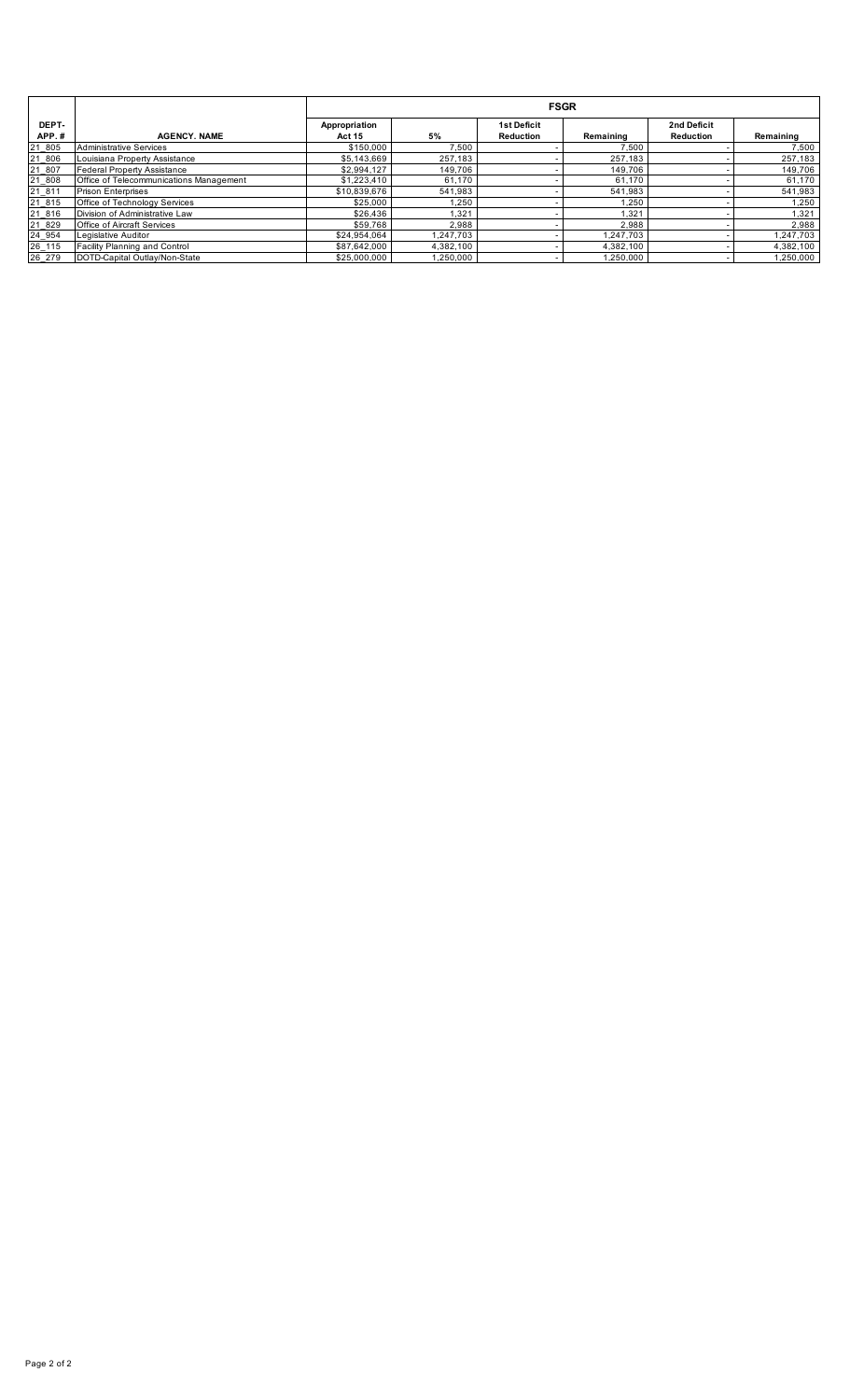|                |                                         |                                | <b>FSGR</b> |                                 |           |                          |           |  |  |  |  |  |  |
|----------------|-----------------------------------------|--------------------------------|-------------|---------------------------------|-----------|--------------------------|-----------|--|--|--|--|--|--|
| DEPT-<br>APP.# | <b>AGENCY, NAME</b>                     | Appropriation<br><b>Act 15</b> | 5%          | <b>1st Deficit</b><br>Reduction | Remaining | 2nd Deficit<br>Reduction | Remaining |  |  |  |  |  |  |
| 21 805         | Administrative Services                 | \$150,000                      | 7.500       |                                 | 7.500     |                          | 7.500     |  |  |  |  |  |  |
| 21 806         | Louisiana Property Assistance           | \$5,143,669                    | 257.183     |                                 | 257,183   |                          | 257,183   |  |  |  |  |  |  |
| 21 807         | <b>Federal Property Assistance</b>      | \$2,994,127                    | 149,706     |                                 | 149,706   |                          | 149,706   |  |  |  |  |  |  |
| 21 808         | Office of Telecommunications Management | \$1,223,410                    | 61.170      |                                 | 61,170    |                          | 61,170    |  |  |  |  |  |  |
| 21 811         | <b>Prison Enterprises</b>               | \$10,839,676                   | 541,983     |                                 | 541,983   |                          | 541,983   |  |  |  |  |  |  |
| 21 815         | Office of Technology Services           | \$25,000                       | 1.250       |                                 | 1.250     |                          | 1.250     |  |  |  |  |  |  |
| 21_816         | Division of Administrative Law          | \$26,436                       | 1,321       |                                 | 1,321     |                          | 1,321     |  |  |  |  |  |  |
| 21 829         | <b>Office of Aircraft Services</b>      | \$59.768                       | 2.988       |                                 | 2.988     |                          | 2.988     |  |  |  |  |  |  |
| 24_954         | Legislative Auditor                     | \$24,954,064                   | 1.247.703   |                                 | 1.247.703 |                          | 1,247,703 |  |  |  |  |  |  |
| 26 115         | Facility Planning and Control           | \$87,642,000                   | 4.382.100   |                                 | 4.382.100 |                          | 4,382,100 |  |  |  |  |  |  |
| 26 279         | DOTD-Capital Outlay/Non-State           | \$25,000,000                   | 1.250.000   |                                 | 1,250,000 |                          | 1.250.000 |  |  |  |  |  |  |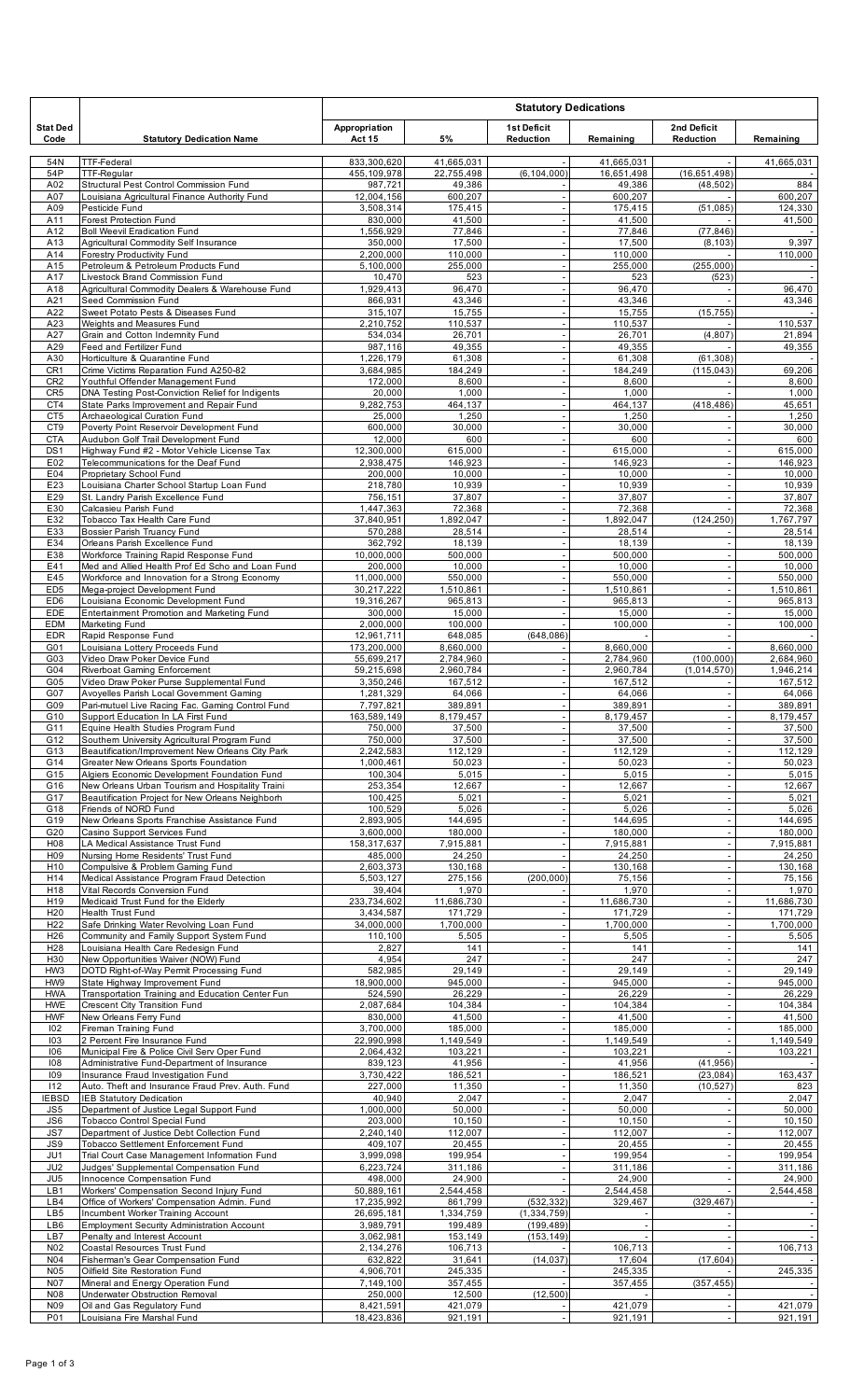|                                    |                                                                                                      |                          | <b>Statutory Dedications</b><br><b>1st Deficit</b><br>2nd Deficit<br>5%<br><b>Act 15</b><br>Reduction<br>Remaining<br>Reduction |                                                      |                        |                                                      |                           |
|------------------------------------|------------------------------------------------------------------------------------------------------|--------------------------|---------------------------------------------------------------------------------------------------------------------------------|------------------------------------------------------|------------------------|------------------------------------------------------|---------------------------|
| <b>Stat Ded</b><br>Code            | <b>Statutory Dedication Name</b>                                                                     | Appropriation            |                                                                                                                                 |                                                      |                        |                                                      | Remaining                 |
| 54N                                | <b>TTF-Federal</b><br><b>TTF-Regular</b>                                                             | 833,300,620              | 41,665,031                                                                                                                      |                                                      | 41,665,031             |                                                      | 41,665,031                |
| 54P<br>A02                         | Structural Pest Control Commission Fund                                                              | 455,109,978<br>987,721   | 22,755,498<br>49,386                                                                                                            | (6, 104, 000)                                        | 16,651,498<br>49,386   | (16,651,498)<br>(48, 502)                            | 884                       |
| A07<br>A09                         | Louisiana Agricultural Finance Authority Fund<br>Pesticide Fund                                      | 12,004,156<br>3,508,314  | 600,207<br>175,415                                                                                                              | $\sim$                                               | 600,207<br>175,415     | (51, 085)                                            | 600,207<br>124,330        |
| A11                                | Forest Protection Fund                                                                               | 830,000                  | 41,500                                                                                                                          |                                                      | 41,500                 |                                                      | 41,500                    |
| A12<br>A13                         | <b>Boll Weevil Eradication Fund</b><br>Agricultural Commodity Self Insurance                         | 1,556,929<br>350,000     | 77,846<br>17,500                                                                                                                | $\overline{\phantom{a}}$<br>$\overline{\phantom{a}}$ | 77,846<br>17,500       | (77, 846)<br>(8, 103)                                | 9,397                     |
| A14                                | Forestry Productivity Fund                                                                           | 2,200,000                | 110,000                                                                                                                         | $\overline{\phantom{a}}$                             | 110,000                |                                                      | 110,000                   |
| A15<br>A17                         | Petroleum & Petroleum Products Fund<br>Livestock Brand Commission Fund                               | 5,100,000<br>10,470      | 255,000<br>523                                                                                                                  | ÷,                                                   | 255,000<br>523         | (255,000)<br>(523)                                   | $\overline{\phantom{a}}$  |
| A18                                | Agricultural Commodity Dealers & Warehouse Fund<br>Seed Commission Fund                              | 1,929,413                | 96,470                                                                                                                          |                                                      | 96,470                 |                                                      | 96,470                    |
| A21<br>A22                         | Sweet Potato Pests & Diseases Fund                                                                   | 866,931<br>315,107       | 43,346<br>15,755                                                                                                                | $\overline{\phantom{a}}$                             | 43,346<br>15,755       | (15, 755)                                            | 43,346                    |
| A23<br>A27                         | Weights and Measures Fund<br>Grain and Cotton Indemnity Fund                                         | 2,210,752<br>534,034     | 110,537<br>26,701                                                                                                               | $\overline{\phantom{a}}$                             | 110,537<br>26,701      | (4, 807)                                             | 110,537<br>21,894         |
| A29                                | Feed and Fertilizer Fund                                                                             | 987,116                  | 49,355                                                                                                                          | $\overline{\phantom{a}}$                             | 49,355                 |                                                      | 49,355                    |
| A30<br>CR1                         | Horticulture & Quarantine Fund<br>Crime Victims Reparation Fund A250-82                              | 1,226,179<br>3,684,985   | 61,308<br>184,249                                                                                                               | $\overline{\phantom{a}}$                             | 61,308<br>184,249      | (61, 308)<br>(115, 043)                              | 69,206                    |
| CR <sub>2</sub>                    | Youthful Offender Management Fund                                                                    | 172,000                  | 8,600                                                                                                                           | $\overline{\phantom{a}}$                             | 8,600                  |                                                      | 8,600                     |
| CR <sub>5</sub><br>CT4             | DNA Testing Post-Conviction Relief for Indigents<br>State Parks Improvement and Repair Fund          | 20,000<br>9,282,753      | 1,000<br>464,137                                                                                                                | $\overline{\phantom{a}}$<br>$\overline{\phantom{a}}$ | 1,000<br>464,137       | (418, 486)                                           | 1,000<br>45,651           |
| CT <sub>5</sub>                    | Archaeological Curation Fund                                                                         | 25,000                   | 1,250                                                                                                                           |                                                      | 1,250                  |                                                      | 1,250                     |
| CT9<br><b>CTA</b>                  | Poverty Point Reservoir Development Fund<br>Audubon Golf Trail Development Fund                      | 600,000<br>12,000        | 30,000<br>600                                                                                                                   |                                                      | 30,000<br>600          | $\overline{\phantom{a}}$                             | 30,000<br>600             |
| DS <sub>1</sub>                    | Highway Fund #2 - Motor Vehicle License Tax                                                          | 12,300,000               | 615.000                                                                                                                         | $\overline{\phantom{a}}$                             | 615,000                |                                                      | 615,000                   |
| E02<br>E04                         | Telecommunications for the Deaf Fund<br>Proprietary School Fund                                      | 2,938,475<br>200,000     | 146,923<br>10,000                                                                                                               | $\overline{\phantom{a}}$<br>÷,                       | 146,923<br>10,000      | $\overline{\phantom{a}}$                             | 146,923<br>10,000         |
| E23                                | Louisiana Charter School Startup Loan Fund                                                           | 218,780                  | 10,939                                                                                                                          | ÷,                                                   | 10,939                 | $\sim$                                               | 10,939                    |
| E29<br>E30                         | St. Landry Parish Excellence Fund<br>Calcasieu Parish Fund                                           | 756,151<br>1,447,363     | 37,807<br>72,368                                                                                                                | $\overline{\phantom{a}}$                             | 37,807<br>72,368       |                                                      | 37,807<br>72,368          |
| E32<br>E33                         | Tobacco Tax Health Care Fund<br>Bossier Parish Truancy Fund                                          | 37,840,951<br>570,288    | 1,892,047<br>28,514                                                                                                             | ÷,                                                   | 1,892,047<br>28,514    | (124, 250)                                           | 1,767,797<br>28,514       |
| E34                                | Orleans Parish Excellence Fund                                                                       | 362,792                  | 18,139                                                                                                                          | $\overline{\phantom{a}}$                             | 18,139                 | $\sim$                                               | 18,139                    |
| E38<br>E41                         | Workforce Training Rapid Response Fund<br>Med and Allied Health Prof Ed Scho and Loan Fund           | 10,000,000<br>200,000    | 500,000<br>10,000                                                                                                               |                                                      | 500,000<br>10,000      |                                                      | 500,000<br>10,000         |
| E45                                | Workforce and Innovation for a Strong Economy                                                        | $\overline{11,000,000}$  | 550,000                                                                                                                         |                                                      | 550,000                |                                                      | 550,000                   |
| ED <sub>5</sub><br>ED <sub>6</sub> | Mega-project Development Fund<br>Louisiana Economic Development Fund                                 | 30,217,222<br>19,316,267 | 1,510,861<br>965,813                                                                                                            | $\overline{\phantom{a}}$<br>$\overline{\phantom{a}}$ | 1,510,861<br>965,813   | $\sim$<br>$\overline{\phantom{a}}$                   | 1,510,861<br>965,813      |
| EDE                                | Entertainment Promotion and Marketing Fund                                                           | 300,000                  | 15,000                                                                                                                          |                                                      | 15,000                 |                                                      | 15,000                    |
| <b>EDM</b><br><b>EDR</b>           | Marketing Fund<br>Rapid Response Fund                                                                | 2,000,000<br>12,961,711  | 100,000<br>648.085                                                                                                              | (648, 086)                                           | 100,000                | $\blacksquare$                                       | 100,000                   |
| G01                                | Louisiana Lottery Proceeds Fund                                                                      | 173,200,000              | 8,660,000                                                                                                                       |                                                      | 8,660,000              |                                                      | 8,660,000                 |
| G03<br>G04                         | Video Draw Poker Device Fund<br>Riverboat Gaming Enforcement                                         | 55,699,217<br>59,215,698 | 2,784,960<br>2,960,784                                                                                                          | $\overline{\phantom{a}}$<br>$\overline{\phantom{a}}$ | 2,784,960<br>2,960,784 | (100, 000)<br>(1,014,570)                            | 2,684,960<br>1,946,214    |
| G05                                | Video Draw Poker Purse Supplemental Fund                                                             | 3,350,246                | 167,512                                                                                                                         |                                                      | 167,512                |                                                      | 167,512                   |
| G07<br>G09                         | Avoyelles Parish Local Government Gaming<br>Pari-mutuel Live Racing Fac. Gaming Control Fund         | 1,281,329<br>7,797,821   | 64,066<br>389,891                                                                                                               |                                                      | 64,066<br>389,891      |                                                      | 64,066<br>389,891         |
| G10<br>G11                         | Support Education In LA First Fund<br>Equine Health Studies Program Fund                             | 163,589,149<br>750,000   | 8.179.457<br>37,500                                                                                                             |                                                      | 8,179,457<br>37,500    |                                                      | 8,179,457<br>37,500       |
| G12                                | Southem University Agricultural Program Fund                                                         | 750,000                  | 37,500                                                                                                                          | $\overline{\phantom{a}}$                             | 37,500                 | $\overline{\phantom{a}}$                             | 37,500                    |
| G13<br>G14                         | Beautification/Improvement New Orleans City Park<br>Greater New Orleans Sports Foundation            | 2,242,583<br>1.000.461   | 112,129<br>50,023                                                                                                               | ÷,                                                   | 112,129<br>50,023      | $\overline{\phantom{a}}$                             | 112,129<br>50,023         |
| G15                                | Algiers Economic Development Foundation Fund                                                         | 100,304                  | 5,015                                                                                                                           | ÷,                                                   | 5,015                  | $\blacksquare$                                       | 5,015                     |
| G16<br>G17                         | New Orleans Urban Tourism and Hospitality Traini<br>Beautification Project for New Orleans Neighborh | 253,354<br>100,425       | 12,667<br>5,021                                                                                                                 | $\overline{\phantom{a}}$                             | 12,667<br>5,021        | $\sim$                                               | 12,667<br>5,021           |
| G18                                | Friends of NORD Fund                                                                                 | 100,529                  | 5,026                                                                                                                           | $\overline{\phantom{a}}$<br>÷,                       | 5,026                  | $\sim$                                               | 5,026                     |
| G19<br>G20                         | New Orleans Sports Franchise Assistance Fund<br>Casino Support Services Fund                         | 2,893,905<br>3,600,000   | 144,695<br>180,000                                                                                                              |                                                      | 144,695<br>180,000     | $\sim$<br>$\overline{\phantom{a}}$                   | 144,695<br>180.000        |
| H08<br>H09                         | LA Medical Assistance Trust Fund<br>Nursing Home Residents' Trust Fund                               | 158,317,637<br>485,000   | 7,915,881<br>24,250                                                                                                             | $\overline{\phantom{a}}$<br>$\overline{\phantom{a}}$ | 7,915,881<br>24,250    | $\overline{\phantom{a}}$<br>$\sim$                   | 7,915,881<br>24,250       |
| H <sub>10</sub>                    | Compulsive & Problem Gaming Fund                                                                     | 2,603,373                | 130,168                                                                                                                         |                                                      | 130,168                | $\sim$                                               | 130,168                   |
| H14<br>H18                         | Medical Assistance Program Fraud Detection<br>Vital Records Conversion Fund                          | 5,503,127<br>39,404      | 275,156<br>1,970                                                                                                                | (200, 000)                                           | 75,156<br>1,970        | $\overline{\phantom{a}}$<br>$\overline{\phantom{a}}$ | 75,156<br>1,970           |
| H19                                | Medicaid Trust Fund for the Elderly                                                                  | 233,734,602              | 11,686,730                                                                                                                      | $\sim$                                               | 11,686,730             | $\overline{\phantom{a}}$                             | 11,686,730                |
| H <sub>20</sub><br>H <sub>22</sub> | Health Trust Fund<br>Safe Drinking Water Revolving Loan Fund                                         | 3,434,587<br>34,000,000  | 171,729<br>1,700,000                                                                                                            | $\sim$                                               | 171,729<br>1,700,000   | $\overline{\phantom{a}}$                             | 171,729<br>1,700,000      |
| H <sub>26</sub>                    | Community and Family Support System Fund                                                             | 110,100                  | 5,505                                                                                                                           |                                                      | 5,505                  |                                                      | 5,505                     |
| H <sub>28</sub><br>H30             | Louisiana Health Care Redesign Fund<br>New Opportunities Waiver (NOW) Fund                           | 2,827<br>4,954           | 141<br>247                                                                                                                      | $\overline{\phantom{a}}$<br>$\overline{\phantom{a}}$ | 141<br>247             | $\sim$<br>$\sim$                                     | 141<br>247                |
| HW3<br>HW9                         | DOTD Right-of-Way Permit Processing Fund<br>State Highway Improvement Fund                           | 582,985<br>18,900,000    | 29,149<br>945,000                                                                                                               | $\overline{\phantom{a}}$                             | 29,149<br>945,000      | $\sim$                                               | 29,149<br>945,000         |
| <b>HWA</b>                         | Transportation Training and Education Center Fun                                                     | 524,590                  | 26,229                                                                                                                          | $\overline{\phantom{a}}$                             | 26,229                 | $\overline{\phantom{a}}$<br>$\overline{\phantom{a}}$ | 26,229                    |
| <b>HWE</b><br><b>HWF</b>           | Crescent City Transition Fund<br>New Orleans Ferry Fund                                              | 2,087,684<br>830,000     | 104,384<br>41,500                                                                                                               | ÷,<br>$\overline{\phantom{a}}$                       | 104,384<br>41,500      | $\overline{\phantom{a}}$<br>$\sim$                   | 104,384<br>41,500         |
| 102                                | Fireman Training Fund                                                                                | 3,700,000                | 185,000                                                                                                                         | $\overline{\phantom{a}}$                             | 185,000                | $\sim$                                               | 185,000                   |
| 103<br>106                         | 2 Percent Fire Insurance Fund<br>Municipal Fire & Police Civil Serv Oper Fund                        | 22,990,998<br>2,064,432  | 1,149,549<br>103,221                                                                                                            | $\overline{\phantom{a}}$                             | 1,149,549<br>103,221   |                                                      | 1,149,549<br>103,221      |
| 108                                | Administrative Fund-Department of Insurance                                                          | 839,123                  | 41,956                                                                                                                          |                                                      | 41,956                 | (41, 956)                                            |                           |
| 109<br>112                         | Insurance Fraud Investigation Fund<br>Auto. Theft and Insurance Fraud Prev. Auth. Fund               | 3,730,422<br>227,000     | 186,521<br>11,350                                                                                                               | $\sim$<br>$\overline{\phantom{a}}$                   | 186,521<br>11,350      | (23, 084)<br>(10, 527)                               | 163,437<br>823            |
| <b>IEBSD</b>                       | <b>IEB Statutory Dedication</b>                                                                      | 40,940                   | 2,047                                                                                                                           | $\overline{\phantom{a}}$                             | 2,047                  |                                                      | 2,047                     |
| JS5<br>JS6                         | Department of Justice Legal Support Fund<br><b>Tobacco Control Special Fund</b>                      | 1,000,000<br>203,000     | 50,000<br>10,150                                                                                                                | $\overline{\phantom{a}}$<br>$\overline{\phantom{a}}$ | 50,000<br>10,150       | $\overline{\phantom{a}}$                             | 50,000<br>10,150          |
| JS7<br>JS9                         | Department of Justice Debt Collection Fund<br>Tobacco Settlement Enforcement Fund                    | 2,240,140<br>409,107     | 112,007<br>20,455                                                                                                               | ÷,                                                   | 112,007<br>20,455      | $\blacksquare$<br>$\overline{\phantom{a}}$           | 112,007<br>20,455         |
| JU1                                | Trial Court Case Management Information Fund                                                         | 3,999,098                | 199,954                                                                                                                         | ÷,                                                   | 199,954                | $\overline{\phantom{a}}$                             | 199,954                   |
| JU <sub>2</sub><br>JU <sub>5</sub> | Judges' Supplemental Compensation Fund<br>Innocence Compensation Fund                                | 6,223,724<br>498,000     | 311,186<br>24,900                                                                                                               | $\overline{\phantom{a}}$                             | 311,186<br>24,900      | $\overline{\phantom{a}}$                             | 311,186<br>24,900         |
| LB1                                | Workers' Compensation Second Injury Fund                                                             | 50,889,161               | 2,544,458                                                                                                                       |                                                      | 2,544,458              |                                                      | 2,544,458                 |
| LB4<br>LB5                         | Office of Workers' Compensation Admin. Fund<br>Incumbent Worker Training Account                     | 17,235,992<br>26,695,181 | 861.799<br>1,334,759                                                                                                            | (532, 332)<br>(1, 334, 759)                          | 329,467                | (329, 467)                                           | $\overline{\phantom{a}}$  |
| LB6                                | <b>Employment Security Administration Account</b>                                                    | 3,989,791                | 199,489                                                                                                                         | (199, 489)                                           | ÷,                     |                                                      | $\blacksquare$            |
| LB7<br>N02                         | Penalty and Interest Account<br>Coastal Resources Trust Fund                                         | 3,062,981<br>2,134,276   | 153,149<br>106,713                                                                                                              | (153, 149)                                           | 106,713                |                                                      | 106,713                   |
| N04                                | Fisherman's Gear Compensation Fund                                                                   | 632,822                  | 31,641                                                                                                                          | (14, 037)                                            | 17,604                 | (17,604)                                             |                           |
| N05<br>N07                         | Oilfield Site Restoration Fund<br>Mineral and Energy Operation Fund                                  | 4,906,701<br>7,149,100   | 245,335<br>357,455                                                                                                              |                                                      | 245,335<br>357,455     | (357, 455)                                           | 245,335<br>$\blacksquare$ |
| N08<br>N <sub>09</sub>             | Underwater Obstruction Removal<br>Oil and Gas Regulatory Fund                                        | 250,000                  | 12,500<br>421,079                                                                                                               | (12, 500)                                            |                        |                                                      | 421,079                   |
| P01                                | Louisiana Fire Marshal Fund                                                                          | 8,421,591<br>18,423,836  | 921,191                                                                                                                         |                                                      | 421,079<br>921,191     | $\overline{\phantom{a}}$                             | 921,191                   |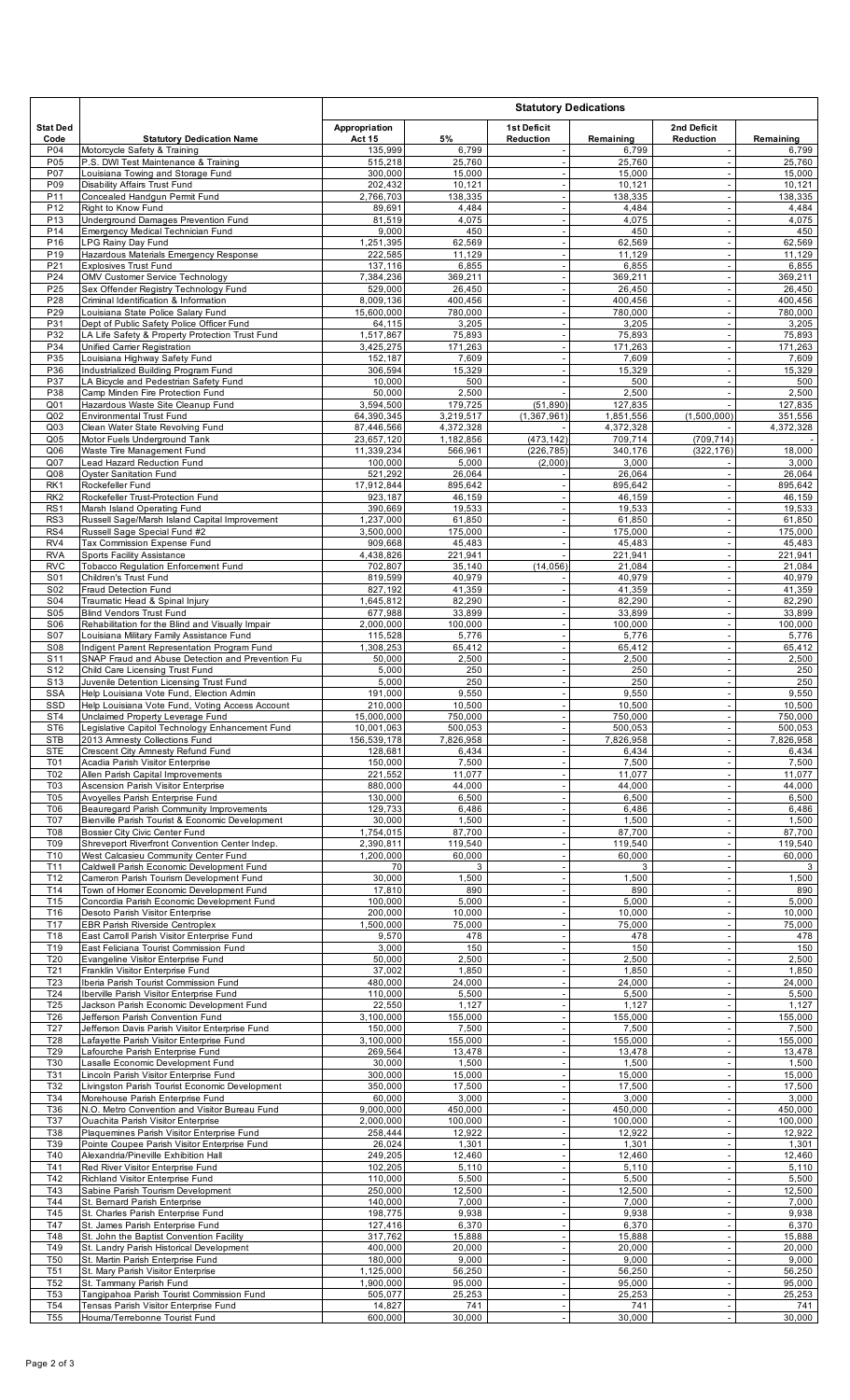|                                    |                                                                                               |                           |                        | <b>Statutory Dedications</b><br><b>1st Deficit</b><br>2nd Deficit |                        |                                                      |                      |  |
|------------------------------------|-----------------------------------------------------------------------------------------------|---------------------------|------------------------|-------------------------------------------------------------------|------------------------|------------------------------------------------------|----------------------|--|
| <b>Stat Ded</b>                    |                                                                                               | Appropriation             |                        |                                                                   |                        |                                                      |                      |  |
| Code<br>P04                        | <b>Statutory Dedication Name</b><br>Motorcycle Safety & Training                              | <b>Act 15</b><br>135,999  | 5%<br>6,799            | <b>Reduction</b>                                                  | Remaining<br>6,799     | Reduction<br>$\overline{\phantom{a}}$                | Remaining<br>6,799   |  |
| P05                                | P.S. DWI Test Maintenance & Training                                                          | 515,218                   | 25,760                 |                                                                   | 25,760                 |                                                      | 25,760               |  |
| P07<br>P09                         | Louisiana Towing and Storage Fund<br>Disability Affairs Trust Fund                            | 300,000<br>202,432        | 15,000<br>10,121       | $\sim$                                                            | 15,000<br>10,121       | $\overline{\phantom{a}}$<br>$\overline{\phantom{a}}$ | 15,000<br>10,121     |  |
| P11                                | Concealed Handgun Permit Fund                                                                 | 2,766,703                 | 138,335                | $\overline{\phantom{a}}$                                          | 138,335                | $\sim$                                               | 138,335              |  |
| P <sub>12</sub><br>P <sub>13</sub> | Right to Know Fund<br>Underground Damages Prevention Fund                                     | 89,691<br>81,519          | 4,484<br>4,075         | $\overline{\phantom{a}}$                                          | 4,484<br>4,075         | $\overline{\phantom{a}}$<br>$\overline{\phantom{a}}$ | 4,484<br>4,075       |  |
| P <sub>14</sub>                    | Emergency Medical Technician Fund                                                             | 9,000                     | 450                    | $\overline{\phantom{a}}$                                          | 450                    | $\overline{\phantom{a}}$                             | 450                  |  |
| P <sub>16</sub><br>P <sub>19</sub> | <b>LPG Rainv Dav Fund</b><br>Hazardous Materials Emergency Response                           | 1,251,395<br>222,585      | 62,569<br>11,129       | $\overline{\phantom{a}}$<br>÷,                                    | 62,569<br>11,129       | $\overline{\phantom{a}}$<br>$\overline{\phantom{a}}$ | 62,569<br>11,129     |  |
| P21                                | <b>Explosives Trust Fund</b>                                                                  | 137,116                   | 6,855                  | $\overline{a}$                                                    | 6,855                  | $\overline{\phantom{a}}$                             | 6,855                |  |
| P24<br>P <sub>25</sub>             | OMV Customer Service Technology<br>Sex Offender Registry Technology Fund                      | 7,384,236<br>529,000      | 369,211<br>26,450      | $\overline{\phantom{a}}$<br>$\overline{\phantom{a}}$              | 369,211<br>26,450      | $\overline{\phantom{a}}$<br>$\overline{\phantom{a}}$ | 369,211<br>26,450    |  |
| P28                                | Criminal Identification & Information                                                         | 8,009,136                 | 400,456                | $\sim$                                                            | 400,456                | $\overline{\phantom{a}}$                             | 400,456              |  |
| P29<br>P31                         | Louisiana State Police Salary Fund<br>Dept of Public Safety Police Officer Fund               | 15,600,000<br>64,115      | 780,000<br>3,205       | $\overline{\phantom{a}}$<br>$\overline{\phantom{a}}$              | 780,000<br>3,205       | $\overline{\phantom{a}}$<br>$\overline{\phantom{a}}$ | 780,000<br>3,205     |  |
| P32                                | LA Life Safety & Property Protection Trust Fund                                               | 1,517,867                 | 75,893                 | $\overline{\phantom{a}}$                                          | 75,893                 | $\overline{\phantom{a}}$                             | 75,893               |  |
| P34<br>P35                         | Unified Carrier Registration<br>Louisiana Highway Safety Fund                                 | 3,425,275<br>152,187      | 171,263<br>7,609       | $\overline{\phantom{a}}$<br>÷,                                    | 171,263<br>7,609       | $\overline{\phantom{a}}$<br>$\overline{\phantom{a}}$ | 171,263<br>7,609     |  |
| P36                                | Industrialized Building Program Fund                                                          | 306,594                   | 15,329                 | $\sim$                                                            | 15,329                 | $\overline{\phantom{a}}$                             | 15,329               |  |
| P37<br>P38                         | LA Bicycle and Pedestrian Safety Fund<br>Camp Minden Fire Protection Fund                     | 10,000<br>50,000          | 500<br>2,500           |                                                                   | 500<br>2,500           | $\overline{\phantom{a}}$<br>$\overline{\phantom{a}}$ | 500<br>2,500         |  |
| Q01                                | Hazardous Waste Site Cleanup Fund                                                             | 3,594,500                 | 179,725                | (51, 890)                                                         | 127,835                |                                                      | 127,835              |  |
| Q <sub>02</sub><br>Q <sub>03</sub> | <b>Environmental Trust Fund</b><br>Clean Water State Revolving Fund                           | 64,390,345<br>87,446,566  | 3,219,517<br>4,372,328 | (1, 367, 961)                                                     | 1,851,556<br>4,372,328 | (1,500,000)                                          | 351,556<br>4,372,328 |  |
| Q <sub>05</sub>                    | Motor Fuels Underground Tank                                                                  | 23,657,120                | 1,182,856              | (473, 142)                                                        | 709,714                | (709, 714)                                           |                      |  |
| Q06<br>Q <sub>07</sub>             | Waste Tire Management Fund<br><b>Lead Hazard Reduction Fund</b>                               | 11,339,234<br>100,000     | 566,961<br>5,000       | (226, 785)<br>(2,000)                                             | 340,176<br>3,000       | (322, 176)                                           | 18,000<br>3,000      |  |
| Q08                                | <b>Oyster Sanitation Fund</b>                                                                 | 521,292                   | 26,064                 |                                                                   | 26,064                 | $\overline{\phantom{a}}$                             | 26,064               |  |
| RK1<br>RK <sub>2</sub>             | Rockefeller Fund<br>Rockefeller Trust-Protection Fund                                         | 17,912,844<br>923,187     | 895.642<br>46,159      | ÷,                                                                | 895,642<br>46,159      | $\sim$<br>$\overline{\phantom{a}}$                   | 895,642<br>46,159    |  |
| RS1                                | Marsh Island Operating Fund                                                                   | 390,669                   | 19,533                 | $\overline{\phantom{a}}$                                          | 19,533                 | $\overline{\phantom{a}}$                             | 19,533               |  |
| RS3<br>RS4                         | Russell Sage/Marsh Island Capital Improvement<br>Russell Sage Special Fund #2                 | 1,237,000<br>3,500,000    | 61,850<br>175,000      | $\overline{\phantom{a}}$<br>÷,                                    | 61,850<br>175,000      | $\overline{\phantom{a}}$<br>$\overline{\phantom{a}}$ | 61,850<br>175,000    |  |
| RV4                                | Tax Commission Expense Fund                                                                   | 909,668                   | 45,483                 | ÷,                                                                | 45,483                 | $\overline{\phantom{a}}$                             | 45,483               |  |
| <b>RVA</b><br><b>RVC</b>           | Sports Facility Assistance<br><b>Tobacco Regulation Enforcement Fund</b>                      | 4,438,826<br>702,807      | 221,941<br>35,140      | (14, 056)                                                         | 221,941<br>21,084      | $\sim$<br>$\overline{\phantom{a}}$                   | 221,941<br>21,084    |  |
| S01                                | Children's Trust Fund                                                                         | 819,599                   | 40,979                 |                                                                   | 40,979                 | $\overline{\phantom{a}}$                             | 40,979               |  |
| S02<br>S04                         | Fraud Detection Fund<br>Traumatic Head & Spinal Injury                                        | 827,192<br>1,645,812      | 41,359<br>82,290       | $\overline{\phantom{a}}$                                          | 41,359<br>82,290       | $\overline{\phantom{a}}$<br>$\overline{\phantom{a}}$ | 41,359<br>82,290     |  |
| S05                                | Blind Vendors Trust Fund                                                                      | 677,988                   | 33,899                 | ÷,                                                                | 33,899                 | $\overline{\phantom{a}}$                             | 33,899               |  |
| S06<br>S07                         | Rehabilitation for the Blind and Visually Impair<br>Louisiana Military Family Assistance Fund | 2,000,000<br>115,528      | 100,000<br>5,776       | $\overline{\phantom{a}}$<br>$\overline{\phantom{a}}$              | 100,000<br>5,776       | $\overline{\phantom{a}}$<br>$\overline{\phantom{a}}$ | 100,000<br>5,776     |  |
| S08                                | Indigent Parent Representation Program Fund                                                   | 1,308,253                 | 65,412                 | $\overline{\phantom{a}}$                                          | 65,412                 | $\overline{\phantom{a}}$                             | 65,412               |  |
| S11<br>S <sub>12</sub>             | SNAP Fraud and Abuse Detection and Prevention Fu<br>Child Care Licensing Trust Fund           | 50,000<br>5,000           | 2,500<br>250           | $\sim$                                                            | 2,500<br>250           | $\overline{\phantom{a}}$                             | 2,500<br>250         |  |
| S <sub>13</sub>                    | Juvenile Detention Licensing Trust Fund                                                       | 5,000                     | 250                    | $\overline{\phantom{a}}$                                          | 250                    | $\overline{\phantom{a}}$                             | 250                  |  |
| <b>SSA</b><br>SSD                  | Help Louisiana Vote Fund, Election Admin<br>Help Louisiana Vote Fund, Voting Access Account   | 191,000<br>210,000        | 9,550<br>10,500        | $\overline{\phantom{a}}$                                          | 9,550<br>10,500        | $\sim$<br>$\overline{\phantom{a}}$                   | 9,550<br>10,500      |  |
| ST <sub>4</sub>                    | Unclaimed Property Leverage Fund                                                              | 15,000,000                | 750,000                |                                                                   | 750,000                |                                                      | 750,000              |  |
| ST <sub>6</sub><br><b>STB</b>      | Legislative Capitol Technology Enhancement Fund<br>2013 Amnesty Collections Fund              | 10,001,063<br>156,539,178 | 500,053<br>7,826,958   | $\overline{\phantom{a}}$<br>÷,                                    | 500.053<br>7,826,958   | $\overline{\phantom{a}}$<br>$\overline{\phantom{a}}$ | 500,053<br>7,826,958 |  |
| <b>STE</b>                         | Crescent City Amnesty Refund Fund                                                             | 128,681                   | 6,434                  | $\overline{\phantom{a}}$                                          | 6,434                  | $\overline{\phantom{a}}$                             | 6,434                |  |
| T01<br>T02                         | Acadia Parish Visitor Enterprise<br>Allen Parish Capital Improvements                         | 150,000<br>221,552        | 7,500<br>11,077        | $\overline{\phantom{a}}$<br>$\overline{\phantom{a}}$              | 7,500<br>11,077        | $\overline{\phantom{a}}$<br>$\overline{\phantom{a}}$ | 7,500<br>11.077      |  |
| T03                                | Ascension Parish Visitor Enterprise                                                           | 880,000                   | 44,000                 | $\overline{\phantom{a}}$                                          | 44,000                 | $\overline{\phantom{a}}$                             | 44.000               |  |
| T05<br><b>T06</b>                  | Avoyelles Parish Enterprise Fund<br>Beauregard Parish Community Improvements                  | 130,000<br>129,733        | 6,500<br>6,486         | $\overline{\phantom{a}}$<br>÷,                                    | 6,500<br>6,486         | $\overline{\phantom{a}}$<br>$\overline{\phantom{a}}$ | 6,500<br>6,486       |  |
| <b>T07</b><br>T08                  | Bienville Parish Tourist & Economic Development                                               | 30,000<br>1,754,015       | 1,500                  | $\overline{\phantom{a}}$                                          | 1,500                  | $\overline{\phantom{a}}$                             | 1,500                |  |
| T09                                | Bossier City Civic Center Fund<br>Shreveport Riverfront Convention Center Indep.              | 2,390,811                 | 87,700<br>119,540      | $\overline{\phantom{a}}$<br>$\overline{\phantom{a}}$              | 87,700<br>119,540      | $\overline{\phantom{a}}$<br>$\overline{\phantom{a}}$ | 87,700<br>119,540    |  |
| T10<br>T11                         | West Calcasieu Community Center Fund                                                          | 1,200,000<br>70           | 60.000<br>3            | ÷,<br>$\overline{\phantom{a}}$                                    | 60,000<br>$\mathbf{3}$ | $\overline{\phantom{a}}$                             | 60,000               |  |
| T12                                | Caldwell Parish Economic Development Fund<br>Cameron Parish Tourism Development Fund          | 30,000                    | 1,500                  | $\overline{\phantom{a}}$                                          | 1,500                  | $\overline{\phantom{a}}$<br>$\overline{\phantom{a}}$ | 3<br>1,500           |  |
| T14<br>T15                         | Town of Homer Economic Development Fund<br>Concordia Parish Economic Development Fund         | 17,810<br>100,000         | 890<br>5,000           | ÷,<br>$\overline{\phantom{a}}$                                    | 890<br>5,000           | $\overline{\phantom{a}}$<br>$\overline{\phantom{a}}$ | 890<br>5,000         |  |
| T16                                | Desoto Parish Visitor Enterprise                                                              | 200,000                   | 10,000                 | $\overline{\phantom{a}}$                                          | 10,000                 | $\overline{\phantom{a}}$                             | 10,000               |  |
| T17<br>T18                         | <b>EBR Parish Riverside Centroplex</b><br>East Carroll Parish Visitor Enterprise Fund         | 1,500,000<br>9,570        | 75,000<br>478          | ÷,<br>$\overline{\phantom{a}}$                                    | 75,000<br>478          | $\overline{\phantom{a}}$<br>$\overline{\phantom{a}}$ | 75,000<br>478        |  |
| T19                                | East Feliciana Tourist Commission Fund                                                        | 3,000                     | 150                    | $\overline{\phantom{a}}$                                          | 150                    | $\overline{\phantom{a}}$                             | 150                  |  |
| T20<br>T21                         | Evangeline Visitor Enterprise Fund<br>Franklin Visitor Enterprise Fund                        | 50,000<br>37,002          | 2,500<br>1,850         | $\overline{\phantom{a}}$<br>$\overline{\phantom{a}}$              | 2,500<br>1,850         | $\overline{\phantom{a}}$<br>$\overline{\phantom{a}}$ | 2,500<br>1,850       |  |
| T <sub>23</sub>                    | Iberia Parish Tourist Commission Fund                                                         | 480,000                   | 24,000                 | $\overline{\phantom{a}}$                                          | 24,000                 | $\overline{\phantom{a}}$                             | 24,000               |  |
| T24<br>T <sub>25</sub>             | Iberville Parish Visitor Enterprise Fund<br>Jackson Parish Economic Development Fund          | 110,000<br>22,550         | 5,500<br>1,127         | $\overline{\phantom{a}}$<br>÷,                                    | 5,500<br>1,127         | $\overline{\phantom{a}}$<br>$\overline{\phantom{a}}$ | 5,500<br>1,127       |  |
| T26                                | Jefferson Parish Convention Fund                                                              | 3,100,000                 | 155,000                | $\overline{\phantom{a}}$                                          | 155,000                | $\overline{\phantom{a}}$                             | 155,000              |  |
| T27<br>T28                         | Jefferson Davis Parish Visitor Enterprise Fund<br>Lafayette Parish Visitor Enterprise Fund    | 150,000<br>3,100,000      | 7,500<br>155,000       | ÷,<br>$\overline{\phantom{a}}$                                    | 7,500<br>155,000       | $\overline{\phantom{a}}$<br>$\overline{\phantom{a}}$ | 7,500<br>155,000     |  |
| T29                                | Lafourche Parish Enterprise Fund                                                              | 269,564                   | 13,478                 | $\overline{\phantom{a}}$                                          | 13,478                 | $\overline{\phantom{a}}$                             | 13,478               |  |
| T30<br>T31                         | Lasalle Economic Development Fund<br>Lincoln Parish Visitor Enterprise Fund                   | 30,000<br>300,000         | 1,500<br>15,000        | $\overline{\phantom{a}}$                                          | 1,500<br>15,000        | $\overline{\phantom{a}}$<br>$\overline{\phantom{a}}$ | 1,500<br>15,000      |  |
| T32                                | Livingston Parish Tourist Economic Development                                                | 350,000                   | 17,500                 | $\overline{\phantom{a}}$                                          | 17,500                 | $\overline{\phantom{a}}$                             | 17,500               |  |
| T34<br>T36                         | Morehouse Parish Enterprise Fund<br>N.O. Metro Convention and Visitor Bureau Fund             | 60,000<br>9,000,000       | 3,000<br>450,000       | ÷,<br>$\overline{\phantom{a}}$                                    | 3,000<br>450,000       | $\overline{\phantom{a}}$<br>$\overline{\phantom{a}}$ | 3,000<br>450,000     |  |
| <b>T37</b>                         | <b>Ouachita Parish Visitor Enterprise</b>                                                     | 2,000,000                 | 100,000                | $\overline{\phantom{a}}$                                          | 100,000                | $\overline{\phantom{a}}$                             | 100,000              |  |
| T38<br>T39                         | Plaquemines Parish Visitor Enterprise Fund<br>Pointe Coupee Parish Visitor Enterprise Fund    | 258,444<br>26,024         | 12,922<br>1,301        | $\overline{a}$<br>$\overline{\phantom{a}}$                        | 12,922<br>1,301        | $\overline{\phantom{a}}$<br>$\overline{\phantom{a}}$ | 12,922<br>1,301      |  |
| T40                                | Alexandria/Pineville Exhibition Hall                                                          | 249,205                   | 12,460                 | ÷,                                                                | 12,460                 | $\overline{\phantom{a}}$                             | 12,460               |  |
| T41<br>T42                         | Red River Visitor Enterprise Fund<br>Richland Visitor Enterprise Fund                         | 102,205<br>110,000        | 5,110<br>5,500         | ÷,<br>$\overline{\phantom{a}}$                                    | 5,110<br>5,500         | $\overline{\phantom{a}}$<br>$\overline{\phantom{a}}$ | 5,110<br>5,500       |  |
| T43                                | Sabine Parish Tourism Development                                                             | 250,000                   | 12,500                 | $\overline{\phantom{a}}$                                          | 12,500                 | $\overline{\phantom{a}}$                             | 12,500               |  |
| T44<br>T45                         | St. Bernard Parish Enterprise<br>St. Charles Parish Enterprise Fund                           | 140,000<br>198,775        | 7,000<br>9,938         | $\overline{\phantom{a}}$<br>$\overline{\phantom{a}}$              | 7,000<br>9,938         | $\overline{\phantom{a}}$<br>$\overline{\phantom{a}}$ | 7,000<br>9,938       |  |
| T47                                | St. James Parish Enterprise Fund                                                              | 127,416                   | 6,370                  | $\overline{\phantom{a}}$                                          | 6,370                  | $\overline{\phantom{a}}$                             | 6,370                |  |
| T48<br>T49                         | St. John the Baptist Convention Facility<br>St. Landry Parish Historical Development          | 317,762<br>400,000        | 15,888<br>20,000       | $\overline{\phantom{a}}$<br>$\overline{\phantom{a}}$              | 15,888<br>20,000       | $\overline{\phantom{a}}$<br>$\overline{\phantom{a}}$ | 15.888<br>20,000     |  |
| <b>T50</b>                         | St. Martin Parish Enterprise Fund                                                             | 180,000                   | 9,000                  | ÷,                                                                | 9,000                  | $\overline{\phantom{a}}$                             | 9,000                |  |
| T <sub>51</sub><br>T52             | St. Mary Parish Visitor Enterprise<br>St. Tammany Parish Fund                                 | 1,125,000<br>1,900,000    | 56,250<br>95,000       | ÷,                                                                | 56,250<br>95,000       | $\overline{\phantom{a}}$<br>$\overline{\phantom{a}}$ | 56,250<br>95,000     |  |
| T <sub>53</sub>                    | Tangipahoa Parish Tourist Commission Fund                                                     | 505,077                   | 25,253                 | $\overline{\phantom{a}}$                                          | 25,253                 | $\overline{\phantom{a}}$                             | 25,253               |  |
| T <sub>54</sub><br>T <sub>55</sub> | Tensas Parish Visitor Enterprise Fund<br>Houma/Terrebonne Tourist Fund                        | 14,827<br>600,000         | 741<br>30,000          | $\sim$                                                            | 741<br>30,000          | $\overline{\phantom{a}}$                             | 741<br>30,000        |  |